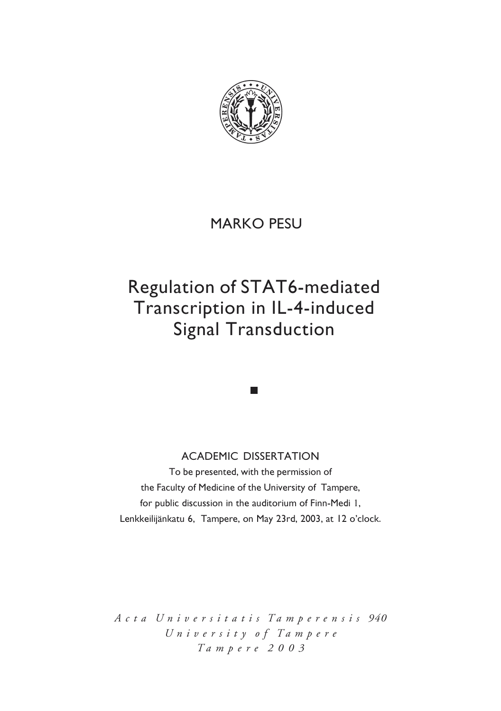

# MARKO PESU

# Regulation of STAT6-mediated Transcription in IL-4-induced **Signal Transduction**

### ACADEMIC DISSERTATION

To be presented, with the permission of the Faculty of Medicine of the University of Tampere, for public discussion in the auditorium of Finn-Medi 1, Lenkkeilijänkatu 6, Tampere, on May 23rd, 2003, at 12 o'clock.

*A c t a U n i v e r s i t a t i s T a m p e r e n s i s 940 U n i v e r s i t y o f T a m p e r e T a m p e r e 2 0 0 3*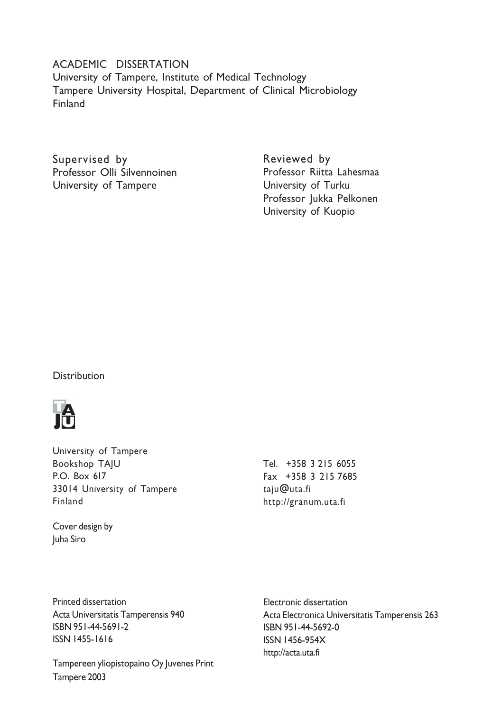### ACADEMIC DISSERTATION University of Tampere, Institute of Medical Technology Tampere University Hospital, Department of Clinical Microbiology **Finland**

Supervised by Professor Olli Silvennoinen University of Tampere

Reviewed by Professor Riitta Lahesmaa University of Turku Professor Jukka Pelkonen University of Kuopio

**Distribution** 



University of Tampere **Bookshop TAIU** P.O. Box 617 33014 University of Tampere Finland

Cover design by Juha Siro

Tel. +358 3 215 6055 Fax +358 3 215 7685 taju@uta.fi http://granum.uta.fi

Printed dissertation Acta Universitatis Tamperensis 940 ISBN 951-44-5691-2 ISSN 1455-1616

Tampereen yliopistopaino Oy Juvenes Print Tampere 2003

Electronic dissertation Acta Electronica Universitatis Tamperensis 263 ISBN 951-44-5692-0 **ISSN 1456-954X** http://acta.uta.fi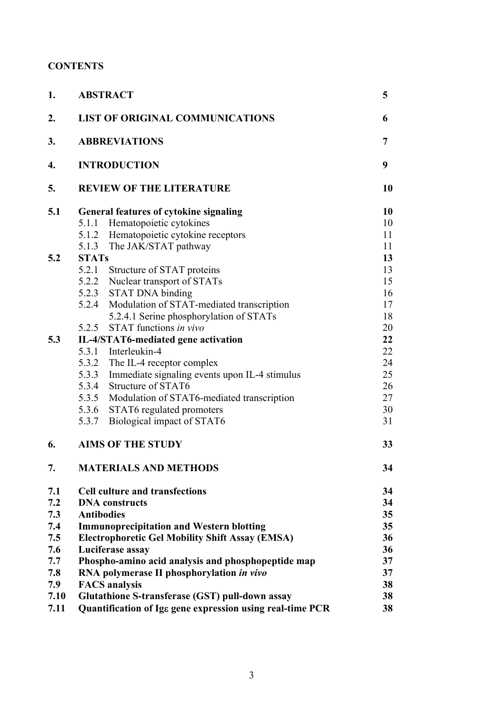# **CONTENTS**

| 1.   | <b>ABSTRACT</b>                                           |    |  |  |
|------|-----------------------------------------------------------|----|--|--|
| 2.   | <b>LIST OF ORIGINAL COMMUNICATIONS</b>                    | 6  |  |  |
| 3.   | <b>ABBREVIATIONS</b>                                      |    |  |  |
| 4.   | <b>INTRODUCTION</b>                                       |    |  |  |
| 5.   | <b>REVIEW OF THE LITERATURE</b>                           | 10 |  |  |
| 5.1  | <b>General features of cytokine signaling</b>             | 10 |  |  |
|      | 5.1.1 Hematopoietic cytokines                             | 10 |  |  |
|      | 5.1.2 Hematopoietic cytokine receptors                    | 11 |  |  |
|      | 5.1.3 The JAK/STAT pathway                                | 11 |  |  |
| 5.2  | <b>STATs</b>                                              | 13 |  |  |
|      | 5.2.1 Structure of STAT proteins                          | 13 |  |  |
|      | 5.2.2 Nuclear transport of STATs                          | 15 |  |  |
|      | 5.2.3 STAT DNA binding                                    | 16 |  |  |
|      | 5.2.4 Modulation of STAT-mediated transcription           | 17 |  |  |
|      | 5.2.4.1 Serine phosphorylation of STATs                   | 18 |  |  |
|      | 5.2.5 STAT functions in vivo                              | 20 |  |  |
| 5.3  | IL-4/STAT6-mediated gene activation                       | 22 |  |  |
|      | 5.3.1 Interleukin-4                                       | 22 |  |  |
|      | 5.3.2 The IL-4 receptor complex                           | 24 |  |  |
|      | 5.3.3 Immediate signaling events upon IL-4 stimulus       | 25 |  |  |
|      | 5.3.4 Structure of STAT6                                  | 26 |  |  |
|      | 5.3.5 Modulation of STAT6-mediated transcription          | 27 |  |  |
|      | 5.3.6 STAT6 regulated promoters                           | 30 |  |  |
|      | Biological impact of STAT6<br>5.3.7                       | 31 |  |  |
|      |                                                           |    |  |  |
| 6.   | <b>AIMS OF THE STUDY</b>                                  | 33 |  |  |
| 7.   | <b>MATERIALS AND METHODS</b>                              | 34 |  |  |
| 7.1  | <b>Cell culture and transfections</b>                     | 34 |  |  |
| 7.2  | <b>DNA</b> constructs                                     | 34 |  |  |
| 7.3  | <b>Antibodies</b>                                         | 35 |  |  |
| 7.4  | <b>Immunoprecipitation and Western blotting</b>           | 35 |  |  |
| 7.5  | <b>Electrophoretic Gel Mobility Shift Assay (EMSA)</b>    | 36 |  |  |
| 7.6  | Luciferase assay                                          | 36 |  |  |
| 7.7  | Phospho-amino acid analysis and phosphopeptide map        | 37 |  |  |
| 7.8  | RNA polymerase II phosphorylation in vivo                 | 37 |  |  |
| 7.9  | <b>FACS</b> analysis                                      | 38 |  |  |
| 7.10 | Glutathione S-transferase (GST) pull-down assay           | 38 |  |  |
| 7.11 | Quantification of Ige gene expression using real-time PCR | 38 |  |  |
|      |                                                           |    |  |  |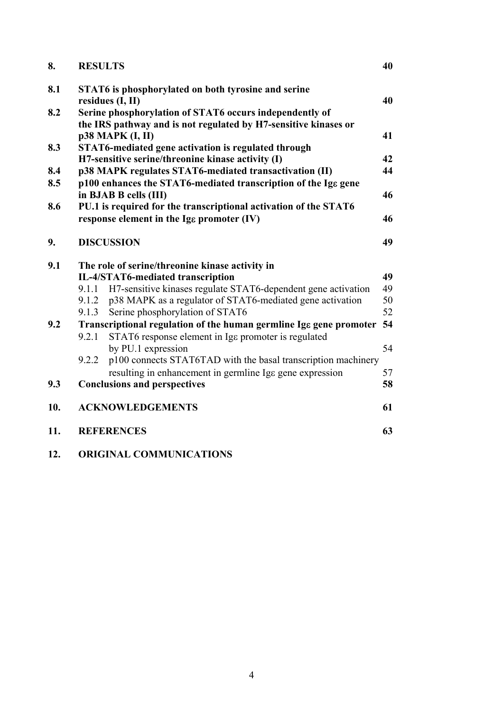| 8.  | <b>RESULTS</b> |                                                                                         | 40 |
|-----|----------------|-----------------------------------------------------------------------------------------|----|
| 8.1 |                | STAT6 is phosphorylated on both tyrosine and serine                                     |    |
|     |                | residues (I, II)                                                                        | 40 |
| 8.2 |                | Serine phosphorylation of STAT6 occurs independently of                                 |    |
|     |                | the IRS pathway and is not regulated by H7-sensitive kinases or                         |    |
|     |                | p38 MAPK (I, II)                                                                        | 41 |
| 8.3 |                | STAT6-mediated gene activation is regulated through                                     |    |
|     |                | H7-sensitive serine/threonine kinase activity (I)                                       | 42 |
| 8.4 |                | p38 MAPK regulates STAT6-mediated transactivation (II)                                  | 44 |
| 8.5 |                | p100 enhances the STAT6-mediated transcription of the Ige gene<br>in BJAB B cells (III) | 46 |
| 8.6 |                | PU.1 is required for the transcriptional activation of the STAT6                        |    |
|     |                | response element in the Ige promoter (IV)                                               | 46 |
| 9.  |                | <b>DISCUSSION</b>                                                                       | 49 |
| 9.1 |                | The role of serine/threonine kinase activity in                                         |    |
|     |                | IL-4/STAT6-mediated transcription                                                       | 49 |
|     |                | 9.1.1 H7-sensitive kinases regulate STAT6-dependent gene activation                     | 49 |
|     | 9.1.2          | p38 MAPK as a regulator of STAT6-mediated gene activation                               | 50 |
|     | 9.1.3          | Serine phosphorylation of STAT6                                                         | 52 |
| 9.2 |                | Transcriptional regulation of the human germline Ige gene promoter                      | 54 |
|     | 9.2.1          | STAT6 response element in Igg promoter is regulated                                     |    |
|     |                | by PU.1 expression                                                                      | 54 |
|     | 9.2.2          | p100 connects STAT6TAD with the basal transcription machinery                           |    |
|     |                | resulting in enhancement in germline Igg gene expression                                | 57 |
| 9.3 |                | <b>Conclusions and perspectives</b>                                                     | 58 |
|     |                |                                                                                         |    |
| 10. |                | <b>ACKNOWLEDGEMENTS</b>                                                                 | 61 |
| 11. |                | <b>REFERENCES</b>                                                                       | 63 |
|     |                |                                                                                         |    |

**12. ORIGINAL COMMUNICATIONS**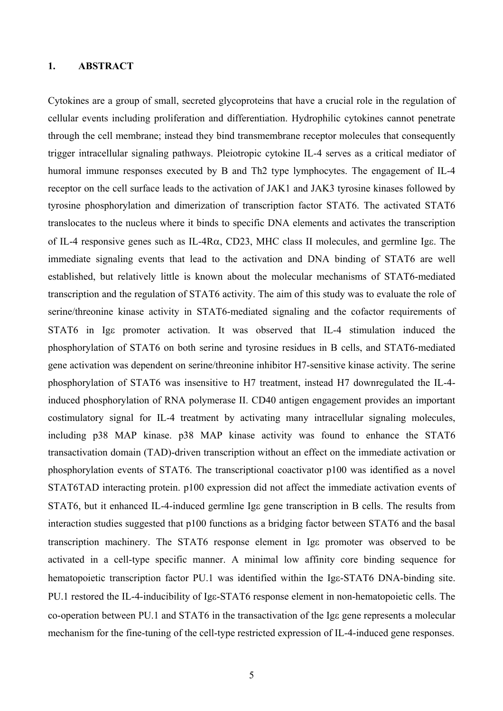# <span id="page-4-0"></span>**1. ABSTRACT**

Cytokines are a group of small, secreted glycoproteins that have a crucial role in the regulation of cellular events including proliferation and differentiation. Hydrophilic cytokines cannot penetrate through the cell membrane; instead they bind transmembrane receptor molecules that consequently trigger intracellular signaling pathways. Pleiotropic cytokine IL-4 serves as a critical mediator of humoral immune responses executed by B and Th2 type lymphocytes. The engagement of IL-4 receptor on the cell surface leads to the activation of JAK1 and JAK3 tyrosine kinases followed by tyrosine phosphorylation and dimerization of transcription factor STAT6. The activated STAT6 translocates to the nucleus where it binds to specific DNA elements and activates the transcription of IL-4 responsive genes such as IL-4Rα, CD23, MHC class II molecules, and germline Igε. The immediate signaling events that lead to the activation and DNA binding of STAT6 are well established, but relatively little is known about the molecular mechanisms of STAT6-mediated transcription and the regulation of STAT6 activity. The aim of this study was to evaluate the role of serine/threonine kinase activity in STAT6-mediated signaling and the cofactor requirements of STAT6 in Ige promoter activation. It was observed that IL-4 stimulation induced the phosphorylation of STAT6 on both serine and tyrosine residues in B cells, and STAT6-mediated gene activation was dependent on serine/threonine inhibitor H7-sensitive kinase activity. The serine phosphorylation of STAT6 was insensitive to H7 treatment, instead H7 downregulated the IL-4 induced phosphorylation of RNA polymerase II. CD40 antigen engagement provides an important costimulatory signal for IL-4 treatment by activating many intracellular signaling molecules, including p38 MAP kinase. p38 MAP kinase activity was found to enhance the STAT6 transactivation domain (TAD)-driven transcription without an effect on the immediate activation or phosphorylation events of STAT6. The transcriptional coactivator p100 was identified as a novel STAT6TAD interacting protein. p100 expression did not affect the immediate activation events of STAT6, but it enhanced IL-4-induced germline Igε gene transcription in B cells. The results from interaction studies suggested that p100 functions as a bridging factor between STAT6 and the basal transcription machinery. The STAT6 response element in Igε promoter was observed to be activated in a cell-type specific manner. A minimal low affinity core binding sequence for hematopoietic transcription factor PU.1 was identified within the Igε-STAT6 DNA-binding site. PU.1 restored the IL-4-inducibility of Igε-STAT6 response element in non-hematopoietic cells. The co-operation between PU.1 and STAT6 in the transactivation of the Igε gene represents a molecular mechanism for the fine-tuning of the cell-type restricted expression of IL-4-induced gene responses.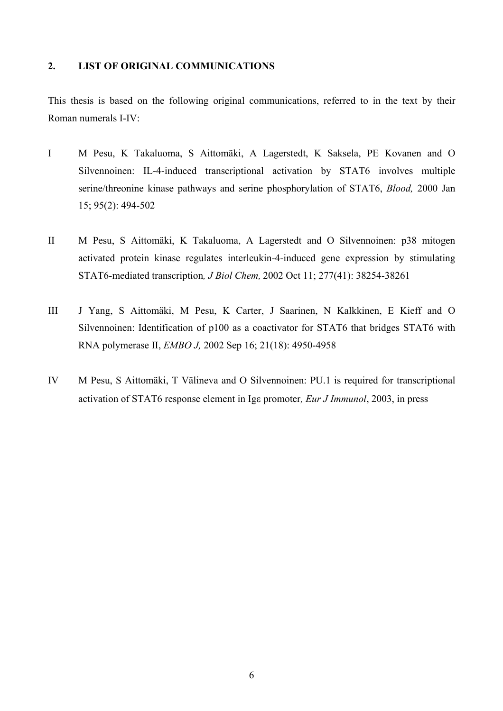# <span id="page-5-0"></span>**2. LIST OF ORIGINAL COMMUNICATIONS**

This thesis is based on the following original communications, referred to in the text by their Roman numerals I-IV:

- I M Pesu, K Takaluoma, S Aittomäki, A Lagerstedt, K Saksela, PE Kovanen and O Silvennoinen: IL-4-induced transcriptional activation by STAT6 involves multiple serine/threonine kinase pathways and serine phosphorylation of STAT6, *Blood,* 2000 Jan 15; 95(2): 494-502
- II M Pesu, S Aittomäki, K Takaluoma, A Lagerstedt and O Silvennoinen: p38 mitogen activated protein kinase regulates interleukin-4-induced gene expression by stimulating STAT6-mediated transcription*, J Biol Chem,* 2002 Oct 11; 277(41): 38254-38261
- III J Yang, S Aittomäki, M Pesu, K Carter, J Saarinen, N Kalkkinen, E Kieff and O Silvennoinen: Identification of p100 as a coactivator for STAT6 that bridges STAT6 with RNA polymerase II, *EMBO J,* 2002 Sep 16; 21(18): 4950-4958
- IV M Pesu, S Aittomäki, T Välineva and O Silvennoinen: PU.1 is required for transcriptional activation of STAT6 response element in Igε promoter*, Eur J Immunol*, 2003, in press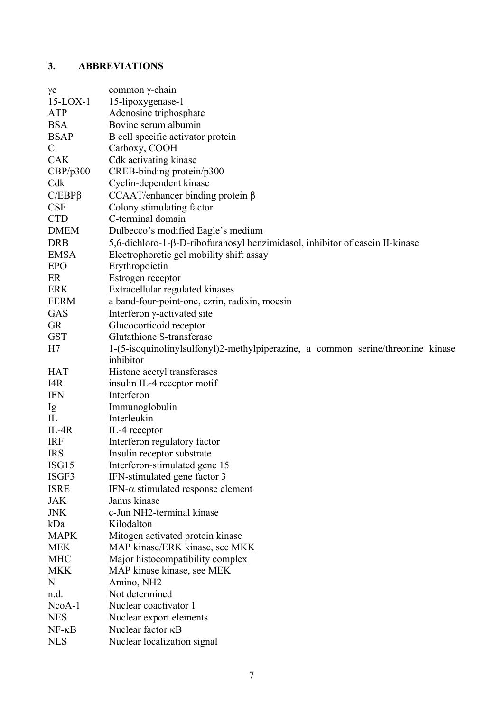# <span id="page-6-0"></span>**3. ABBREVIATIONS**

| $\gamma c$      | common γ-chain                                                                  |
|-----------------|---------------------------------------------------------------------------------|
| $15$ -LOX-1     | 15-lipoxygenase-1                                                               |
| ATP             | Adenosine triphosphate                                                          |
| <b>BSA</b>      | Bovine serum albumin                                                            |
| <b>BSAP</b>     | B cell specific activator protein                                               |
| $\mathcal{C}$   | Carboxy, COOH                                                                   |
| <b>CAK</b>      | Cdk activating kinase                                                           |
| CBP/p300        | CREB-binding protein/p300                                                       |
| Cdk             | Cyclin-dependent kinase                                                         |
| $C/EBP\beta$    | CCAAT/enhancer binding protein $\beta$                                          |
| <b>CSF</b>      | Colony stimulating factor                                                       |
| <b>CTD</b>      | C-terminal domain                                                               |
| <b>DMEM</b>     | Dulbecco's modified Eagle's medium                                              |
|                 |                                                                                 |
| <b>DRB</b>      | 5,6-dichloro-1-β-D-ribofuranosyl benzimidasol, inhibitor of casein II-kinase    |
| <b>EMSA</b>     | Electrophoretic gel mobility shift assay                                        |
| <b>EPO</b>      | Erythropoietin                                                                  |
| ER              | Estrogen receptor                                                               |
| <b>ERK</b>      | Extracellular regulated kinases                                                 |
| <b>FERM</b>     | a band-four-point-one, ezrin, radixin, moesin                                   |
| GAS             | Interferon $\gamma$ -activated site                                             |
| <b>GR</b>       | Glucocorticoid receptor                                                         |
| <b>GST</b>      | Glutathione S-transferase                                                       |
| H7              | 1-(5-isoquinolinylsulfonyl)2-methylpiperazine, a common serine/threonine kinase |
|                 | inhibitor                                                                       |
| <b>HAT</b>      | Histone acetyl transferases                                                     |
| I4R             | insulin IL-4 receptor motif                                                     |
| <b>IFN</b>      | Interferon                                                                      |
| Ig              | Immunoglobulin                                                                  |
| IL              | Interleukin                                                                     |
| $IL-4R$         | IL-4 receptor                                                                   |
| <b>IRF</b>      | Interferon regulatory factor                                                    |
| <b>IRS</b>      | Insulin receptor substrate                                                      |
| ISG15           | Interferon-stimulated gene 15                                                   |
| ISGF3           | IFN-stimulated gene factor 3                                                    |
| <b>ISRE</b>     | IFN- $\alpha$ stimulated response element                                       |
| <b>JAK</b>      | Janus kinase                                                                    |
| <b>JNK</b>      | c-Jun NH2-terminal kinase                                                       |
| kDa             | Kilodalton                                                                      |
|                 |                                                                                 |
| <b>MAPK</b>     | Mitogen activated protein kinase                                                |
| <b>MEK</b>      | MAP kinase/ERK kinase, see MKK                                                  |
| <b>MHC</b>      | Major histocompatibility complex                                                |
| <b>MKK</b>      | MAP kinase kinase, see MEK                                                      |
| N               | Amino, NH <sub>2</sub>                                                          |
| n.d.            | Not determined                                                                  |
| $NcoA-1$        | Nuclear coactivator 1                                                           |
| <b>NES</b>      | Nuclear export elements                                                         |
| $NF - \kappa B$ | Nuclear factor <b>KB</b>                                                        |
| <b>NLS</b>      | Nuclear localization signal                                                     |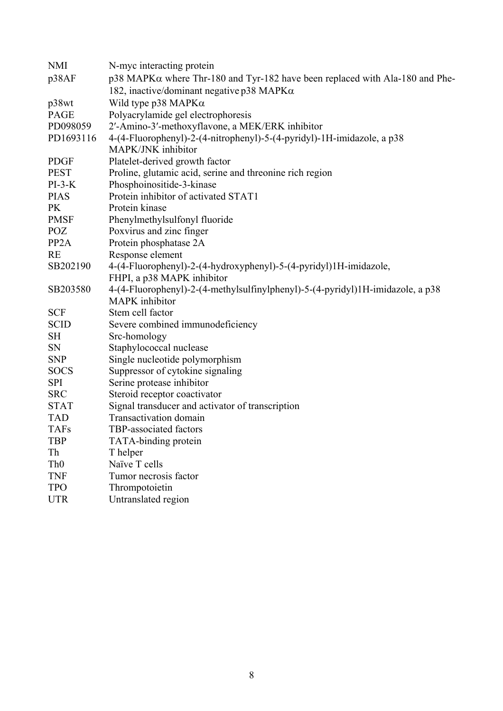| <b>NMI</b>        | N-myc interacting protein                                                              |  |  |
|-------------------|----------------------------------------------------------------------------------------|--|--|
| p38AF             | $p38$ MAPK $\alpha$ where Thr-180 and Tyr-182 have been replaced with Ala-180 and Phe- |  |  |
|                   | 182, inactive/dominant negative p38 MAPK $\alpha$                                      |  |  |
| p38wt             | Wild type $p38$ MAPK $\alpha$                                                          |  |  |
| <b>PAGE</b>       | Polyacrylamide gel electrophoresis                                                     |  |  |
| PD098059          | 2'-Amino-3'-methoxyflavone, a MEK/ERK inhibitor                                        |  |  |
| PD1693116         | 4-(4-Fluorophenyl)-2-(4-nitrophenyl)-5-(4-pyridyl)-1H-imidazole, a p38                 |  |  |
|                   | MAPK/JNK inhibitor                                                                     |  |  |
| <b>PDGF</b>       | Platelet-derived growth factor                                                         |  |  |
| <b>PEST</b>       | Proline, glutamic acid, serine and threonine rich region                               |  |  |
| $PI-3-K$          | Phosphoinositide-3-kinase                                                              |  |  |
| <b>PIAS</b>       | Protein inhibitor of activated STAT1                                                   |  |  |
| <b>PK</b>         | Protein kinase                                                                         |  |  |
| <b>PMSF</b>       | Phenylmethylsulfonyl fluoride                                                          |  |  |
| <b>POZ</b>        | Poxvirus and zinc finger                                                               |  |  |
| PP <sub>2</sub> A | Protein phosphatase 2A                                                                 |  |  |
| <b>RE</b>         | Response element                                                                       |  |  |
| SB202190          | 4-(4-Fluorophenyl)-2-(4-hydroxyphenyl)-5-(4-pyridyl)1H-imidazole,                      |  |  |
|                   | FHPI, a p38 MAPK inhibitor                                                             |  |  |
| SB203580          | 4-(4-Fluorophenyl)-2-(4-methylsulfinylphenyl)-5-(4-pyridyl)1H-imidazole, a p38         |  |  |
|                   | MAPK inhibitor                                                                         |  |  |
| <b>SCF</b>        | Stem cell factor                                                                       |  |  |
| <b>SCID</b>       | Severe combined immunodeficiency                                                       |  |  |
| <b>SH</b>         | Src-homology                                                                           |  |  |
| <b>SN</b>         | Staphylococcal nuclease                                                                |  |  |
| <b>SNP</b>        | Single nucleotide polymorphism                                                         |  |  |
| <b>SOCS</b>       | Suppressor of cytokine signaling                                                       |  |  |
| <b>SPI</b>        | Serine protease inhibitor                                                              |  |  |
| <b>SRC</b>        | Steroid receptor coactivator                                                           |  |  |
| <b>STAT</b>       | Signal transducer and activator of transcription                                       |  |  |
| <b>TAD</b>        | Transactivation domain                                                                 |  |  |
| <b>TAFs</b>       | TBP-associated factors                                                                 |  |  |
| <b>TBP</b>        | TATA-binding protein                                                                   |  |  |
| Th                | T helper                                                                               |  |  |
| Th <sub>0</sub>   | Naïve T cells                                                                          |  |  |
| <b>TNF</b>        | Tumor necrosis factor                                                                  |  |  |
| <b>TPO</b>        | Thrompotoietin                                                                         |  |  |
| <b>UTR</b>        | Untranslated region                                                                    |  |  |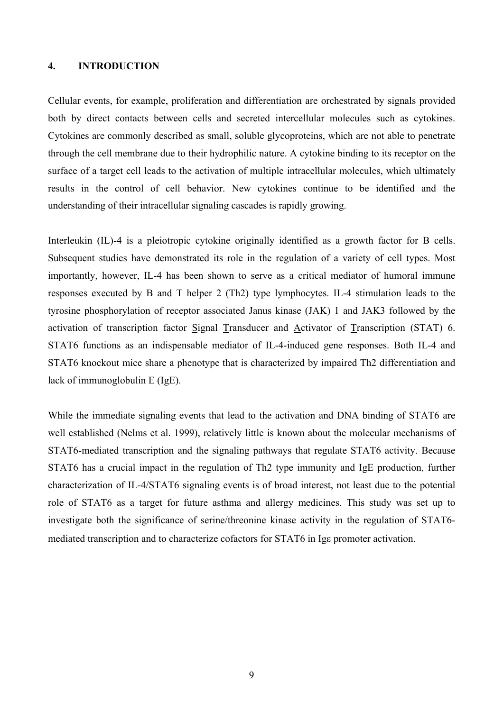### <span id="page-8-0"></span>**4. INTRODUCTION**

Cellular events, for example, proliferation and differentiation are orchestrated by signals provided both by direct contacts between cells and secreted intercellular molecules such as cytokines. Cytokines are commonly described as small, soluble glycoproteins, which are not able to penetrate through the cell membrane due to their hydrophilic nature. A cytokine binding to its receptor on the surface of a target cell leads to the activation of multiple intracellular molecules, which ultimately results in the control of cell behavior. New cytokines continue to be identified and the understanding of their intracellular signaling cascades is rapidly growing.

Interleukin (IL)-4 is a pleiotropic cytokine originally identified as a growth factor for B cells. Subsequent studies have demonstrated its role in the regulation of a variety of cell types. Most importantly, however, IL-4 has been shown to serve as a critical mediator of humoral immune responses executed by B and T helper 2 (Th2) type lymphocytes. IL-4 stimulation leads to the tyrosine phosphorylation of receptor associated Janus kinase (JAK) 1 and JAK3 followed by the activation of transcription factor Signal Transducer and Activator of Transcription (STAT) 6. STAT6 functions as an indispensable mediator of IL-4-induced gene responses. Both IL-4 and STAT6 knockout mice share a phenotype that is characterized by impaired Th2 differentiation and lack of immunoglobulin E (IgE).

While the immediate signaling events that lead to the activation and DNA binding of STAT6 are well established (Nelms et al. 1999), relatively little is known about the molecular mechanisms of STAT6-mediated transcription and the signaling pathways that regulate STAT6 activity. Because STAT6 has a crucial impact in the regulation of Th2 type immunity and IgE production, further characterization of IL-4/STAT6 signaling events is of broad interest, not least due to the potential role of STAT6 as a target for future asthma and allergy medicines. This study was set up to investigate both the significance of serine/threonine kinase activity in the regulation of STAT6 mediated transcription and to characterize cofactors for STAT6 in Igε promoter activation.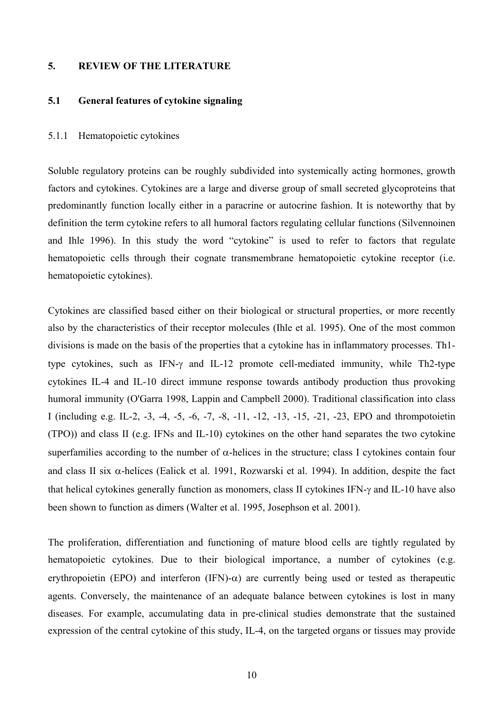## <span id="page-9-0"></span>**5. REVIEW OF THE LITERATURE**

## **5.1 General features of cytokine signaling**

### 5.1.1 Hematopoietic cytokines

Soluble regulatory proteins can be roughly subdivided into systemically acting hormones, growth factors and cytokines. Cytokines are a large and diverse group of small secreted glycoproteins that predominantly function locally either in a paracrine or autocrine fashion. It is noteworthy that by definition the term cytokine refers to all humoral factors regulating cellular functions (Silvennoinen and Ihle 1996). In this study the word "cytokine" is used to refer to factors that regulate hematopoietic cells through their cognate transmembrane hematopoietic cytokine receptor (i.e. hematopoietic cytokines).

Cytokines are classified based either on their biological or structural properties, or more recently also by the characteristics of their receptor molecules (Ihle et al. 1995). One of the most common divisions is made on the basis of the properties that a cytokine has in inflammatory processes. Th1 type cytokines, such as IFN-γ and IL-12 promote cell-mediated immunity, while Th2-type cytokines IL-4 and IL-10 direct immune response towards antibody production thus provoking humoral immunity (O'Garra 1998, Lappin and Campbell 2000). Traditional classification into class I (including e.g. IL-2, -3, -4, -5, -6, -7, -8, -11, -12, -13, -15, -21, -23, EPO and thrompotoietin (TPO)) and class II (e.g. IFNs and IL-10) cytokines on the other hand separates the two cytokine superfamilies according to the number of  $\alpha$ -helices in the structure; class I cytokines contain four and class II six α-helices (Ealick et al. 1991, Rozwarski et al. 1994). In addition, despite the fact that helical cytokines generally function as monomers, class II cytokines IFN-γ and IL-10 have also been shown to function as dimers (Walter et al. 1995, Josephson et al. 2001).

The proliferation, differentiation and functioning of mature blood cells are tightly regulated by hematopoietic cytokines. Due to their biological importance, a number of cytokines (e.g. erythropoietin (EPO) and interferon (IFN)- $\alpha$ ) are currently being used or tested as therapeutic agents. Conversely, the maintenance of an adequate balance between cytokines is lost in many diseases. For example, accumulating data in pre-clinical studies demonstrate that the sustained expression of the central cytokine of this study, IL-4, on the targeted organs or tissues may provide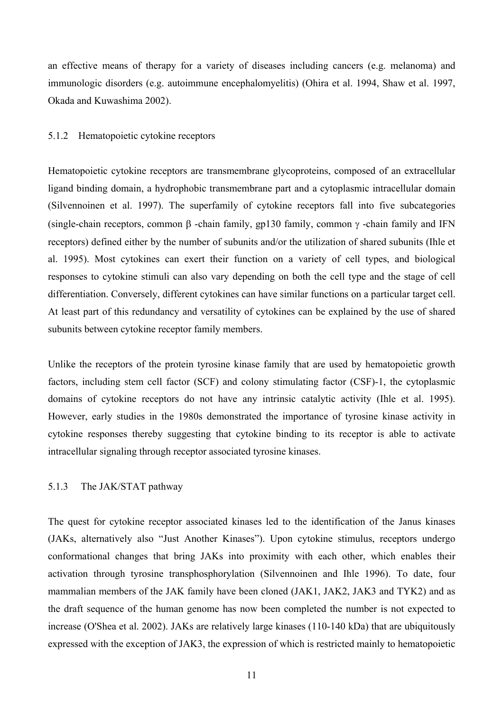<span id="page-10-0"></span>an effective means of therapy for a variety of diseases including cancers (e.g. melanoma) and immunologic disorders (e.g. autoimmune encephalomyelitis) (Ohira et al. 1994, Shaw et al. 1997, Okada and Kuwashima 2002).

### 5.1.2 Hematopoietic cytokine receptors

Hematopoietic cytokine receptors are transmembrane glycoproteins, composed of an extracellular ligand binding domain, a hydrophobic transmembrane part and a cytoplasmic intracellular domain (Silvennoinen et al. 1997). The superfamily of cytokine receptors fall into five subcategories (single-chain receptors, common  $\beta$  -chain family, gp130 family, common  $\gamma$  -chain family and IFN receptors) defined either by the number of subunits and/or the utilization of shared subunits (Ihle et al. 1995). Most cytokines can exert their function on a variety of cell types, and biological responses to cytokine stimuli can also vary depending on both the cell type and the stage of cell differentiation. Conversely, different cytokines can have similar functions on a particular target cell. At least part of this redundancy and versatility of cytokines can be explained by the use of shared subunits between cytokine receptor family members.

Unlike the receptors of the protein tyrosine kinase family that are used by hematopoietic growth factors, including stem cell factor (SCF) and colony stimulating factor (CSF)-1, the cytoplasmic domains of cytokine receptors do not have any intrinsic catalytic activity (Ihle et al. 1995). However, early studies in the 1980s demonstrated the importance of tyrosine kinase activity in cytokine responses thereby suggesting that cytokine binding to its receptor is able to activate intracellular signaling through receptor associated tyrosine kinases.

# 5.1.3 The JAK/STAT pathway

The quest for cytokine receptor associated kinases led to the identification of the Janus kinases (JAKs, alternatively also "Just Another Kinases"). Upon cytokine stimulus, receptors undergo conformational changes that bring JAKs into proximity with each other, which enables their activation through tyrosine transphosphorylation (Silvennoinen and Ihle 1996). To date, four mammalian members of the JAK family have been cloned (JAK1, JAK2, JAK3 and TYK2) and as the draft sequence of the human genome has now been completed the number is not expected to increase (O'Shea et al. 2002). JAKs are relatively large kinases (110-140 kDa) that are ubiquitously expressed with the exception of JAK3, the expression of which is restricted mainly to hematopoietic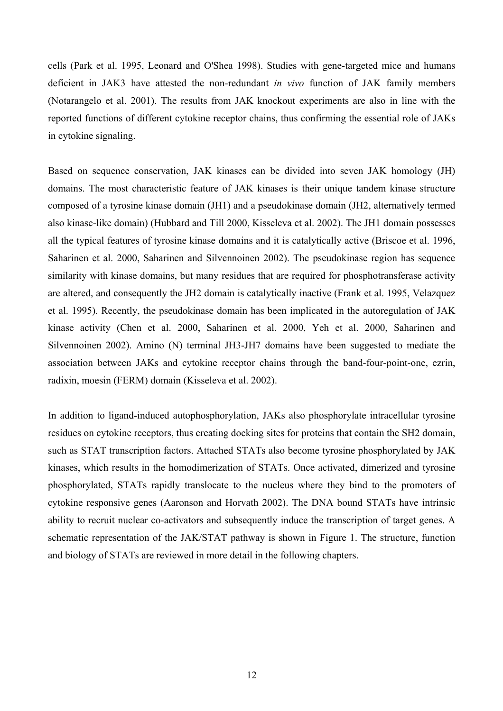cells (Park et al. 1995, Leonard and O'Shea 1998). Studies with gene-targeted mice and humans deficient in JAK3 have attested the non-redundant *in vivo* function of JAK family members (Notarangelo et al. 2001). The results from JAK knockout experiments are also in line with the reported functions of different cytokine receptor chains, thus confirming the essential role of JAKs in cytokine signaling.

Based on sequence conservation, JAK kinases can be divided into seven JAK homology (JH) domains. The most characteristic feature of JAK kinases is their unique tandem kinase structure composed of a tyrosine kinase domain (JH1) and a pseudokinase domain (JH2, alternatively termed also kinase-like domain) (Hubbard and Till 2000, Kisseleva et al. 2002). The JH1 domain possesses all the typical features of tyrosine kinase domains and it is catalytically active (Briscoe et al. 1996, Saharinen et al. 2000, Saharinen and Silvennoinen 2002). The pseudokinase region has sequence similarity with kinase domains, but many residues that are required for phosphotransferase activity are altered, and consequently the JH2 domain is catalytically inactive (Frank et al. 1995, Velazquez et al. 1995). Recently, the pseudokinase domain has been implicated in the autoregulation of JAK kinase activity (Chen et al. 2000, Saharinen et al. 2000, Yeh et al. 2000, Saharinen and Silvennoinen 2002). Amino (N) terminal JH3-JH7 domains have been suggested to mediate the association between JAKs and cytokine receptor chains through the band-four-point-one, ezrin, radixin, moesin (FERM) domain (Kisseleva et al. 2002).

In addition to ligand-induced autophosphorylation, JAKs also phosphorylate intracellular tyrosine residues on cytokine receptors, thus creating docking sites for proteins that contain the SH2 domain, such as STAT transcription factors. Attached STATs also become tyrosine phosphorylated by JAK kinases, which results in the homodimerization of STATs. Once activated, dimerized and tyrosine phosphorylated, STATs rapidly translocate to the nucleus where they bind to the promoters of cytokine responsive genes (Aaronson and Horvath 2002). The DNA bound STATs have intrinsic ability to recruit nuclear co-activators and subsequently induce the transcription of target genes. A schematic representation of the JAK/STAT pathway is shown in Figure 1. The structure, function and biology of STATs are reviewed in more detail in the following chapters.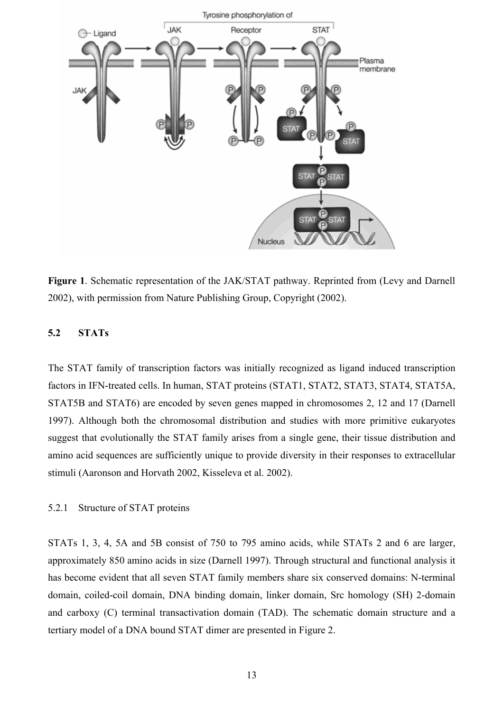<span id="page-12-0"></span>

**Figure 1**. Schematic representation of the JAK/STAT pathway. Reprinted from (Levy and Darnell 2002), with permission from Nature Publishing Group, Copyright (2002).

### **5.2 STATs**

The STAT family of transcription factors was initially recognized as ligand induced transcription factors in IFN-treated cells. In human, STAT proteins (STAT1, STAT2, STAT3, STAT4, STAT5A, STAT5B and STAT6) are encoded by seven genes mapped in chromosomes 2, 12 and 17 (Darnell 1997). Although both the chromosomal distribution and studies with more primitive eukaryotes suggest that evolutionally the STAT family arises from a single gene, their tissue distribution and amino acid sequences are sufficiently unique to provide diversity in their responses to extracellular stimuli (Aaronson and Horvath 2002, Kisseleva et al. 2002).

# 5.2.1 Structure of STAT proteins

STATs 1, 3, 4, 5A and 5B consist of 750 to 795 amino acids, while STATs 2 and 6 are larger, approximately 850 amino acids in size (Darnell 1997). Through structural and functional analysis it has become evident that all seven STAT family members share six conserved domains: N-terminal domain, coiled-coil domain, DNA binding domain, linker domain, Src homology (SH) 2-domain and carboxy (C) terminal transactivation domain (TAD). The schematic domain structure and a tertiary model of a DNA bound STAT dimer are presented in Figure 2.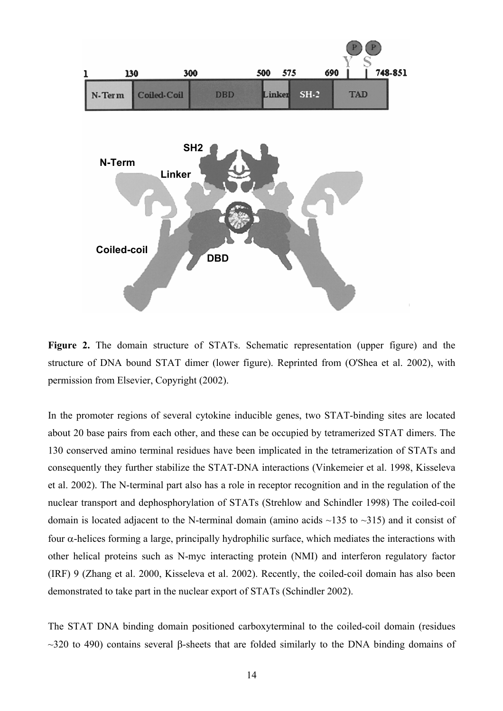

**Figure 2.** The domain structure of STATs. Schematic representation (upper figure) and the structure of DNA bound STAT dimer (lower figure). Reprinted from (O'Shea et al. 2002), with permission from Elsevier, Copyright (2002).

In the promoter regions of several cytokine inducible genes, two STAT-binding sites are located about 20 base pairs from each other, and these can be occupied by tetramerized STAT dimers. The 130 conserved amino terminal residues have been implicated in the tetramerization of STATs and consequently they further stabilize the STAT-DNA interactions (Vinkemeier et al. 1998, Kisseleva et al. 2002). The N-terminal part also has a role in receptor recognition and in the regulation of the nuclear transport and dephosphorylation of STATs (Strehlow and Schindler 1998) The coiled-coil domain is located adjacent to the N-terminal domain (amino acids  $\sim$ 135 to  $\sim$ 315) and it consist of four α-helices forming a large, principally hydrophilic surface, which mediates the interactions with other helical proteins such as N-myc interacting protein (NMI) and interferon regulatory factor (IRF) 9 (Zhang et al. 2000, Kisseleva et al. 2002). Recently, the coiled-coil domain has also been demonstrated to take part in the nuclear export of STATs (Schindler 2002).

The STAT DNA binding domain positioned carboxyterminal to the coiled-coil domain (residues  $\sim$ 320 to 490) contains several β-sheets that are folded similarly to the DNA binding domains of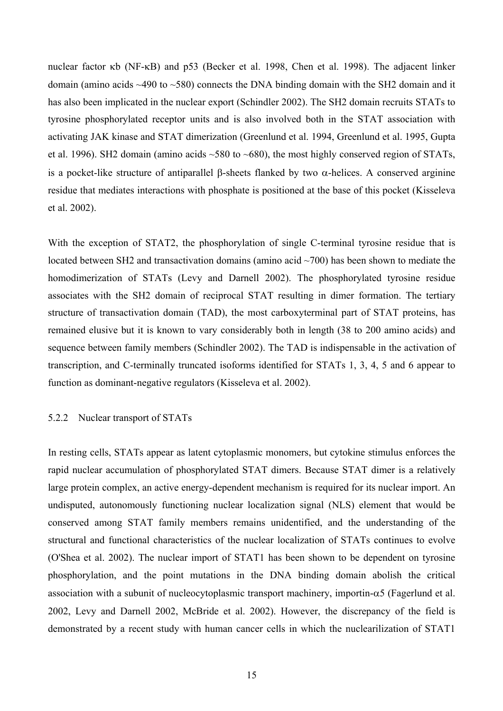<span id="page-14-0"></span>nuclear factor κb (NF-κB) and p53 (Becker et al. 1998, Chen et al. 1998). The adjacent linker domain (amino acids ~490 to ~580) connects the DNA binding domain with the SH2 domain and it has also been implicated in the nuclear export (Schindler 2002). The SH2 domain recruits STATs to tyrosine phosphorylated receptor units and is also involved both in the STAT association with activating JAK kinase and STAT dimerization (Greenlund et al. 1994, Greenlund et al. 1995, Gupta et al. 1996). SH2 domain (amino acids ~580 to ~680), the most highly conserved region of STATs, is a pocket-like structure of antiparallel β-sheets flanked by two α-helices. A conserved arginine residue that mediates interactions with phosphate is positioned at the base of this pocket (Kisseleva et al. 2002).

With the exception of STAT2, the phosphorylation of single C-terminal tyrosine residue that is located between SH2 and transactivation domains (amino acid ~700) has been shown to mediate the homodimerization of STATs (Levy and Darnell 2002). The phosphorylated tyrosine residue associates with the SH2 domain of reciprocal STAT resulting in dimer formation. The tertiary structure of transactivation domain (TAD), the most carboxyterminal part of STAT proteins, has remained elusive but it is known to vary considerably both in length (38 to 200 amino acids) and sequence between family members (Schindler 2002). The TAD is indispensable in the activation of transcription, and C-terminally truncated isoforms identified for STATs 1, 3, 4, 5 and 6 appear to function as dominant-negative regulators (Kisseleva et al. 2002).

### 5.2.2 Nuclear transport of STATs

In resting cells, STATs appear as latent cytoplasmic monomers, but cytokine stimulus enforces the rapid nuclear accumulation of phosphorylated STAT dimers. Because STAT dimer is a relatively large protein complex, an active energy-dependent mechanism is required for its nuclear import. An undisputed, autonomously functioning nuclear localization signal (NLS) element that would be conserved among STAT family members remains unidentified, and the understanding of the structural and functional characteristics of the nuclear localization of STATs continues to evolve (O'Shea et al. 2002). The nuclear import of STAT1 has been shown to be dependent on tyrosine phosphorylation, and the point mutations in the DNA binding domain abolish the critical association with a subunit of nucleocytoplasmic transport machinery, importin- $\alpha$ 5 (Fagerlund et al. 2002, Levy and Darnell 2002, McBride et al. 2002). However, the discrepancy of the field is demonstrated by a recent study with human cancer cells in which the nuclearilization of STAT1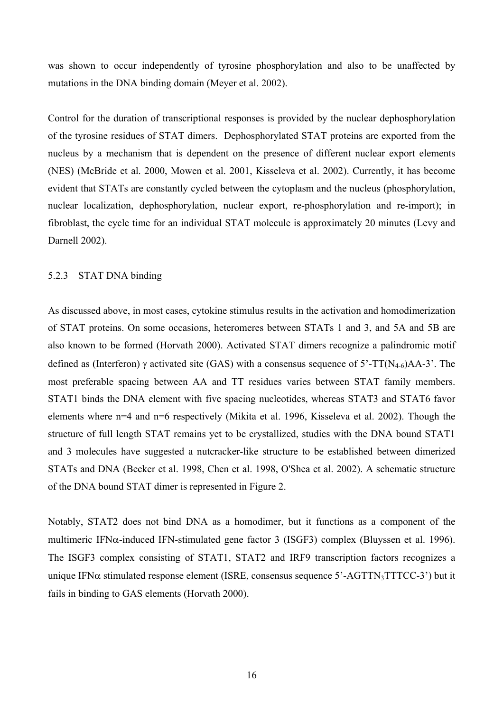<span id="page-15-0"></span>was shown to occur independently of tyrosine phosphorylation and also to be unaffected by mutations in the DNA binding domain (Meyer et al. 2002).

Control for the duration of transcriptional responses is provided by the nuclear dephosphorylation of the tyrosine residues of STAT dimers. Dephosphorylated STAT proteins are exported from the nucleus by a mechanism that is dependent on the presence of different nuclear export elements (NES) (McBride et al. 2000, Mowen et al. 2001, Kisseleva et al. 2002). Currently, it has become evident that STATs are constantly cycled between the cytoplasm and the nucleus (phosphorylation, nuclear localization, dephosphorylation, nuclear export, re-phosphorylation and re-import); in fibroblast, the cycle time for an individual STAT molecule is approximately 20 minutes (Levy and Darnell 2002).

### 5.2.3 STAT DNA binding

As discussed above, in most cases, cytokine stimulus results in the activation and homodimerization of STAT proteins. On some occasions, heteromeres between STATs 1 and 3, and 5A and 5B are also known to be formed (Horvath 2000). Activated STAT dimers recognize a palindromic motif defined as (Interferon)  $\gamma$  activated site (GAS) with a consensus sequence of 5'-TT(N<sub>4-6</sub>)AA-3'. The most preferable spacing between AA and TT residues varies between STAT family members. STAT1 binds the DNA element with five spacing nucleotides, whereas STAT3 and STAT6 favor elements where n=4 and n=6 respectively (Mikita et al. 1996, Kisseleva et al. 2002). Though the structure of full length STAT remains yet to be crystallized, studies with the DNA bound STAT1 and 3 molecules have suggested a nutcracker-like structure to be established between dimerized STATs and DNA (Becker et al. 1998, Chen et al. 1998, O'Shea et al. 2002). A schematic structure of the DNA bound STAT dimer is represented in Figure 2.

Notably, STAT2 does not bind DNA as a homodimer, but it functions as a component of the multimeric IFNα-induced IFN-stimulated gene factor 3 (ISGF3) complex (Bluyssen et al. 1996). The ISGF3 complex consisting of STAT1, STAT2 and IRF9 transcription factors recognizes a unique IFN $\alpha$  stimulated response element (ISRE, consensus sequence 5'-AGTTN<sub>3</sub>TTTCC-3') but it fails in binding to GAS elements (Horvath 2000).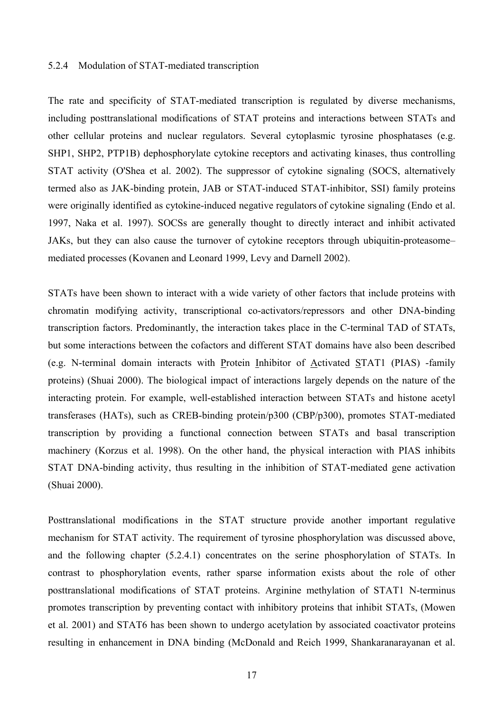#### <span id="page-16-0"></span>5.2.4 Modulation of STAT-mediated transcription

The rate and specificity of STAT-mediated transcription is regulated by diverse mechanisms, including posttranslational modifications of STAT proteins and interactions between STATs and other cellular proteins and nuclear regulators. Several cytoplasmic tyrosine phosphatases (e.g. SHP1, SHP2, PTP1B) dephosphorylate cytokine receptors and activating kinases, thus controlling STAT activity (O'Shea et al. 2002). The suppressor of cytokine signaling (SOCS, alternatively termed also as JAK-binding protein, JAB or STAT-induced STAT-inhibitor, SSI) family proteins were originally identified as cytokine-induced negative regulators of cytokine signaling (Endo et al. 1997, Naka et al. 1997). SOCSs are generally thought to directly interact and inhibit activated JAKs, but they can also cause the turnover of cytokine receptors through ubiquitin-proteasome– mediated processes (Kovanen and Leonard 1999, Levy and Darnell 2002).

STATs have been shown to interact with a wide variety of other factors that include proteins with chromatin modifying activity, transcriptional co-activators/repressors and other DNA-binding transcription factors. Predominantly, the interaction takes place in the C-terminal TAD of STATs, but some interactions between the cofactors and different STAT domains have also been described (e.g. N-terminal domain interacts with Protein Inhibitor of Activated STAT1 (PIAS) -family proteins) (Shuai 2000). The biological impact of interactions largely depends on the nature of the interacting protein. For example, well-established interaction between STATs and histone acetyl transferases (HATs), such as CREB-binding protein/p300 (CBP/p300), promotes STAT-mediated transcription by providing a functional connection between STATs and basal transcription machinery (Korzus et al. 1998). On the other hand, the physical interaction with PIAS inhibits STAT DNA-binding activity, thus resulting in the inhibition of STAT-mediated gene activation (Shuai 2000).

Posttranslational modifications in the STAT structure provide another important regulative mechanism for STAT activity. The requirement of tyrosine phosphorylation was discussed above, and the following chapter (5.2.4.1) concentrates on the serine phosphorylation of STATs. In contrast to phosphorylation events, rather sparse information exists about the role of other posttranslational modifications of STAT proteins. Arginine methylation of STAT1 N-terminus promotes transcription by preventing contact with inhibitory proteins that inhibit STATs, (Mowen et al. 2001) and STAT6 has been shown to undergo acetylation by associated coactivator proteins resulting in enhancement in DNA binding (McDonald and Reich 1999, Shankaranarayanan et al.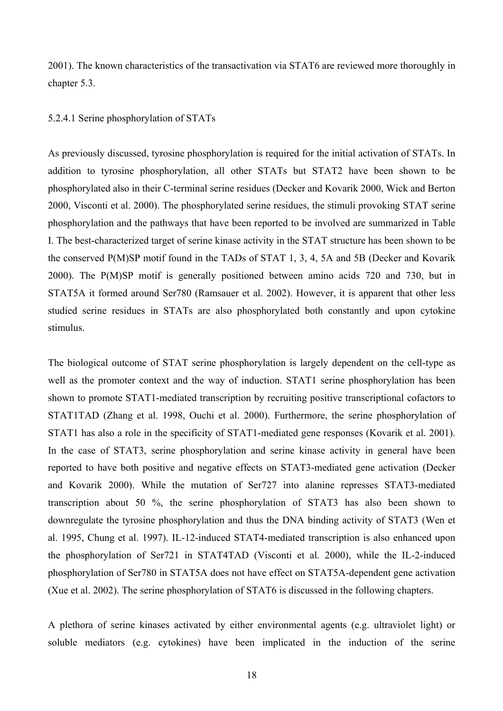<span id="page-17-0"></span>2001). The known characteristics of the transactivation via STAT6 are reviewed more thoroughly in chapter 5.3.

### 5.2.4.1 Serine phosphorylation of STATs

As previously discussed, tyrosine phosphorylation is required for the initial activation of STATs. In addition to tyrosine phosphorylation, all other STATs but STAT2 have been shown to be phosphorylated also in their C-terminal serine residues (Decker and Kovarik 2000, Wick and Berton 2000, Visconti et al. 2000). The phosphorylated serine residues, the stimuli provoking STAT serine phosphorylation and the pathways that have been reported to be involved are summarized in Table I. The best-characterized target of serine kinase activity in the STAT structure has been shown to be the conserved P(M)SP motif found in the TADs of STAT 1, 3, 4, 5A and 5B (Decker and Kovarik 2000). The P(M)SP motif is generally positioned between amino acids 720 and 730, but in STAT5A it formed around Ser780 (Ramsauer et al. 2002). However, it is apparent that other less studied serine residues in STATs are also phosphorylated both constantly and upon cytokine stimulus.

The biological outcome of STAT serine phosphorylation is largely dependent on the cell-type as well as the promoter context and the way of induction. STAT1 serine phosphorylation has been shown to promote STAT1-mediated transcription by recruiting positive transcriptional cofactors to STAT1TAD (Zhang et al. 1998, Ouchi et al. 2000). Furthermore, the serine phosphorylation of STAT1 has also a role in the specificity of STAT1-mediated gene responses (Kovarik et al. 2001). In the case of STAT3, serine phosphorylation and serine kinase activity in general have been reported to have both positive and negative effects on STAT3-mediated gene activation (Decker and Kovarik 2000). While the mutation of Ser727 into alanine represses STAT3-mediated transcription about 50 %, the serine phosphorylation of STAT3 has also been shown to downregulate the tyrosine phosphorylation and thus the DNA binding activity of STAT3 (Wen et al. 1995, Chung et al. 1997). IL-12-induced STAT4-mediated transcription is also enhanced upon the phosphorylation of Ser721 in STAT4TAD (Visconti et al. 2000), while the IL-2-induced phosphorylation of Ser780 in STAT5A does not have effect on STAT5A-dependent gene activation (Xue et al. 2002). The serine phosphorylation of STAT6 is discussed in the following chapters.

A plethora of serine kinases activated by either environmental agents (e.g. ultraviolet light) or soluble mediators (e.g. cytokines) have been implicated in the induction of the serine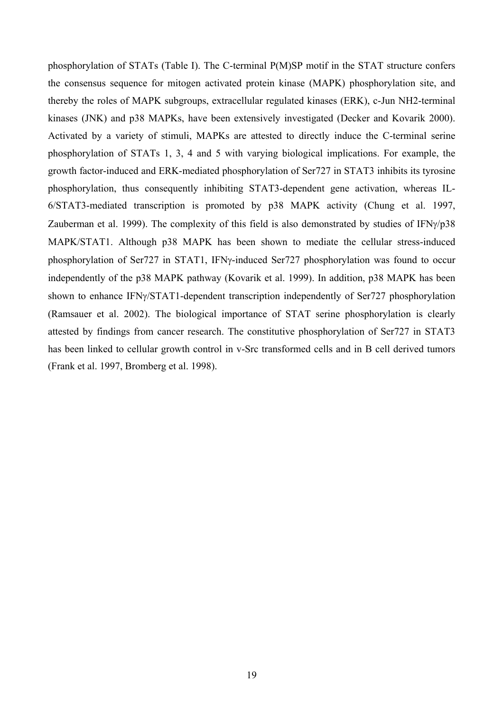phosphorylation of STATs (Table I). The C-terminal P(M)SP motif in the STAT structure confers the consensus sequence for mitogen activated protein kinase (MAPK) phosphorylation site, and thereby the roles of MAPK subgroups, extracellular regulated kinases (ERK), c-Jun NH2-terminal kinases (JNK) and p38 MAPKs, have been extensively investigated (Decker and Kovarik 2000). Activated by a variety of stimuli, MAPKs are attested to directly induce the C-terminal serine phosphorylation of STATs 1, 3, 4 and 5 with varying biological implications. For example, the growth factor-induced and ERK-mediated phosphorylation of Ser727 in STAT3 inhibits its tyrosine phosphorylation, thus consequently inhibiting STAT3-dependent gene activation, whereas IL-6/STAT3-mediated transcription is promoted by p38 MAPK activity (Chung et al. 1997, Zauberman et al. 1999). The complexity of this field is also demonstrated by studies of IFN $\gamma$ /p38 MAPK/STAT1. Although p38 MAPK has been shown to mediate the cellular stress-induced phosphorylation of Ser727 in STAT1, IFNγ-induced Ser727 phosphorylation was found to occur independently of the p38 MAPK pathway (Kovarik et al. 1999). In addition, p38 MAPK has been shown to enhance IFNγ/STAT1-dependent transcription independently of Ser727 phosphorylation (Ramsauer et al. 2002). The biological importance of STAT serine phosphorylation is clearly attested by findings from cancer research. The constitutive phosphorylation of Ser727 in STAT3 has been linked to cellular growth control in v-Src transformed cells and in B cell derived tumors (Frank et al. 1997, Bromberg et al. 1998).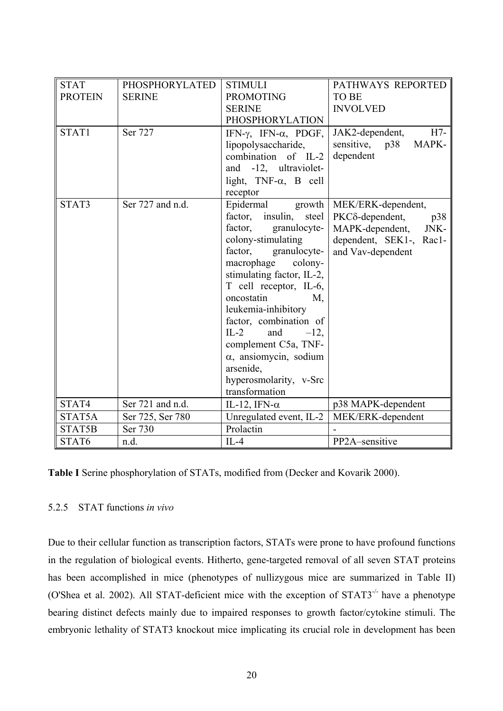<span id="page-19-0"></span>

| <b>STAT</b>    | <b>PHOSPHORYLATED</b> | <b>STIMULI</b>                             | PATHWAYS REPORTED              |
|----------------|-----------------------|--------------------------------------------|--------------------------------|
| <b>PROTEIN</b> | <b>SERINE</b>         | <b>PROMOTING</b>                           | <b>TO BE</b>                   |
|                |                       | <b>SERINE</b>                              | <b>INVOLVED</b>                |
|                |                       | <b>PHOSPHORYLATION</b>                     |                                |
| STAT1          | Ser 727               | IFN- $\gamma$ , IFN- $\alpha$ , PDGF,      | JAK2-dependent,<br>$H7-$       |
|                |                       | lipopolysaccharide,                        | MAPK-<br>sensitive,<br>p38     |
|                |                       | combination of IL-2                        | dependent                      |
|                |                       | and -12, ultraviolet-                      |                                |
|                |                       | light, $TNF-\alpha$ , B cell               |                                |
|                |                       | receptor                                   |                                |
| STAT3          | Ser 727 and n.d.      | Epidermal<br>growth                        | MEK/ERK-dependent,             |
|                |                       | factor, insulin,<br>steel                  | $PKC\delta$ -dependent,<br>p38 |
|                |                       | factor,<br>granulocyte-                    | MAPK-dependent,<br>JNK-        |
|                |                       | colony-stimulating                         | dependent, SEK1-, Rac1-        |
|                |                       | factor,<br>granulocyte-                    | and Vav-dependent              |
|                |                       | macrophage colony-                         |                                |
|                |                       | stimulating factor, IL-2,                  |                                |
|                |                       | T cell receptor, IL-6,<br>oncostatin<br>M, |                                |
|                |                       | leukemia-inhibitory                        |                                |
|                |                       | factor, combination of                     |                                |
|                |                       | $IL-2$<br>and<br>$-12,$                    |                                |
|                |                       | complement C5a, TNF-                       |                                |
|                |                       | $\alpha$ , ansiomycin, sodium              |                                |
|                |                       | arsenide,                                  |                                |
|                |                       | hyperosmolarity, v-Src                     |                                |
|                |                       | transformation                             |                                |
| STAT4          | Ser 721 and n.d.      | IL-12, IFN- $\alpha$                       | p38 MAPK-dependent             |
| STAT5A         | Ser 725, Ser 780      | Unregulated event, IL-2                    | MEK/ERK-dependent              |
| STAT5B         | Ser 730               | Prolactin                                  |                                |
| STAT6          | n.d.                  | $IL-4$                                     | PP2A-sensitive                 |

**Table I** Serine phosphorylation of STATs, modified from (Decker and Kovarik 2000).

# 5.2.5 STAT functions *in vivo*

Due to their cellular function as transcription factors, STATs were prone to have profound functions in the regulation of biological events. Hitherto, gene-targeted removal of all seven STAT proteins has been accomplished in mice (phenotypes of nullizygous mice are summarized in Table II) (O'Shea et al. 2002). All STAT-deficient mice with the exception of STAT3-/- have a phenotype bearing distinct defects mainly due to impaired responses to growth factor/cytokine stimuli. The embryonic lethality of STAT3 knockout mice implicating its crucial role in development has been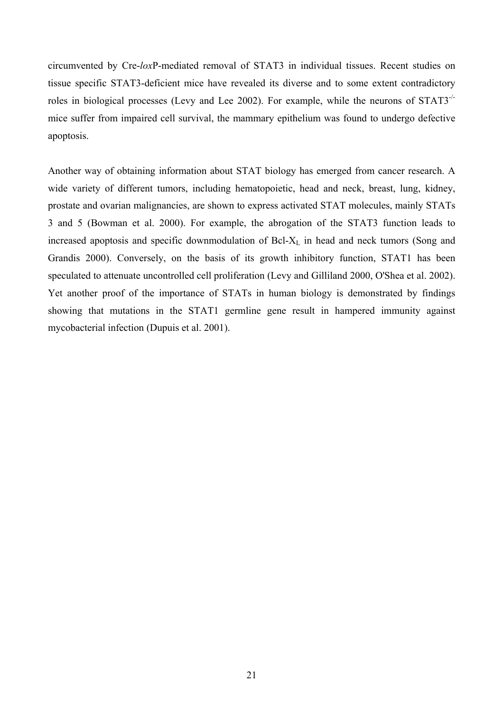circumvented by Cre-*lox*P-mediated removal of STAT3 in individual tissues. Recent studies on tissue specific STAT3-deficient mice have revealed its diverse and to some extent contradictory roles in biological processes (Levy and Lee 2002). For example, while the neurons of STAT3-/ mice suffer from impaired cell survival, the mammary epithelium was found to undergo defective apoptosis.

Another way of obtaining information about STAT biology has emerged from cancer research. A wide variety of different tumors, including hematopoietic, head and neck, breast, lung, kidney, prostate and ovarian malignancies, are shown to express activated STAT molecules, mainly STATs 3 and 5 (Bowman et al. 2000). For example, the abrogation of the STAT3 function leads to increased apoptosis and specific downmodulation of  $Bcl-X<sub>L</sub>$  in head and neck tumors (Song and Grandis 2000). Conversely, on the basis of its growth inhibitory function, STAT1 has been speculated to attenuate uncontrolled cell proliferation (Levy and Gilliland 2000, O'Shea et al. 2002). Yet another proof of the importance of STATs in human biology is demonstrated by findings showing that mutations in the STAT1 germline gene result in hampered immunity against mycobacterial infection (Dupuis et al. 2001).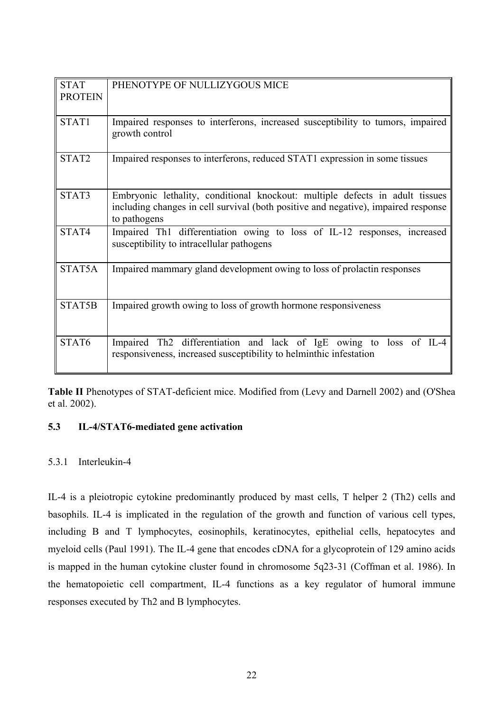<span id="page-21-0"></span>

| <b>STAT</b>    | PHENOTYPE OF NULLIZYGOUS MICE                                                                                                                                                      |  |  |
|----------------|------------------------------------------------------------------------------------------------------------------------------------------------------------------------------------|--|--|
| <b>PROTEIN</b> |                                                                                                                                                                                    |  |  |
| STAT1          | Impaired responses to interferons, increased susceptibility to tumors, impaired<br>growth control                                                                                  |  |  |
| STAT2          | Impaired responses to interferons, reduced STAT1 expression in some tissues                                                                                                        |  |  |
| STAT3          | Embryonic lethality, conditional knockout: multiple defects in adult tissues<br>including changes in cell survival (both positive and negative), impaired response<br>to pathogens |  |  |
| STAT4          | Impaired Th1 differentiation owing to loss of IL-12 responses, increased<br>susceptibility to intracellular pathogens                                                              |  |  |
| STAT5A         | Impaired mammary gland development owing to loss of prolactin responses                                                                                                            |  |  |
| STAT5B         | Impaired growth owing to loss of growth hormone responsiveness                                                                                                                     |  |  |
| STAT6          | Impaired Th2 differentiation and lack of IgE owing to loss of IL-4<br>responsiveness, increased susceptibility to helminthic infestation                                           |  |  |

**Table II** Phenotypes of STAT-deficient mice. Modified from (Levy and Darnell 2002) and (O'Shea et al. 2002).

# **5.3 IL-4/STAT6-mediated gene activation**

### 5.3.1 Interleukin-4

IL-4 is a pleiotropic cytokine predominantly produced by mast cells, T helper 2 (Th2) cells and basophils. IL-4 is implicated in the regulation of the growth and function of various cell types, including B and T lymphocytes, eosinophils, keratinocytes, epithelial cells, hepatocytes and myeloid cells (Paul 1991). The IL-4 gene that encodes cDNA for a glycoprotein of 129 amino acids is mapped in the human cytokine cluster found in chromosome 5q23-31 (Coffman et al. 1986). In the hematopoietic cell compartment, IL-4 functions as a key regulator of humoral immune responses executed by Th2 and B lymphocytes.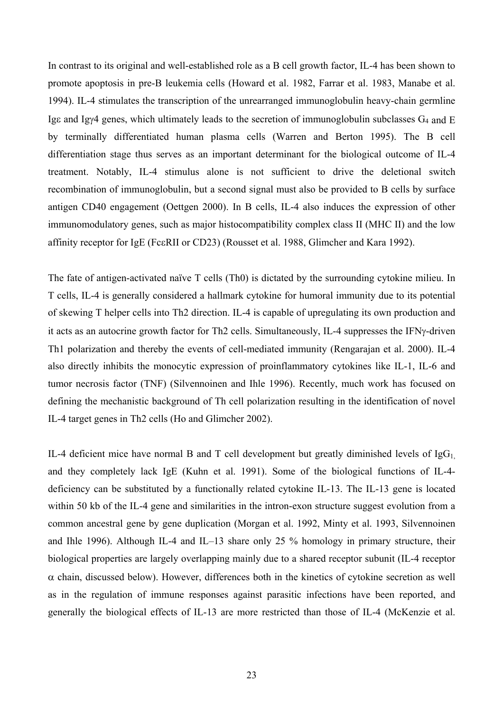In contrast to its original and well-established role as a B cell growth factor, IL-4 has been shown to promote apoptosis in pre-B leukemia cells (Howard et al. 1982, Farrar et al. 1983, Manabe et al. 1994). IL-4 stimulates the transcription of the unrearranged immunoglobulin heavy-chain germline Ige and Igy4 genes, which ultimately leads to the secretion of immunoglobulin subclasses  $G_4$  and E by terminally differentiated human plasma cells (Warren and Berton 1995). The B cell differentiation stage thus serves as an important determinant for the biological outcome of IL-4 treatment. Notably, IL-4 stimulus alone is not sufficient to drive the deletional switch recombination of immunoglobulin, but a second signal must also be provided to B cells by surface antigen CD40 engagement (Oettgen 2000). In B cells, IL-4 also induces the expression of other immunomodulatory genes, such as major histocompatibility complex class II (MHC II) and the low affinity receptor for IgE (FcεRII or CD23) (Rousset et al. 1988, Glimcher and Kara 1992).

The fate of antigen-activated naïve T cells (Th0) is dictated by the surrounding cytokine milieu. In T cells, IL-4 is generally considered a hallmark cytokine for humoral immunity due to its potential of skewing T helper cells into Th2 direction. IL-4 is capable of upregulating its own production and it acts as an autocrine growth factor for Th2 cells. Simultaneously, IL-4 suppresses the IFNγ-driven Th1 polarization and thereby the events of cell-mediated immunity (Rengarajan et al. 2000). IL-4 also directly inhibits the monocytic expression of proinflammatory cytokines like IL-1, IL-6 and tumor necrosis factor (TNF) (Silvennoinen and Ihle 1996). Recently, much work has focused on defining the mechanistic background of Th cell polarization resulting in the identification of novel IL-4 target genes in Th2 cells (Ho and Glimcher 2002).

IL-4 deficient mice have normal B and T cell development but greatly diminished levels of  $I gG<sub>1</sub>$ and they completely lack IgE (Kuhn et al. 1991). Some of the biological functions of IL-4 deficiency can be substituted by a functionally related cytokine IL-13. The IL-13 gene is located within 50 kb of the IL-4 gene and similarities in the intron-exon structure suggest evolution from a common ancestral gene by gene duplication (Morgan et al. 1992, Minty et al. 1993, Silvennoinen and Ihle 1996). Although IL-4 and IL–13 share only 25 % homology in primary structure, their biological properties are largely overlapping mainly due to a shared receptor subunit (IL-4 receptor  $\alpha$  chain, discussed below). However, differences both in the kinetics of cytokine secretion as well as in the regulation of immune responses against parasitic infections have been reported, and generally the biological effects of IL-13 are more restricted than those of IL-4 (McKenzie et al.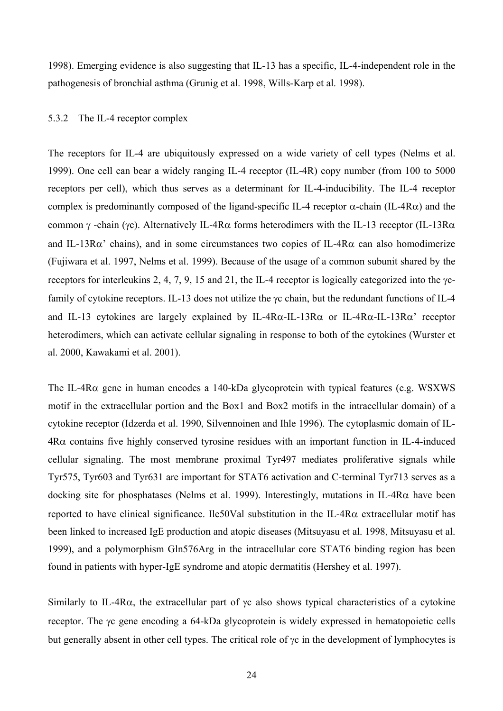<span id="page-23-0"></span>1998). Emerging evidence is also suggesting that IL-13 has a specific, IL-4-independent role in the pathogenesis of bronchial asthma (Grunig et al. 1998, Wills-Karp et al. 1998).

### 5.3.2 The IL-4 receptor complex

The receptors for IL-4 are ubiquitously expressed on a wide variety of cell types (Nelms et al. 1999). One cell can bear a widely ranging IL-4 receptor (IL-4R) copy number (from 100 to 5000 receptors per cell), which thus serves as a determinant for IL-4-inducibility. The IL-4 receptor complex is predominantly composed of the ligand-specific IL-4 receptor  $\alpha$ -chain (IL-4R $\alpha$ ) and the common γ -chain (γc). Alternatively IL-4Rα forms heterodimers with the IL-13 receptor (IL-13Rα and IL-13R $\alpha$ ' chains), and in some circumstances two copies of IL-4R $\alpha$  can also homodimerize (Fujiwara et al. 1997, Nelms et al. 1999). Because of the usage of a common subunit shared by the receptors for interleukins 2, 4, 7, 9, 15 and 21, the IL-4 receptor is logically categorized into the γcfamily of cytokine receptors. IL-13 does not utilize the γc chain, but the redundant functions of IL-4 and IL-13 cytokines are largely explained by IL-4R $\alpha$ -IL-13R $\alpha$  or IL-4R $\alpha$ -IL-13R $\alpha$ ' receptor heterodimers, which can activate cellular signaling in response to both of the cytokines (Wurster et al. 2000, Kawakami et al. 2001).

The IL-4Rα gene in human encodes a 140-kDa glycoprotein with typical features (e.g. WSXWS motif in the extracellular portion and the Box1 and Box2 motifs in the intracellular domain) of a cytokine receptor (Idzerda et al. 1990, Silvennoinen and Ihle 1996). The cytoplasmic domain of IL-4Rα contains five highly conserved tyrosine residues with an important function in IL-4-induced cellular signaling. The most membrane proximal Tyr497 mediates proliferative signals while Tyr575, Tyr603 and Tyr631 are important for STAT6 activation and C-terminal Tyr713 serves as a docking site for phosphatases (Nelms et al. 1999). Interestingly, mutations in IL-4Rα have been reported to have clinical significance. Ile50Val substitution in the IL-4Rα extracellular motif has been linked to increased IgE production and atopic diseases (Mitsuyasu et al. 1998, Mitsuyasu et al. 1999), and a polymorphism Gln576Arg in the intracellular core STAT6 binding region has been found in patients with hyper-IgE syndrome and atopic dermatitis (Hershey et al. 1997).

Similarly to IL-4R $\alpha$ , the extracellular part of  $\gamma c$  also shows typical characteristics of a cytokine receptor. The γc gene encoding a 64-kDa glycoprotein is widely expressed in hematopoietic cells but generally absent in other cell types. The critical role of γc in the development of lymphocytes is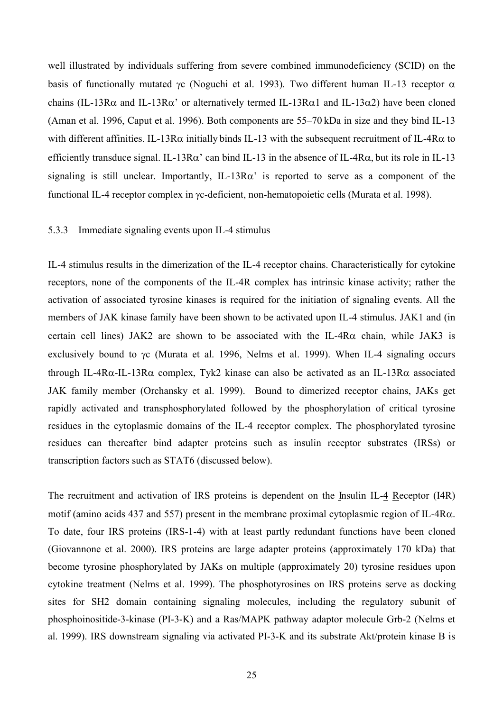<span id="page-24-0"></span>well illustrated by individuals suffering from severe combined immunodeficiency (SCID) on the basis of functionally mutated γc (Noguchi et al. 1993). Two different human IL-13 receptor  $\alpha$ chains (IL-13R $\alpha$  and IL-13R $\alpha$ ' or alternatively termed IL-13R $\alpha$ 1 and IL-13 $\alpha$ 2) have been cloned (Aman et al. 1996, Caput et al. 1996). Both components are 55–70 kDa in size and they bind IL-13 with different affinities. IL-13R $\alpha$  initially binds IL-13 with the subsequent recruitment of IL-4R $\alpha$  to efficiently transduce signal. IL-13R $\alpha$ ' can bind IL-13 in the absence of IL-4R $\alpha$ , but its role in IL-13 signaling is still unclear. Importantly, IL-13R $\alpha$ ' is reported to serve as a component of the functional IL-4 receptor complex in γc-deficient, non-hematopoietic cells (Murata et al. 1998).

#### 5.3.3 Immediate signaling events upon IL-4 stimulus

IL-4 stimulus results in the dimerization of the IL-4 receptor chains. Characteristically for cytokine receptors, none of the components of the IL-4R complex has intrinsic kinase activity; rather the activation of associated tyrosine kinases is required for the initiation of signaling events. All the members of JAK kinase family have been shown to be activated upon IL-4 stimulus. JAK1 and (in certain cell lines) JAK2 are shown to be associated with the IL-4R $\alpha$  chain, while JAK3 is exclusively bound to γc (Murata et al. 1996, Nelms et al. 1999). When IL-4 signaling occurs through IL-4Rα-IL-13Rα complex, Tyk2 kinase can also be activated as an IL-13Rα associated JAK family member (Orchansky et al. 1999). Bound to dimerized receptor chains, JAKs get rapidly activated and transphosphorylated followed by the phosphorylation of critical tyrosine residues in the cytoplasmic domains of the IL-4 receptor complex. The phosphorylated tyrosine residues can thereafter bind adapter proteins such as insulin receptor substrates (IRSs) or transcription factors such as STAT6 (discussed below).

The recruitment and activation of IRS proteins is dependent on the Insulin IL-4 Receptor (I4R) motif (amino acids 437 and 557) present in the membrane proximal cytoplasmic region of IL-4Rα. To date, four IRS proteins (IRS-1-4) with at least partly redundant functions have been cloned (Giovannone et al. 2000). IRS proteins are large adapter proteins (approximately 170 kDa) that become tyrosine phosphorylated by JAKs on multiple (approximately 20) tyrosine residues upon cytokine treatment (Nelms et al. 1999). The phosphotyrosines on IRS proteins serve as docking sites for SH2 domain containing signaling molecules, including the regulatory subunit of phosphoinositide-3-kinase (PI-3-K) and a Ras/MAPK pathway adaptor molecule Grb-2 (Nelms et al. 1999). IRS downstream signaling via activated PI-3-K and its substrate Akt/protein kinase B is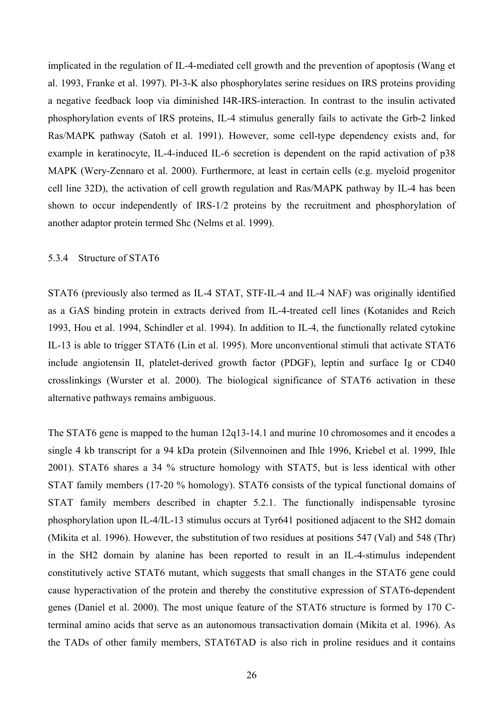<span id="page-25-0"></span>implicated in the regulation of IL-4-mediated cell growth and the prevention of apoptosis (Wang et al. 1993, Franke et al. 1997). PI-3-K also phosphorylates serine residues on IRS proteins providing a negative feedback loop via diminished I4R-IRS-interaction. In contrast to the insulin activated phosphorylation events of IRS proteins, IL-4 stimulus generally fails to activate the Grb-2 linked Ras/MAPK pathway (Satoh et al. 1991). However, some cell-type dependency exists and, for example in keratinocyte, IL-4-induced IL-6 secretion is dependent on the rapid activation of p38 MAPK (Wery-Zennaro et al. 2000). Furthermore, at least in certain cells (e.g. myeloid progenitor cell line 32D), the activation of cell growth regulation and Ras/MAPK pathway by IL-4 has been shown to occur independently of IRS-1/2 proteins by the recruitment and phosphorylation of another adaptor protein termed Shc (Nelms et al. 1999).

### 5.3.4 Structure of STAT6

STAT6 (previously also termed as IL-4 STAT, STF-IL-4 and IL-4 NAF) was originally identified as a GAS binding protein in extracts derived from IL-4-treated cell lines (Kotanides and Reich 1993, Hou et al. 1994, Schindler et al. 1994). In addition to IL-4, the functionally related cytokine IL-13 is able to trigger STAT6 (Lin et al. 1995). More unconventional stimuli that activate STAT6 include angiotensin II, platelet-derived growth factor (PDGF), leptin and surface Ig or CD40 crosslinkings (Wurster et al. 2000). The biological significance of STAT6 activation in these alternative pathways remains ambiguous.

The STAT6 gene is mapped to the human 12q13-14.1 and murine 10 chromosomes and it encodes a single 4 kb transcript for a 94 kDa protein (Silvennoinen and Ihle 1996, Kriebel et al. 1999, Ihle 2001). STAT6 shares a 34 % structure homology with STAT5, but is less identical with other STAT family members (17-20 % homology). STAT6 consists of the typical functional domains of STAT family members described in chapter 5.2.1. The functionally indispensable tyrosine phosphorylation upon IL-4/IL-13 stimulus occurs at Tyr641 positioned adjacent to the SH2 domain (Mikita et al. 1996). However, the substitution of two residues at positions 547 (Val) and 548 (Thr) in the SH2 domain by alanine has been reported to result in an IL-4-stimulus independent constitutively active STAT6 mutant, which suggests that small changes in the STAT6 gene could cause hyperactivation of the protein and thereby the constitutive expression of STAT6-dependent genes (Daniel et al. 2000). The most unique feature of the STAT6 structure is formed by 170 Cterminal amino acids that serve as an autonomous transactivation domain (Mikita et al. 1996). As the TADs of other family members, STAT6TAD is also rich in proline residues and it contains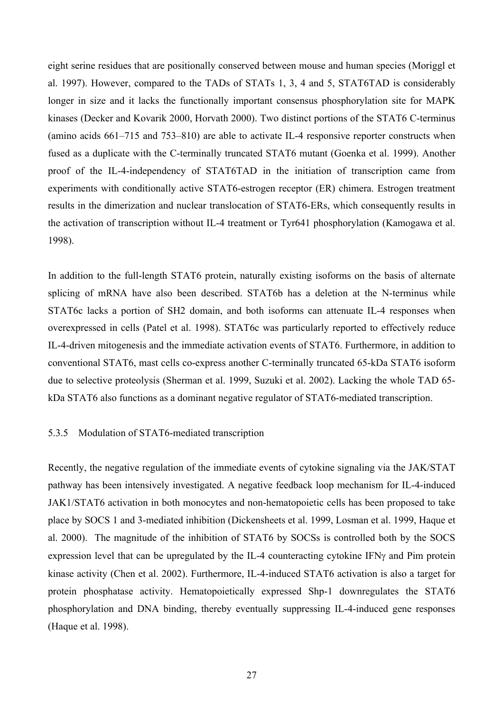<span id="page-26-0"></span>eight serine residues that are positionally conserved between mouse and human species (Moriggl et al. 1997). However, compared to the TADs of STATs 1, 3, 4 and 5, STAT6TAD is considerably longer in size and it lacks the functionally important consensus phosphorylation site for MAPK kinases (Decker and Kovarik 2000, Horvath 2000). Two distinct portions of the STAT6 C-terminus (amino acids 661–715 and 753–810) are able to activate IL-4 responsive reporter constructs when fused as a duplicate with the C-terminally truncated STAT6 mutant (Goenka et al. 1999). Another proof of the IL-4-independency of STAT6TAD in the initiation of transcription came from experiments with conditionally active STAT6-estrogen receptor (ER) chimera. Estrogen treatment results in the dimerization and nuclear translocation of STAT6-ERs, which consequently results in the activation of transcription without IL-4 treatment or Tyr641 phosphorylation (Kamogawa et al. 1998).

In addition to the full-length STAT6 protein, naturally existing isoforms on the basis of alternate splicing of mRNA have also been described. STAT6b has a deletion at the N-terminus while STAT6c lacks a portion of SH2 domain, and both isoforms can attenuate IL-4 responses when overexpressed in cells (Patel et al. 1998). STAT6c was particularly reported to effectively reduce IL-4-driven mitogenesis and the immediate activation events of STAT6. Furthermore, in addition to conventional STAT6, mast cells co-express another C-terminally truncated 65-kDa STAT6 isoform due to selective proteolysis (Sherman et al. 1999, Suzuki et al. 2002). Lacking the whole TAD 65 kDa STAT6 also functions as a dominant negative regulator of STAT6-mediated transcription.

### 5.3.5 Modulation of STAT6-mediated transcription

Recently, the negative regulation of the immediate events of cytokine signaling via the JAK/STAT pathway has been intensively investigated. A negative feedback loop mechanism for IL-4-induced JAK1/STAT6 activation in both monocytes and non-hematopoietic cells has been proposed to take place by SOCS 1 and 3-mediated inhibition (Dickensheets et al. 1999, Losman et al. 1999, Haque et al. 2000). The magnitude of the inhibition of STAT6 by SOCSs is controlled both by the SOCS expression level that can be upregulated by the IL-4 counteracting cytokine IFNγ and Pim protein kinase activity (Chen et al. 2002). Furthermore, IL-4-induced STAT6 activation is also a target for protein phosphatase activity. Hematopoietically expressed Shp-1 downregulates the STAT6 phosphorylation and DNA binding, thereby eventually suppressing IL-4-induced gene responses (Haque et al. 1998).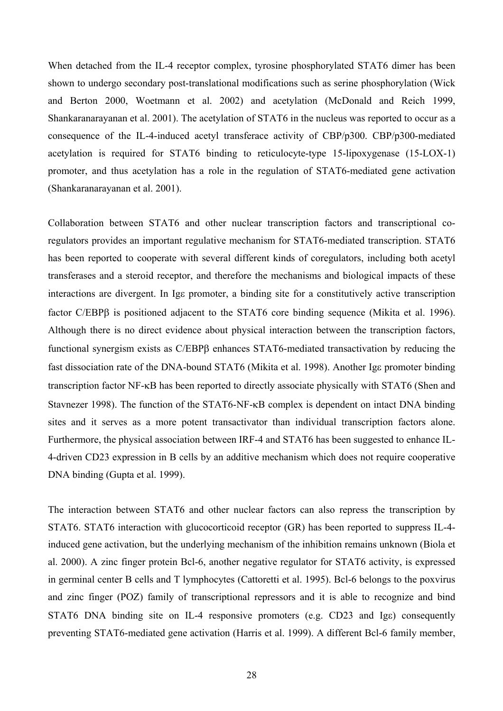When detached from the IL-4 receptor complex, tyrosine phosphorylated STAT6 dimer has been shown to undergo secondary post-translational modifications such as serine phosphorylation (Wick and Berton 2000, Woetmann et al. 2002) and acetylation (McDonald and Reich 1999, Shankaranarayanan et al. 2001). The acetylation of STAT6 in the nucleus was reported to occur as a consequence of the IL-4-induced acetyl transferace activity of CBP/p300. CBP/p300-mediated acetylation is required for STAT6 binding to reticulocyte-type 15-lipoxygenase (15-LOX-1) promoter, and thus acetylation has a role in the regulation of STAT6-mediated gene activation (Shankaranarayanan et al. 2001).

Collaboration between STAT6 and other nuclear transcription factors and transcriptional coregulators provides an important regulative mechanism for STAT6-mediated transcription. STAT6 has been reported to cooperate with several different kinds of coregulators, including both acetyl transferases and a steroid receptor, and therefore the mechanisms and biological impacts of these interactions are divergent. In Igε promoter, a binding site for a constitutively active transcription factor C/EBPβ is positioned adjacent to the STAT6 core binding sequence (Mikita et al. 1996). Although there is no direct evidence about physical interaction between the transcription factors, functional synergism exists as C/EBPβ enhances STAT6-mediated transactivation by reducing the fast dissociation rate of the DNA-bound STAT6 (Mikita et al. 1998). Another Igε promoter binding transcription factor NF-κB has been reported to directly associate physically with STAT6 (Shen and Stavnezer 1998). The function of the STAT6-NF-κB complex is dependent on intact DNA binding sites and it serves as a more potent transactivator than individual transcription factors alone. Furthermore, the physical association between IRF-4 and STAT6 has been suggested to enhance IL-4-driven CD23 expression in B cells by an additive mechanism which does not require cooperative DNA binding (Gupta et al. 1999).

The interaction between STAT6 and other nuclear factors can also repress the transcription by STAT6. STAT6 interaction with glucocorticoid receptor (GR) has been reported to suppress IL-4 induced gene activation, but the underlying mechanism of the inhibition remains unknown (Biola et al. 2000). A zinc finger protein Bcl-6, another negative regulator for STAT6 activity, is expressed in germinal center B cells and T lymphocytes (Cattoretti et al. 1995). Bcl-6 belongs to the poxvirus and zinc finger (POZ) family of transcriptional repressors and it is able to recognize and bind STAT6 DNA binding site on IL-4 responsive promoters (e.g. CD23 and Ige) consequently preventing STAT6-mediated gene activation (Harris et al. 1999). A different Bcl-6 family member,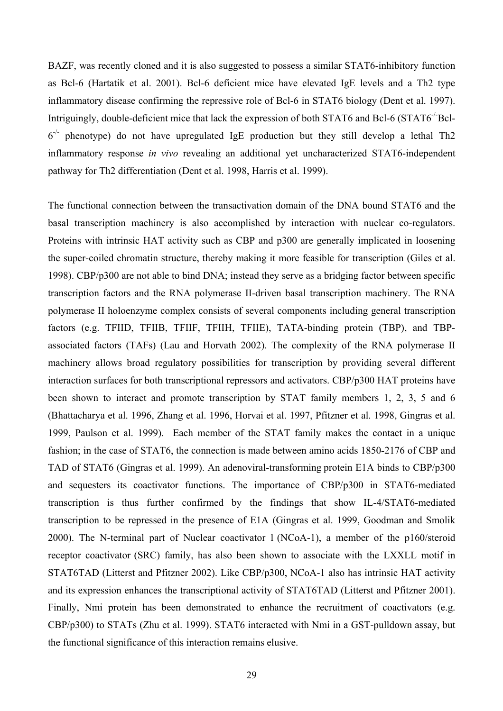BAZF, was recently cloned and it is also suggested to possess a similar STAT6-inhibitory function as Bcl-6 (Hartatik et al. 2001). Bcl-6 deficient mice have elevated IgE levels and a Th2 type inflammatory disease confirming the repressive role of Bcl-6 in STAT6 biology (Dent et al. 1997). Intriguingly, double-deficient mice that lack the expression of both STAT6 and Bcl-6 (STAT6<sup>-/-</sup>Bcl- $6^{-/-}$  phenotype) do not have upregulated IgE production but they still develop a lethal Th2 inflammatory response *in vivo* revealing an additional yet uncharacterized STAT6-independent pathway for Th2 differentiation (Dent et al. 1998, Harris et al. 1999).

The functional connection between the transactivation domain of the DNA bound STAT6 and the basal transcription machinery is also accomplished by interaction with nuclear co-regulators. Proteins with intrinsic HAT activity such as CBP and p300 are generally implicated in loosening the super-coiled chromatin structure, thereby making it more feasible for transcription (Giles et al. 1998). CBP/p300 are not able to bind DNA; instead they serve as a bridging factor between specific transcription factors and the RNA polymerase II-driven basal transcription machinery. The RNA polymerase II holoenzyme complex consists of several components including general transcription factors (e.g. TFIID, TFIIB, TFIIF, TFIIH, TFIIE), TATA-binding protein (TBP), and TBPassociated factors (TAFs) (Lau and Horvath 2002). The complexity of the RNA polymerase II machinery allows broad regulatory possibilities for transcription by providing several different interaction surfaces for both transcriptional repressors and activators. CBP/p300 HAT proteins have been shown to interact and promote transcription by STAT family members 1, 2, 3, 5 and 6 (Bhattacharya et al. 1996, Zhang et al. 1996, Horvai et al. 1997, Pfitzner et al. 1998, Gingras et al. 1999, Paulson et al. 1999). Each member of the STAT family makes the contact in a unique fashion; in the case of STAT6, the connection is made between amino acids 1850-2176 of CBP and TAD of STAT6 (Gingras et al. 1999). An adenoviral-transforming protein E1A binds to CBP/p300 and sequesters its coactivator functions. The importance of CBP/p300 in STAT6-mediated transcription is thus further confirmed by the findings that show IL-4/STAT6-mediated transcription to be repressed in the presence of E1A (Gingras et al. 1999, Goodman and Smolik 2000). The N-terminal part of Nuclear coactivator 1 (NCoA-1), a member of the p160/steroid receptor coactivator (SRC) family, has also been shown to associate with the LXXLL motif in STAT6TAD (Litterst and Pfitzner 2002). Like CBP/p300, NCoA-1 also has intrinsic HAT activity and its expression enhances the transcriptional activity of STAT6TAD (Litterst and Pfitzner 2001). Finally, Nmi protein has been demonstrated to enhance the recruitment of coactivators (e.g. CBP/p300) to STATs (Zhu et al. 1999). STAT6 interacted with Nmi in a GST-pulldown assay, but the functional significance of this interaction remains elusive.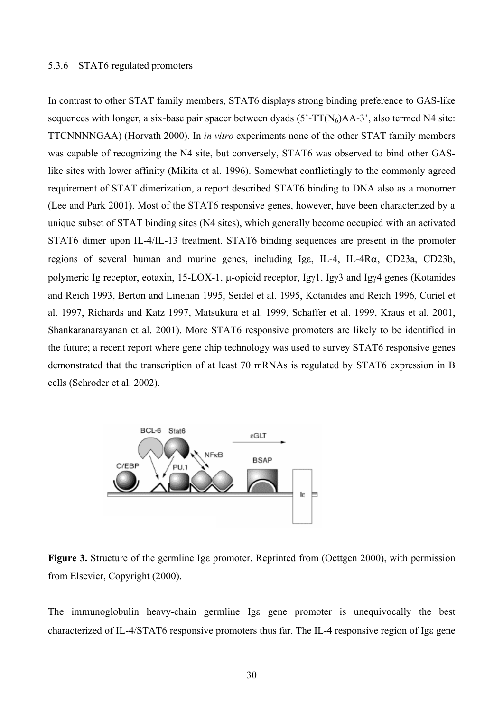### <span id="page-29-0"></span>5.3.6 STAT6 regulated promoters

In contrast to other STAT family members, STAT6 displays strong binding preference to GAS-like sequences with longer, a six-base pair spacer between dyads  $(5'-TT(N<sub>6</sub>)AA-3)$ <sup>'</sup>, also termed N4 site: TTCNNNNGAA) (Horvath 2000). In *in vitro* experiments none of the other STAT family members was capable of recognizing the N4 site, but conversely, STAT6 was observed to bind other GASlike sites with lower affinity (Mikita et al. 1996). Somewhat conflictingly to the commonly agreed requirement of STAT dimerization, a report described STAT6 binding to DNA also as a monomer (Lee and Park 2001). Most of the STAT6 responsive genes, however, have been characterized by a unique subset of STAT binding sites (N4 sites), which generally become occupied with an activated STAT6 dimer upon IL-4/IL-13 treatment. STAT6 binding sequences are present in the promoter regions of several human and murine genes, including Igε, IL-4, IL-4Rα, CD23a, CD23b, polymeric Ig receptor, eotaxin, 15-LOX-1, µ-opioid receptor, Igγ1, Igγ3 and Igγ4 genes (Kotanides and Reich 1993, Berton and Linehan 1995, Seidel et al. 1995, Kotanides and Reich 1996, Curiel et al. 1997, Richards and Katz 1997, Matsukura et al. 1999, Schaffer et al. 1999, Kraus et al. 2001, Shankaranarayanan et al. 2001). More STAT6 responsive promoters are likely to be identified in the future; a recent report where gene chip technology was used to survey STAT6 responsive genes demonstrated that the transcription of at least 70 mRNAs is regulated by STAT6 expression in B cells (Schroder et al. 2002).



**Figure 3.** Structure of the germline Ige promoter. Reprinted from (Oettgen 2000), with permission from Elsevier, Copyright (2000).

The immunoglobulin heavy-chain germline Igε gene promoter is unequivocally the best characterized of IL-4/STAT6 responsive promoters thus far. The IL-4 responsive region of Igε gene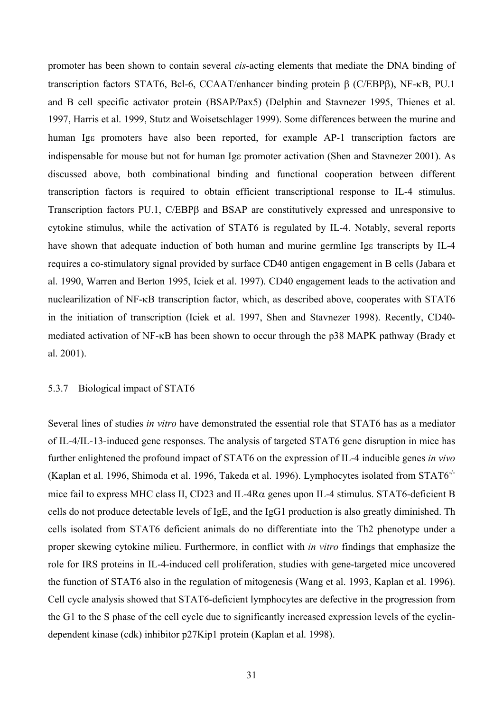<span id="page-30-0"></span>promoter has been shown to contain several *cis*-acting elements that mediate the DNA binding of transcription factors STAT6, Bcl-6, CCAAT/enhancer binding protein β (C/EBPβ), NF-κB, PU.1 and B cell specific activator protein (BSAP/Pax5) (Delphin and Stavnezer 1995, Thienes et al. 1997, Harris et al. 1999, Stutz and Woisetschlager 1999). Some differences between the murine and human Ige promoters have also been reported, for example AP-1 transcription factors are indispensable for mouse but not for human Igε promoter activation (Shen and Stavnezer 2001). As discussed above, both combinational binding and functional cooperation between different transcription factors is required to obtain efficient transcriptional response to IL-4 stimulus. Transcription factors PU.1, C/EBPβ and BSAP are constitutively expressed and unresponsive to cytokine stimulus, while the activation of STAT6 is regulated by IL-4. Notably, several reports have shown that adequate induction of both human and murine germline Igε transcripts by IL-4 requires a co-stimulatory signal provided by surface CD40 antigen engagement in B cells (Jabara et al. 1990, Warren and Berton 1995, Iciek et al. 1997). CD40 engagement leads to the activation and nuclearilization of NF-κB transcription factor, which, as described above, cooperates with STAT6 in the initiation of transcription (Iciek et al. 1997, Shen and Stavnezer 1998). Recently, CD40 mediated activation of NF-κB has been shown to occur through the p38 MAPK pathway (Brady et al. 2001).

### 5.3.7 Biological impact of STAT6

Several lines of studies *in vitro* have demonstrated the essential role that STAT6 has as a mediator of IL-4/IL-13-induced gene responses. The analysis of targeted STAT6 gene disruption in mice has further enlightened the profound impact of STAT6 on the expression of IL-4 inducible genes *in vivo* (Kaplan et al. 1996, Shimoda et al. 1996, Takeda et al. 1996). Lymphocytes isolated from STAT6-/ mice fail to express MHC class II, CD23 and IL-4Rα genes upon IL-4 stimulus. STAT6-deficient B cells do not produce detectable levels of IgE, and the IgG1 production is also greatly diminished. Th cells isolated from STAT6 deficient animals do no differentiate into the Th2 phenotype under a proper skewing cytokine milieu. Furthermore, in conflict with *in vitro* findings that emphasize the role for IRS proteins in IL-4-induced cell proliferation, studies with gene-targeted mice uncovered the function of STAT6 also in the regulation of mitogenesis (Wang et al. 1993, Kaplan et al. 1996). Cell cycle analysis showed that STAT6-deficient lymphocytes are defective in the progression from the G1 to the S phase of the cell cycle due to significantly increased expression levels of the cyclindependent kinase (cdk) inhibitor p27Kip1 protein (Kaplan et al. 1998).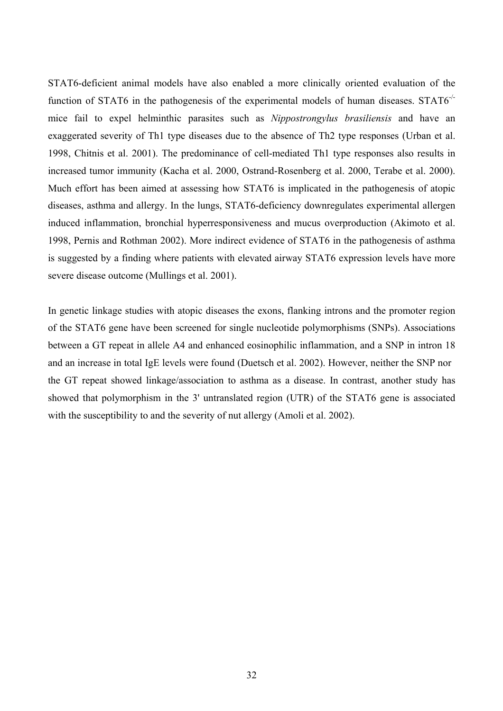STAT6-deficient animal models have also enabled a more clinically oriented evaluation of the function of STAT6 in the pathogenesis of the experimental models of human diseases.  $STAT6^{-/-}$ mice fail to expel helminthic parasites such as *Nippostrongylus brasiliensis* and have an exaggerated severity of Th1 type diseases due to the absence of Th2 type responses (Urban et al. 1998, Chitnis et al. 2001). The predominance of cell-mediated Th1 type responses also results in increased tumor immunity (Kacha et al. 2000, Ostrand-Rosenberg et al. 2000, Terabe et al. 2000). Much effort has been aimed at assessing how STAT6 is implicated in the pathogenesis of atopic diseases, asthma and allergy. In the lungs, STAT6-deficiency downregulates experimental allergen induced inflammation, bronchial hyperresponsiveness and mucus overproduction (Akimoto et al. 1998, Pernis and Rothman 2002). More indirect evidence of STAT6 in the pathogenesis of asthma is suggested by a finding where patients with elevated airway STAT6 expression levels have more severe disease outcome (Mullings et al. 2001).

In genetic linkage studies with atopic diseases the exons, flanking introns and the promoter region of the STAT6 gene have been screened for single nucleotide polymorphisms (SNPs). Associations between a GT repeat in allele A4 and enhanced eosinophilic inflammation, and a SNP in intron 18 and an increase in total IgE levels were found (Duetsch et al. 2002). However, neither the SNP nor the GT repeat showed linkage/association to asthma as a disease. In contrast, another study has showed that polymorphism in the 3' untranslated region (UTR) of the STAT6 gene is associated with the susceptibility to and the severity of nut allergy (Amoli et al. 2002).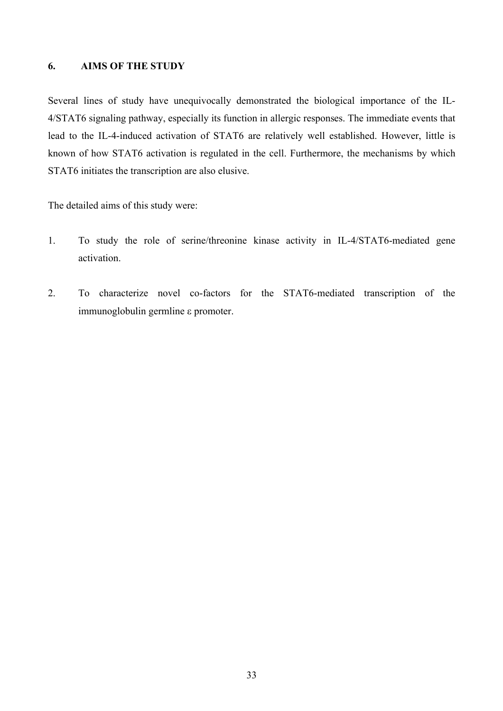# <span id="page-32-0"></span>**6. AIMS OF THE STUDY**

Several lines of study have unequivocally demonstrated the biological importance of the IL-4/STAT6 signaling pathway, especially its function in allergic responses. The immediate events that lead to the IL-4-induced activation of STAT6 are relatively well established. However, little is known of how STAT6 activation is regulated in the cell. Furthermore, the mechanisms by which STAT6 initiates the transcription are also elusive.

The detailed aims of this study were:

- 1. To study the role of serine/threonine kinase activity in IL-4/STAT6-mediated gene activation.
- 2. To characterize novel co-factors for the STAT6-mediated transcription of the immunoglobulin germline ε promoter.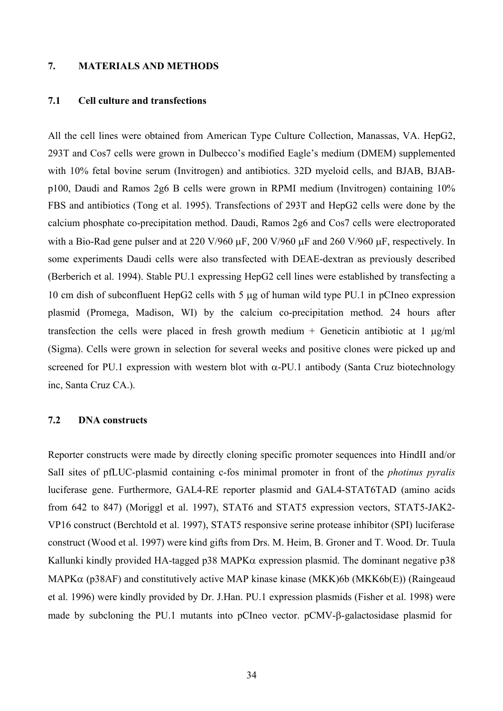### <span id="page-33-0"></span>**7. MATERIALS AND METHODS**

## **7.1 Cell culture and transfections**

All the cell lines were obtained from American Type Culture Collection, Manassas, VA. HepG2, 293T and Cos7 cells were grown in Dulbecco's modified Eagle's medium (DMEM) supplemented with 10% fetal bovine serum (Invitrogen) and antibiotics. 32D myeloid cells, and BJAB, BJABp100, Daudi and Ramos 2g6 B cells were grown in RPMI medium (Invitrogen) containing 10% FBS and antibiotics (Tong et al. 1995). Transfections of 293T and HepG2 cells were done by the calcium phosphate co-precipitation method. Daudi, Ramos 2g6 and Cos7 cells were electroporated with a Bio-Rad gene pulser and at 220 V/960  $\mu$ F, 200 V/960  $\mu$ F and 260 V/960  $\mu$ F, respectively. In some experiments Daudi cells were also transfected with DEAE-dextran as previously described (Berberich et al. 1994). Stable PU.1 expressing HepG2 cell lines were established by transfecting a 10 cm dish of subconfluent HepG2 cells with 5 µg of human wild type PU.1 in pCIneo expression plasmid (Promega, Madison, WI) by the calcium co-precipitation method. 24 hours after transfection the cells were placed in fresh growth medium  $+$  Geneticin antibiotic at 1  $\mu$ g/ml (Sigma). Cells were grown in selection for several weeks and positive clones were picked up and screened for PU.1 expression with western blot with  $\alpha$ -PU.1 antibody (Santa Cruz biotechnology inc, Santa Cruz CA.).

## **7.2 DNA constructs**

Reporter constructs were made by directly cloning specific promoter sequences into HindII and/or SalI sites of pfLUC-plasmid containing c-fos minimal promoter in front of the *photinus pyralis* luciferase gene. Furthermore, GAL4-RE reporter plasmid and GAL4-STAT6TAD (amino acids from 642 to 847) (Moriggl et al. 1997), STAT6 and STAT5 expression vectors, STAT5-JAK2- VP16 construct (Berchtold et al. 1997), STAT5 responsive serine protease inhibitor (SPI) luciferase construct (Wood et al. 1997) were kind gifts from Drs. M. Heim, B. Groner and T. Wood. Dr. Tuula Kallunki kindly provided HA-tagged p38 MAPKα expression plasmid. The dominant negative p38 MAPKα (p38AF) and constitutively active MAP kinase kinase (MKK)6b (MKK6b(E)) (Raingeaud et al. 1996) were kindly provided by Dr. J.Han. PU.1 expression plasmids (Fisher et al. 1998) were made by subcloning the PU.1 mutants into pCIneo vector. pCMV-β-galactosidase plasmid for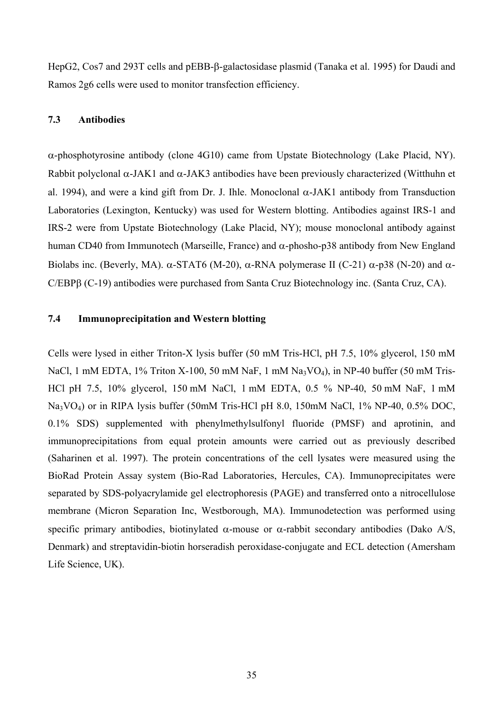<span id="page-34-0"></span>HepG2, Cos7 and 293T cells and pEBB-β-galactosidase plasmid (Tanaka et al. 1995) for Daudi and Ramos 2g6 cells were used to monitor transfection efficiency.

# **7.3 Antibodies**

α-phosphotyrosine antibody (clone 4G10) came from Upstate Biotechnology (Lake Placid, NY). Rabbit polyclonal  $\alpha$ -JAK1 and  $\alpha$ -JAK3 antibodies have been previously characterized (Witthuhn et al. 1994), and were a kind gift from Dr. J. Ihle. Monoclonal  $\alpha$ -JAK1 antibody from Transduction Laboratories (Lexington, Kentucky) was used for Western blotting. Antibodies against IRS-1 and IRS-2 were from Upstate Biotechnology (Lake Placid, NY); mouse monoclonal antibody against human CD40 from Immunotech (Marseille, France) and α-phosho-p38 antibody from New England Biolabs inc. (Beverly, MA).  $\alpha$ -STAT6 (M-20),  $\alpha$ -RNA polymerase II (C-21)  $\alpha$ -p38 (N-20) and  $\alpha$ -C/EBPβ (C-19) antibodies were purchased from Santa Cruz Biotechnology inc. (Santa Cruz, CA).

### **7.4 Immunoprecipitation and Western blotting**

Cells were lysed in either Triton-X lysis buffer (50 mM Tris-HCl, pH 7.5, 10% glycerol, 150 mM NaCl, 1 mM EDTA, 1% Triton X-100, 50 mM NaF, 1 mM Na<sub>3</sub>VO<sub>4</sub>), in NP-40 buffer (50 mM Tris-HCl pH 7.5, 10% glycerol, 150 mM NaCl, 1 mM EDTA, 0.5 % NP-40, 50 mM NaF, 1 mM Na<sub>3</sub>VO<sub>4</sub>) or in RIPA lysis buffer (50mM Tris-HCl pH 8.0, 150mM NaCl, 1% NP-40, 0.5% DOC, 0.1% SDS) supplemented with phenylmethylsulfonyl fluoride (PMSF) and aprotinin, and immunoprecipitations from equal protein amounts were carried out as previously described (Saharinen et al. 1997). The protein concentrations of the cell lysates were measured using the BioRad Protein Assay system (Bio-Rad Laboratories, Hercules, CA). Immunoprecipitates were separated by SDS-polyacrylamide gel electrophoresis (PAGE) and transferred onto a nitrocellulose membrane (Micron Separation Inc, Westborough, MA). Immunodetection was performed using specific primary antibodies, biotinylated  $\alpha$ -mouse or  $\alpha$ -rabbit secondary antibodies (Dako A/S, Denmark) and streptavidin-biotin horseradish peroxidase-conjugate and ECL detection (Amersham Life Science, UK).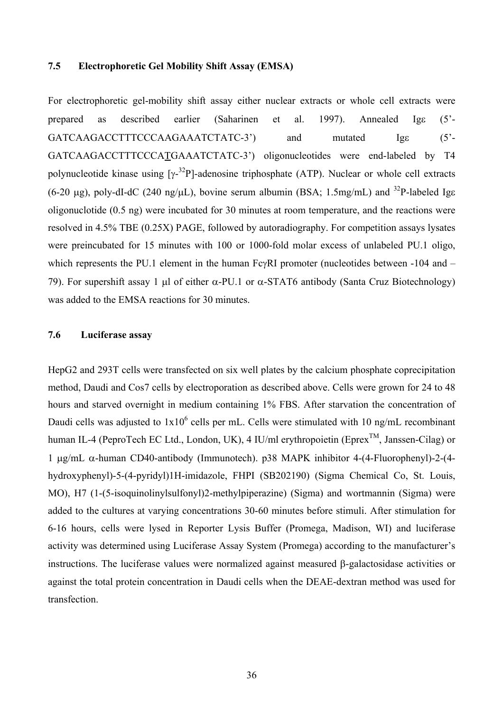### <span id="page-35-0"></span>**7.5 Electrophoretic Gel Mobility Shift Assay (EMSA)**

For electrophoretic gel-mobility shift assay either nuclear extracts or whole cell extracts were prepared as described earlier (Saharinen et al. 1997). Annealed Igε (5'- GATCAAGACCTTTCCCAAGAAATCTATC-3') and mutated Igε (5'- GATCAAGACCTTTCCCATGAAATCTATC-3') oligonucleotides were end-labeled by T4 polynucleotide kinase using  $[\gamma^{-32}P]$ -adenosine triphosphate (ATP). Nuclear or whole cell extracts (6-20 µg), poly-dI-dC (240 ng/µL), bovine serum albumin (BSA; 1.5mg/mL) and <sup>32</sup>P-labeled Ige oligonuclotide (0.5 ng) were incubated for 30 minutes at room temperature, and the reactions were resolved in 4.5% TBE (0.25X) PAGE, followed by autoradiography. For competition assays lysates were preincubated for 15 minutes with 100 or 1000-fold molar excess of unlabeled PU.1 oligo, which represents the PU.1 element in the human FcγRI promoter (nucleotides between -104 and – 79). For supershift assay 1 μl of either  $\alpha$ -PU.1 or  $\alpha$ -STAT6 antibody (Santa Cruz Biotechnology) was added to the EMSA reactions for 30 minutes.

### **7.6 Luciferase assay**

HepG2 and 293T cells were transfected on six well plates by the calcium phosphate coprecipitation method, Daudi and Cos7 cells by electroporation as described above. Cells were grown for 24 to 48 hours and starved overnight in medium containing 1% FBS. After starvation the concentration of Daudi cells was adjusted to  $1x10^6$  cells per mL. Cells were stimulated with 10 ng/mL recombinant human IL-4 (PeproTech EC Ltd., London, UK), 4 IU/ml erythropoietin (Eprex<sup>TM</sup>, Janssen-Cilag) or 1 µg/mL α-human CD40-antibody (Immunotech). p38 MAPK inhibitor 4-(4-Fluorophenyl)-2-(4 hydroxyphenyl)-5-(4-pyridyl)1H-imidazole, FHPI (SB202190) (Sigma Chemical Co, St. Louis, MO), H7 (1-(5-isoquinolinylsulfonyl)2-methylpiperazine) (Sigma) and wortmannin (Sigma) were added to the cultures at varying concentrations 30-60 minutes before stimuli. After stimulation for 6-16 hours, cells were lysed in Reporter Lysis Buffer (Promega, Madison, WI) and luciferase activity was determined using Luciferase Assay System (Promega) according to the manufacturer's instructions. The luciferase values were normalized against measured β-galactosidase activities or against the total protein concentration in Daudi cells when the DEAE-dextran method was used for transfection.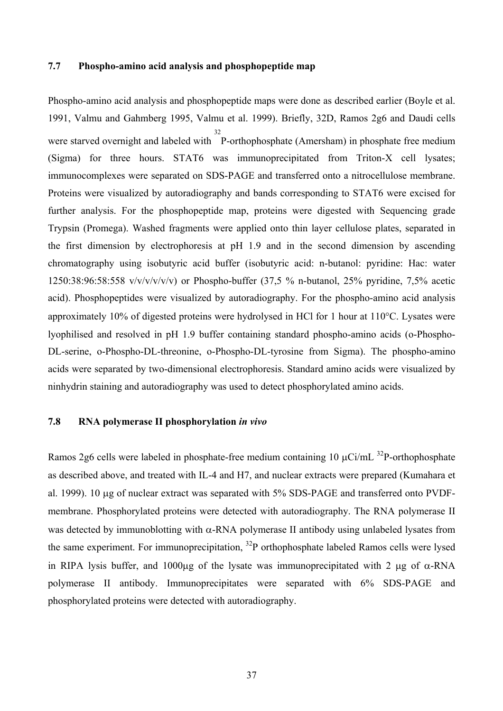### **7.7 Phospho-amino acid analysis and phosphopeptide map**

Phospho-amino acid analysis and phosphopeptide maps were done as described earlier (Boyle et al. 1991, Valmu and Gahmberg 1995, Valmu et al. 1999). Briefly, 32D, Ramos 2g6 and Daudi cells were starved overnight and labeled with 32 P-orthophosphate (Amersham) in phosphate free medium (Sigma) for three hours. STAT6 was immunoprecipitated from Triton-X cell lysates; immunocomplexes were separated on SDS-PAGE and transferred onto a nitrocellulose membrane. Proteins were visualized by autoradiography and bands corresponding to STAT6 were excised for further analysis. For the phosphopeptide map, proteins were digested with Sequencing grade Trypsin (Promega). Washed fragments were applied onto thin layer cellulose plates, separated in the first dimension by electrophoresis at pH 1.9 and in the second dimension by ascending chromatography using isobutyric acid buffer (isobutyric acid: n-butanol: pyridine: Hac: water 1250:38:96:58:558 v/v/v/v/v/v) or Phospho-buffer (37,5 % n-butanol, 25% pyridine, 7,5% acetic acid). Phosphopeptides were visualized by autoradiography. For the phospho-amino acid analysis approximately 10% of digested proteins were hydrolysed in HCl for 1 hour at 110°C. Lysates were lyophilised and resolved in pH 1.9 buffer containing standard phospho-amino acids (o-Phospho-DL-serine, o-Phospho-DL-threonine, o-Phospho-DL-tyrosine from Sigma). The phospho-amino acids were separated by two-dimensional electrophoresis. Standard amino acids were visualized by ninhydrin staining and autoradiography was used to detect phosphorylated amino acids.

## **7.8 RNA polymerase II phosphorylation** *in vivo*

Ramos 2g6 cells were labeled in phosphate-free medium containing 10  $\mu$ Ci/mL <sup>32</sup>P-orthophosphate as described above, and treated with IL-4 and H7, and nuclear extracts were prepared (Kumahara et al. 1999). 10 µg of nuclear extract was separated with 5% SDS-PAGE and transferred onto PVDFmembrane. Phosphorylated proteins were detected with autoradiography. The RNA polymerase II was detected by immunoblotting with  $\alpha$ -RNA polymerase II antibody using unlabeled lysates from the same experiment. For immunoprecipitation,  $^{32}P$  orthophosphate labeled Ramos cells were lysed in RIPA lysis buffer, and 1000µg of the lysate was immunoprecipitated with 2 µg of  $\alpha$ -RNA polymerase II antibody. Immunoprecipitates were separated with 6% SDS-PAGE and phosphorylated proteins were detected with autoradiography.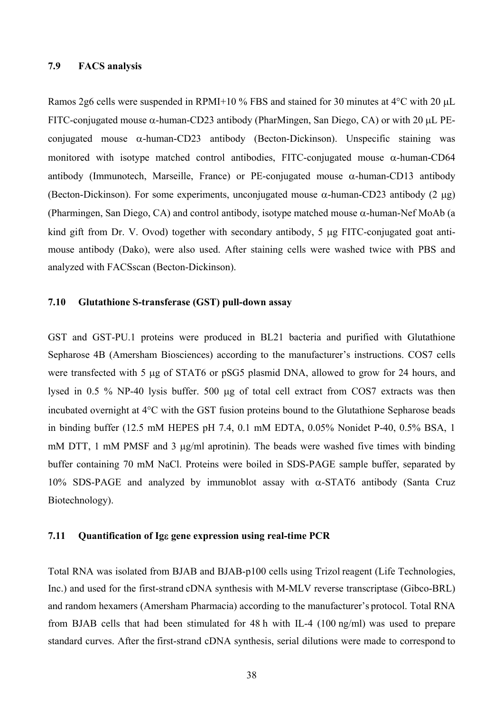## **7.9 FACS analysis**

Ramos 2g6 cells were suspended in RPMI+10 % FBS and stained for 30 minutes at 4°C with 20 µL FITC-conjugated mouse  $\alpha$ -human-CD23 antibody (PharMingen, San Diego, CA) or with 20  $\mu$ L PEconjugated mouse  $\alpha$ -human-CD23 antibody (Becton-Dickinson). Unspecific staining was monitored with isotype matched control antibodies, FITC-conjugated mouse  $\alpha$ -human-CD64 antibody (Immunotech, Marseille, France) or PE-conjugated mouse  $\alpha$ -human-CD13 antibody (Becton-Dickinson). For some experiments, unconjugated mouse  $\alpha$ -human-CD23 antibody (2 µg) (Pharmingen, San Diego, CA) and control antibody, isotype matched mouse  $\alpha$ -human-Nef MoAb (a kind gift from Dr. V. Ovod) together with secondary antibody, 5 µg FITC-conjugated goat antimouse antibody (Dako), were also used. After staining cells were washed twice with PBS and analyzed with FACSscan (Becton-Dickinson).

#### **7.10 Glutathione S-transferase (GST) pull-down assay**

GST and GST-PU.1 proteins were produced in BL21 bacteria and purified with Glutathione Sepharose 4B (Amersham Biosciences) according to the manufacturer's instructions. COS7 cells were transfected with 5 µg of STAT6 or pSG5 plasmid DNA, allowed to grow for 24 hours, and lysed in 0.5 % NP-40 lysis buffer. 500 µg of total cell extract from COS7 extracts was then incubated overnight at 4°C with the GST fusion proteins bound to the Glutathione Sepharose beads in binding buffer (12.5 mM HEPES pH 7.4, 0.1 mM EDTA, 0.05% Nonidet P-40, 0.5% BSA, 1 mM DTT, 1 mM PMSF and 3 µg/ml aprotinin). The beads were washed five times with binding buffer containing 70 mM NaCl. Proteins were boiled in SDS-PAGE sample buffer, separated by 10% SDS-PAGE and analyzed by immunoblot assay with α-STAT6 antibody (Santa Cruz Biotechnology).

#### **7.11 Quantification of Ig**ε **gene expression using real-time PCR**

Total RNA was isolated from BJAB and BJAB-p100 cells using Trizol reagent (Life Technologies, Inc.) and used for the first-strand cDNA synthesis with M-MLV reverse transcriptase (Gibco-BRL) and random hexamers (Amersham Pharmacia) according to the manufacturer's protocol. Total RNA from BJAB cells that had been stimulated for 48 h with IL-4 (100 ng/ml) was used to prepare standard curves. After the first-strand cDNA synthesis, serial dilutions were made to correspond to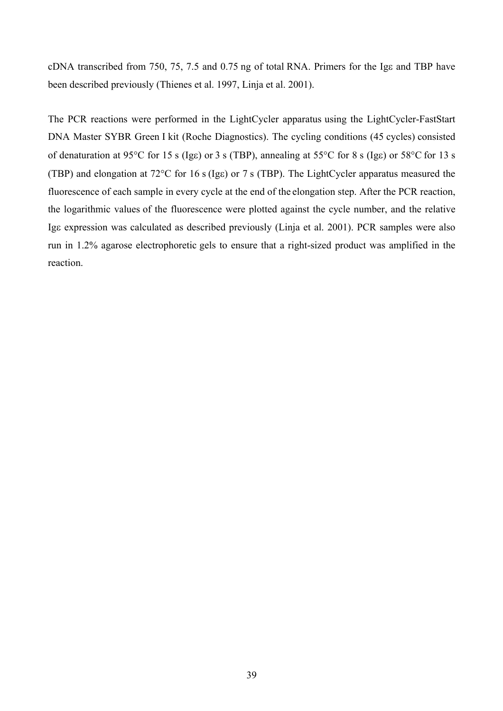cDNA transcribed from 750, 75, 7.5 and 0.75 ng of total RNA. Primers for the Igε and TBP have been described previously (Thienes et al. 1997, Linja et al. 2001).

The PCR reactions were performed in the LightCycler apparatus using the LightCycler-FastStart DNA Master SYBR Green I kit (Roche Diagnostics). The cycling conditions (45 cycles) consisted of denaturation at 95°C for 15 s (Igε) or 3 s (TBP), annealing at 55°C for 8 s (Igε) or 58°C for 13 s (TBP) and elongation at 72°C for 16 s (Igε) or 7 s (TBP). The LightCycler apparatus measured the fluorescence of each sample in every cycle at the end of the elongation step. After the PCR reaction, the logarithmic values of the fluorescence were plotted against the cycle number, and the relative Igε expression was calculated as described previously (Linja et al. 2001). PCR samples were also run in 1.2% agarose electrophoretic gels to ensure that a right-sized product was amplified in the reaction.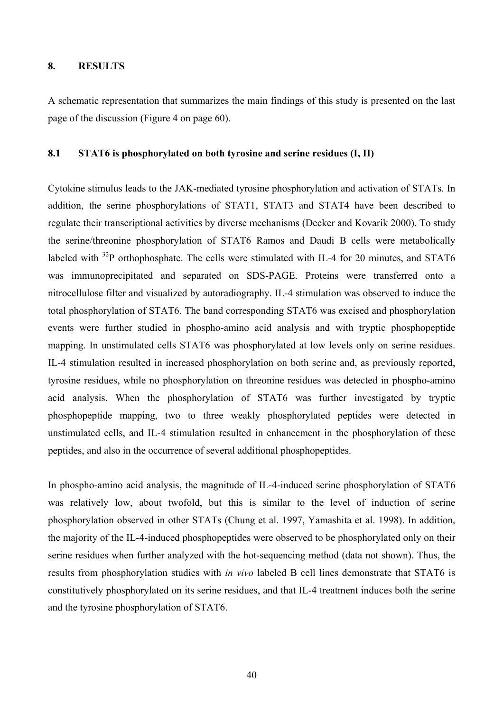## **8. RESULTS**

A schematic representation that summarizes the main findings of this study is presented on the last page of the discussion (Figure 4 on page 60).

### **8.1 STAT6 is phosphorylated on both tyrosine and serine residues (I, II)**

Cytokine stimulus leads to the JAK-mediated tyrosine phosphorylation and activation of STATs. In addition, the serine phosphorylations of STAT1, STAT3 and STAT4 have been described to regulate their transcriptional activities by diverse mechanisms (Decker and Kovarik 2000). To study the serine/threonine phosphorylation of STAT6 Ramos and Daudi B cells were metabolically labeled with <sup>32</sup>P orthophosphate. The cells were stimulated with IL-4 for 20 minutes, and STAT6 was immunoprecipitated and separated on SDS-PAGE. Proteins were transferred onto a nitrocellulose filter and visualized by autoradiography. IL-4 stimulation was observed to induce the total phosphorylation of STAT6. The band corresponding STAT6 was excised and phosphorylation events were further studied in phospho-amino acid analysis and with tryptic phosphopeptide mapping. In unstimulated cells STAT6 was phosphorylated at low levels only on serine residues. IL-4 stimulation resulted in increased phosphorylation on both serine and, as previously reported, tyrosine residues, while no phosphorylation on threonine residues was detected in phospho-amino acid analysis. When the phosphorylation of STAT6 was further investigated by tryptic phosphopeptide mapping, two to three weakly phosphorylated peptides were detected in unstimulated cells, and IL-4 stimulation resulted in enhancement in the phosphorylation of these peptides, and also in the occurrence of several additional phosphopeptides.

In phospho-amino acid analysis, the magnitude of IL-4-induced serine phosphorylation of STAT6 was relatively low, about twofold, but this is similar to the level of induction of serine phosphorylation observed in other STATs (Chung et al. 1997, Yamashita et al. 1998). In addition, the majority of the IL-4-induced phosphopeptides were observed to be phosphorylated only on their serine residues when further analyzed with the hot-sequencing method (data not shown). Thus, the results from phosphorylation studies with *in vivo* labeled B cell lines demonstrate that STAT6 is constitutively phosphorylated on its serine residues, and that IL-4 treatment induces both the serine and the tyrosine phosphorylation of STAT6.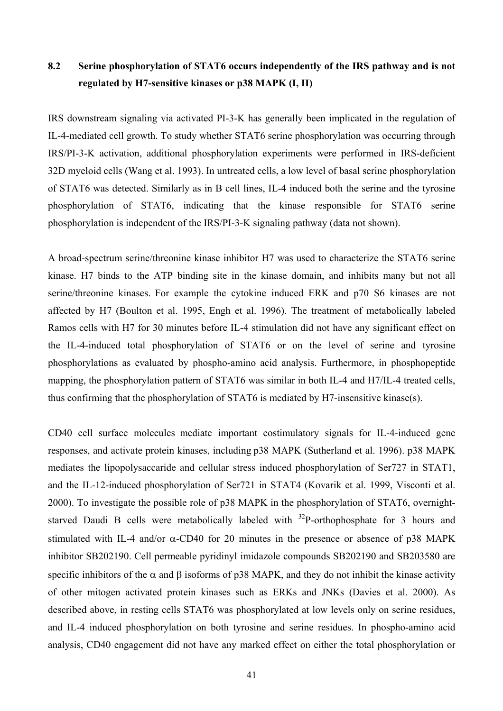# **8.2 Serine phosphorylation of STAT6 occurs independently of the IRS pathway and is not regulated by H7-sensitive kinases or p38 MAPK (I, II)**

IRS downstream signaling via activated PI-3-K has generally been implicated in the regulation of IL-4-mediated cell growth. To study whether STAT6 serine phosphorylation was occurring through IRS/PI-3-K activation, additional phosphorylation experiments were performed in IRS-deficient 32D myeloid cells (Wang et al. 1993). In untreated cells, a low level of basal serine phosphorylation of STAT6 was detected. Similarly as in B cell lines, IL-4 induced both the serine and the tyrosine phosphorylation of STAT6, indicating that the kinase responsible for STAT6 serine phosphorylation is independent of the IRS/PI-3-K signaling pathway (data not shown).

A broad-spectrum serine/threonine kinase inhibitor H7 was used to characterize the STAT6 serine kinase. H7 binds to the ATP binding site in the kinase domain, and inhibits many but not all serine/threonine kinases. For example the cytokine induced ERK and p70 S6 kinases are not affected by H7 (Boulton et al. 1995, Engh et al. 1996). The treatment of metabolically labeled Ramos cells with H7 for 30 minutes before IL-4 stimulation did not have any significant effect on the IL-4-induced total phosphorylation of STAT6 or on the level of serine and tyrosine phosphorylations as evaluated by phospho-amino acid analysis. Furthermore, in phosphopeptide mapping, the phosphorylation pattern of STAT6 was similar in both IL-4 and H7/IL-4 treated cells, thus confirming that the phosphorylation of STAT6 is mediated by H7-insensitive kinase(s).

CD40 cell surface molecules mediate important costimulatory signals for IL-4-induced gene responses, and activate protein kinases, including p38 MAPK (Sutherland et al. 1996). p38 MAPK mediates the lipopolysaccaride and cellular stress induced phosphorylation of Ser727 in STAT1, and the IL-12-induced phosphorylation of Ser721 in STAT4 (Kovarik et al. 1999, Visconti et al. 2000). To investigate the possible role of p38 MAPK in the phosphorylation of STAT6, overnightstarved Daudi B cells were metabolically labeled with  $32P$ -orthophosphate for 3 hours and stimulated with IL-4 and/or  $\alpha$ -CD40 for 20 minutes in the presence or absence of p38 MAPK inhibitor SB202190. Cell permeable pyridinyl imidazole compounds SB202190 and SB203580 are specific inhibitors of the  $\alpha$  and  $\beta$  isoforms of p38 MAPK, and they do not inhibit the kinase activity of other mitogen activated protein kinases such as ERKs and JNKs (Davies et al. 2000). As described above, in resting cells STAT6 was phosphorylated at low levels only on serine residues, and IL-4 induced phosphorylation on both tyrosine and serine residues. In phospho-amino acid analysis, CD40 engagement did not have any marked effect on either the total phosphorylation or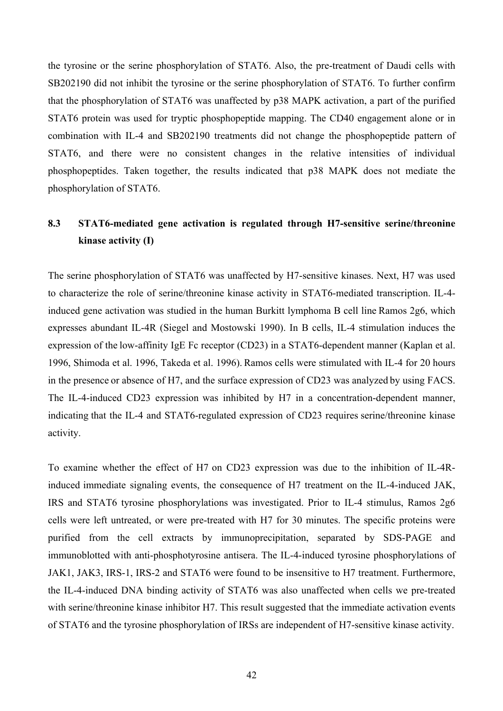the tyrosine or the serine phosphorylation of STAT6. Also, the pre-treatment of Daudi cells with SB202190 did not inhibit the tyrosine or the serine phosphorylation of STAT6. To further confirm that the phosphorylation of STAT6 was unaffected by p38 MAPK activation, a part of the purified STAT6 protein was used for tryptic phosphopeptide mapping. The CD40 engagement alone or in combination with IL-4 and SB202190 treatments did not change the phosphopeptide pattern of STAT6, and there were no consistent changes in the relative intensities of individual phosphopeptides. Taken together, the results indicated that p38 MAPK does not mediate the phosphorylation of STAT6.

## **8.3 STAT6-mediated gene activation is regulated through H7-sensitive serine/threonine kinase activity (I)**

The serine phosphorylation of STAT6 was unaffected by H7-sensitive kinases. Next, H7 was used to characterize the role of serine/threonine kinase activity in STAT6-mediated transcription. IL-4 induced gene activation was studied in the human Burkitt lymphoma B cell line Ramos 2g6, which expresses abundant IL-4R (Siegel and Mostowski 1990). In B cells, IL-4 stimulation induces the expression of the low-affinity IgE Fc receptor (CD23) in a STAT6-dependent manner (Kaplan et al. 1996, Shimoda et al. 1996, Takeda et al. 1996). Ramos cells were stimulated with IL-4 for 20 hours in the presence or absence of H7, and the surface expression of CD23 was analyzed by using FACS. The IL-4-induced CD23 expression was inhibited by H7 in a concentration-dependent manner, indicating that the IL-4 and STAT6-regulated expression of CD23 requires serine/threonine kinase activity.

To examine whether the effect of H7 on CD23 expression was due to the inhibition of IL-4Rinduced immediate signaling events, the consequence of H7 treatment on the IL-4-induced JAK, IRS and STAT6 tyrosine phosphorylations was investigated. Prior to IL-4 stimulus, Ramos 2g6 cells were left untreated, or were pre-treated with H7 for 30 minutes. The specific proteins were purified from the cell extracts by immunoprecipitation, separated by SDS-PAGE and immunoblotted with anti-phosphotyrosine antisera. The IL-4-induced tyrosine phosphorylations of JAK1, JAK3, IRS-1, IRS-2 and STAT6 were found to be insensitive to H7 treatment. Furthermore, the IL-4-induced DNA binding activity of STAT6 was also unaffected when cells we pre-treated with serine/threonine kinase inhibitor H7. This result suggested that the immediate activation events of STAT6 and the tyrosine phosphorylation of IRSs are independent of H7-sensitive kinase activity.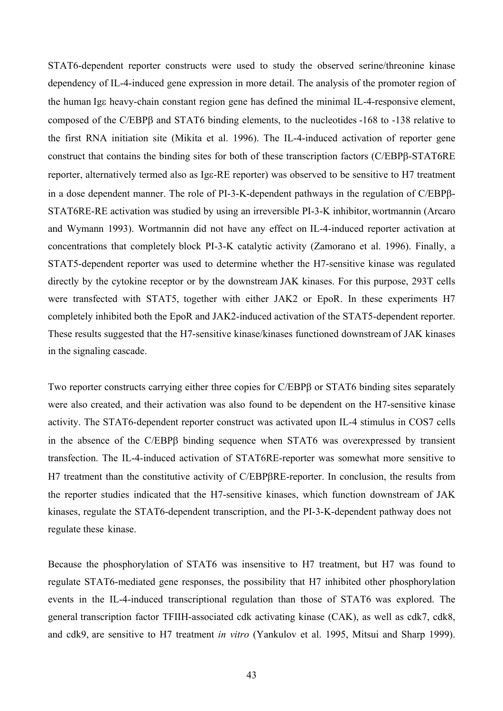STAT6-dependent reporter constructs were used to study the observed serine/threonine kinase dependency of IL-4-induced gene expression in more detail. The analysis of the promoter region of the human Igε heavy-chain constant region gene has defined the minimal IL-4-responsive element, composed of the C/EBPβ and STAT6 binding elements, to the nucleotides -168 to -138 relative to the first RNA initiation site (Mikita et al. 1996). The IL-4-induced activation of reporter gene construct that contains the binding sites for both of these transcription factors (C/EBPβ-STAT6RE reporter, alternatively termed also as Igε-RE reporter) was observed to be sensitive to H7 treatment in a dose dependent manner. The role of PI-3-K-dependent pathways in the regulation of C/EBPβ-STAT6RE-RE activation was studied by using an irreversible PI-3-K inhibitor, wortmannin (Arcaro and Wymann 1993). Wortmannin did not have any effect on IL-4-induced reporter activation at concentrations that completely block PI-3-K catalytic activity (Zamorano et al. 1996). Finally, a STAT5-dependent reporter was used to determine whether the H7-sensitive kinase was regulated directly by the cytokine receptor or by the downstream JAK kinases. For this purpose, 293T cells were transfected with STAT5, together with either JAK2 or EpoR. In these experiments H7 completely inhibited both the EpoR and JAK2-induced activation of the STAT5-dependent reporter. These results suggested that the H7-sensitive kinase/kinases functioned downstream of JAK kinases in the signaling cascade.

Two reporter constructs carrying either three copies for C/EBPβ or STAT6 binding sites separately were also created, and their activation was also found to be dependent on the H7-sensitive kinase activity. The STAT6-dependent reporter construct was activated upon IL-4 stimulus in COS7 cells in the absence of the C/EBPβ binding sequence when STAT6 was overexpressed by transient transfection. The IL-4-induced activation of STAT6RE-reporter was somewhat more sensitive to H7 treatment than the constitutive activity of C/EBPβRE-reporter. In conclusion, the results from the reporter studies indicated that the H7-sensitive kinases, which function downstream of JAK kinases, regulate the STAT6-dependent transcription, and the PI-3-K-dependent pathway does not regulate these kinase.

Because the phosphorylation of STAT6 was insensitive to H7 treatment, but H7 was found to regulate STAT6-mediated gene responses, the possibility that H7 inhibited other phosphorylation events in the IL-4-induced transcriptional regulation than those of STAT6 was explored. The general transcription factor TFIIH-associated cdk activating kinase (CAK), as well as cdk7, cdk8, and cdk9, are sensitive to H7 treatment *in vitro* (Yankulov et al. 1995, Mitsui and Sharp 1999).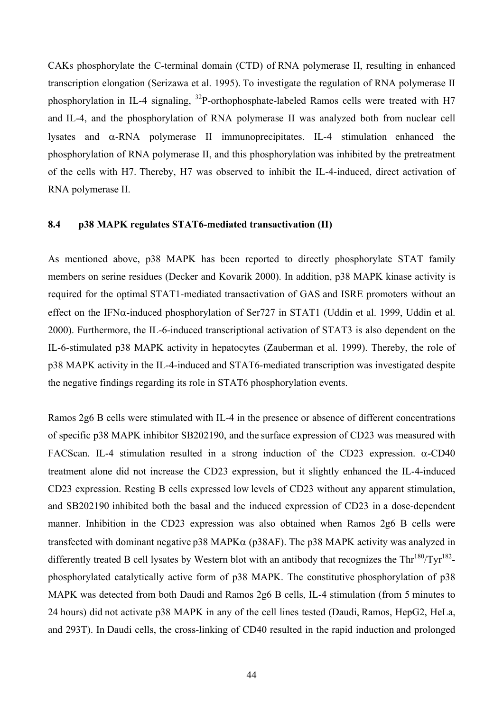CAKs phosphorylate the C-terminal domain (CTD) of RNA polymerase II, resulting in enhanced transcription elongation (Serizawa et al. 1995). To investigate the regulation of RNA polymerase II phosphorylation in IL-4 signaling,  $^{32}P$ -orthophosphate-labeled Ramos cells were treated with H7 and IL-4, and the phosphorylation of RNA polymerase II was analyzed both from nuclear cell lysates and α-RNA polymerase II immunoprecipitates. IL-4 stimulation enhanced the phosphorylation of RNA polymerase II, and this phosphorylation was inhibited by the pretreatment of the cells with H7. Thereby, H7 was observed to inhibit the IL-4-induced, direct activation of RNA polymerase II.

#### **8.4 p38 MAPK regulates STAT6-mediated transactivation (II)**

As mentioned above, p38 MAPK has been reported to directly phosphorylate STAT family members on serine residues (Decker and Kovarik 2000). In addition, p38 MAPK kinase activity is required for the optimal STAT1-mediated transactivation of GAS and ISRE promoters without an effect on the IFN $\alpha$ -induced phosphorylation of Ser727 in STAT1 (Uddin et al. 1999, Uddin et al. 2000). Furthermore, the IL-6-induced transcriptional activation of STAT3 is also dependent on the IL-6-stimulated p38 MAPK activity in hepatocytes (Zauberman et al. 1999). Thereby, the role of p38 MAPK activity in the IL-4-induced and STAT6-mediated transcription was investigated despite the negative findings regarding its role in STAT6 phosphorylation events.

Ramos 2g6 B cells were stimulated with IL-4 in the presence or absence of different concentrations of specific p38 MAPK inhibitor SB202190, and the surface expression of CD23 was measured with FACScan. IL-4 stimulation resulted in a strong induction of the CD23 expression.  $\alpha$ -CD40 treatment alone did not increase the CD23 expression, but it slightly enhanced the IL-4-induced CD23 expression. Resting B cells expressed low levels of CD23 without any apparent stimulation, and SB202190 inhibited both the basal and the induced expression of CD23 in a dose-dependent manner. Inhibition in the CD23 expression was also obtained when Ramos 2g6 B cells were transfected with dominant negative p38 MAPK $\alpha$  (p38AF). The p38 MAPK activity was analyzed in differently treated B cell lysates by Western blot with an antibody that recognizes the Thr<sup>180</sup>/Tyr<sup>182</sup>phosphorylated catalytically active form of p38 MAPK. The constitutive phosphorylation of p38 MAPK was detected from both Daudi and Ramos 2g6 B cells, IL-4 stimulation (from 5 minutes to 24 hours) did not activate p38 MAPK in any of the cell lines tested (Daudi, Ramos, HepG2, HeLa, and 293T). In Daudi cells, the cross-linking of CD40 resulted in the rapid induction and prolonged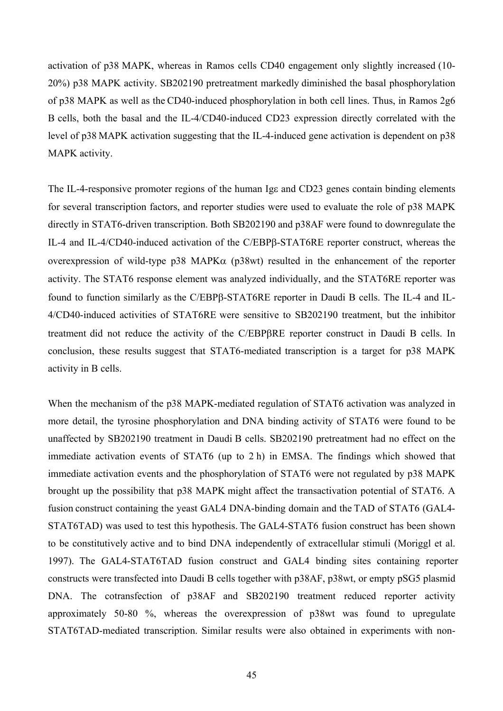activation of p38 MAPK, whereas in Ramos cells CD40 engagement only slightly increased (10- 20%) p38 MAPK activity. SB202190 pretreatment markedly diminished the basal phosphorylation of p38 MAPK as well as the CD40-induced phosphorylation in both cell lines. Thus, in Ramos 2g6 B cells, both the basal and the IL-4/CD40-induced CD23 expression directly correlated with the level of p38 MAPK activation suggesting that the IL-4-induced gene activation is dependent on p38 MAPK activity.

The IL-4-responsive promoter regions of the human Ige and CD23 genes contain binding elements for several transcription factors, and reporter studies were used to evaluate the role of p38 MAPK directly in STAT6-driven transcription. Both SB202190 and p38AF were found to downregulate the IL-4 and IL-4/CD40-induced activation of the C/EBPβ-STAT6RE reporter construct, whereas the overexpression of wild-type  $p38$  MAPK $\alpha$  ( $p38$ wt) resulted in the enhancement of the reporter activity. The STAT6 response element was analyzed individually, and the STAT6RE reporter was found to function similarly as the C/EBPβ-STAT6RE reporter in Daudi B cells. The IL-4 and IL-4/CD40-induced activities of STAT6RE were sensitive to SB202190 treatment, but the inhibitor treatment did not reduce the activity of the C/EBPβRE reporter construct in Daudi B cells. In conclusion, these results suggest that STAT6-mediated transcription is a target for p38 MAPK activity in B cells.

When the mechanism of the p38 MAPK-mediated regulation of STAT6 activation was analyzed in more detail, the tyrosine phosphorylation and DNA binding activity of STAT6 were found to be unaffected by SB202190 treatment in Daudi B cells. SB202190 pretreatment had no effect on the immediate activation events of STAT6 (up to 2 h) in EMSA. The findings which showed that immediate activation events and the phosphorylation of STAT6 were not regulated by p38 MAPK brought up the possibility that p38 MAPK might affect the transactivation potential of STAT6. A fusion construct containing the yeast GAL4 DNA-binding domain and the TAD of STAT6 (GAL4- STAT6TAD) was used to test this hypothesis. The GAL4-STAT6 fusion construct has been shown to be constitutively active and to bind DNA independently of extracellular stimuli (Moriggl et al. 1997). The GAL4-STAT6TAD fusion construct and GAL4 binding sites containing reporter constructs were transfected into Daudi B cells together with p38AF, p38wt, or empty pSG5 plasmid DNA. The cotransfection of p38AF and SB202190 treatment reduced reporter activity approximately 50-80 %, whereas the overexpression of p38wt was found to upregulate STAT6TAD-mediated transcription. Similar results were also obtained in experiments with non-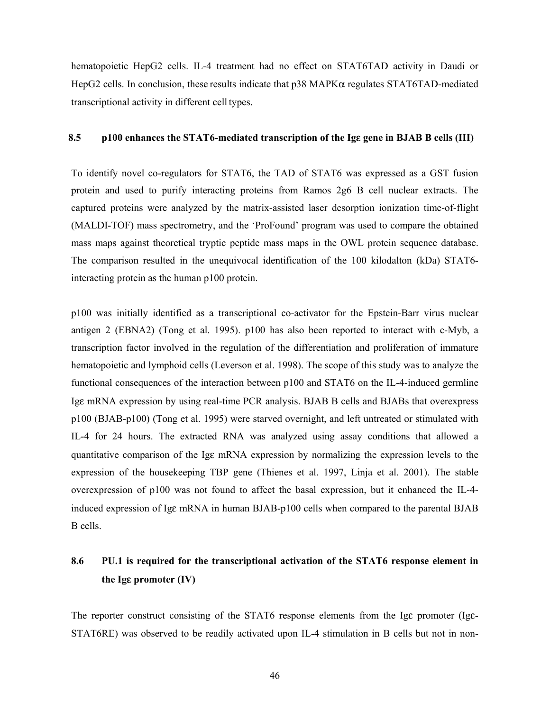hematopoietic HepG2 cells. IL-4 treatment had no effect on STAT6TAD activity in Daudi or HepG2 cells. In conclusion, these results indicate that p38 MAPKα regulates STAT6TAD-mediated transcriptional activity in different cell types.

#### **8.5 p100 enhances the STAT6-mediated transcription of the Ig**ε **gene in BJAB B cells (III)**

To identify novel co-regulators for STAT6, the TAD of STAT6 was expressed as a GST fusion protein and used to purify interacting proteins from Ramos 2g6 B cell nuclear extracts. The captured proteins were analyzed by the matrix-assisted laser desorption ionization time-of-flight (MALDI-TOF) mass spectrometry, and the 'ProFound' program was used to compare the obtained mass maps against theoretical tryptic peptide mass maps in the OWL protein sequence database. The comparison resulted in the unequivocal identification of the 100 kilodalton (kDa) STAT6 interacting protein as the human p100 protein.

p100 was initially identified as a transcriptional co-activator for the Epstein-Barr virus nuclear antigen 2 (EBNA2) (Tong et al. 1995). p100 has also been reported to interact with c-Myb, a transcription factor involved in the regulation of the differentiation and proliferation of immature hematopoietic and lymphoid cells (Leverson et al. 1998). The scope of this study was to analyze the functional consequences of the interaction between p100 and STAT6 on the IL-4-induced germline Igε mRNA expression by using real-time PCR analysis. BJAB B cells and BJABs that overexpress p100 (BJAB-p100) (Tong et al. 1995) were starved overnight, and left untreated or stimulated with IL-4 for 24 hours. The extracted RNA was analyzed using assay conditions that allowed a quantitative comparison of the Igε mRNA expression by normalizing the expression levels to the expression of the housekeeping TBP gene (Thienes et al. 1997, Linja et al. 2001). The stable overexpression of p100 was not found to affect the basal expression, but it enhanced the IL-4 induced expression of Igε mRNA in human BJAB-p100 cells when compared to the parental BJAB B cells.

## **8.6 PU.1 is required for the transcriptional activation of the STAT6 response element in the Ig**ε **promoter (IV)**

The reporter construct consisting of the STAT6 response elements from the Igε promoter (Igε-STAT6RE) was observed to be readily activated upon IL-4 stimulation in B cells but not in non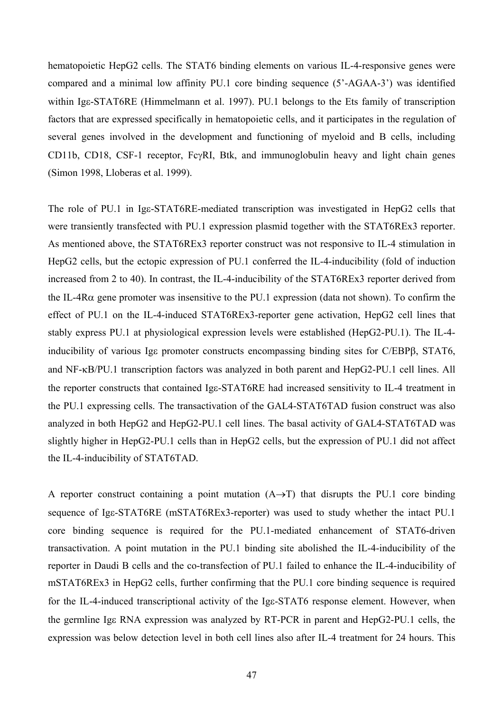hematopoietic HepG2 cells. The STAT6 binding elements on various IL-4-responsive genes were compared and a minimal low affinity PU.1 core binding sequence (5'-AGAA-3') was identified within Ige-STAT6RE (Himmelmann et al. 1997). PU.1 belongs to the Ets family of transcription factors that are expressed specifically in hematopoietic cells, and it participates in the regulation of several genes involved in the development and functioning of myeloid and B cells, including CD11b, CD18, CSF-1 receptor, FcγRI, Btk, and immunoglobulin heavy and light chain genes (Simon 1998, Lloberas et al. 1999).

The role of PU.1 in Igε-STAT6RE-mediated transcription was investigated in HepG2 cells that were transiently transfected with PU.1 expression plasmid together with the STAT6REx3 reporter. As mentioned above, the STAT6REx3 reporter construct was not responsive to IL-4 stimulation in HepG2 cells, but the ectopic expression of PU.1 conferred the IL-4-inducibility (fold of induction increased from 2 to 40). In contrast, the IL-4-inducibility of the STAT6REx3 reporter derived from the IL-4Rα gene promoter was insensitive to the PU.1 expression (data not shown). To confirm the effect of PU.1 on the IL-4-induced STAT6REx3-reporter gene activation, HepG2 cell lines that stably express PU.1 at physiological expression levels were established (HepG2-PU.1). The IL-4 inducibility of various Igε promoter constructs encompassing binding sites for C/EBPβ, STAT6, and NF-κB/PU.1 transcription factors was analyzed in both parent and HepG2-PU.1 cell lines. All the reporter constructs that contained Igε-STAT6RE had increased sensitivity to IL-4 treatment in the PU.1 expressing cells. The transactivation of the GAL4-STAT6TAD fusion construct was also analyzed in both HepG2 and HepG2-PU.1 cell lines. The basal activity of GAL4-STAT6TAD was slightly higher in HepG2-PU.1 cells than in HepG2 cells, but the expression of PU.1 did not affect the IL-4-inducibility of STAT6TAD.

A reporter construct containing a point mutation  $(A \rightarrow T)$  that disrupts the PU.1 core binding sequence of Igε-STAT6RE (mSTAT6REx3-reporter) was used to study whether the intact PU.1 core binding sequence is required for the PU.1-mediated enhancement of STAT6-driven transactivation. A point mutation in the PU.1 binding site abolished the IL-4-inducibility of the reporter in Daudi B cells and the co-transfection of PU.1 failed to enhance the IL-4-inducibility of mSTAT6REx3 in HepG2 cells, further confirming that the PU.1 core binding sequence is required for the IL-4-induced transcriptional activity of the Igε-STAT6 response element. However, when the germline Igε RNA expression was analyzed by RT-PCR in parent and HepG2-PU.1 cells, the expression was below detection level in both cell lines also after IL-4 treatment for 24 hours. This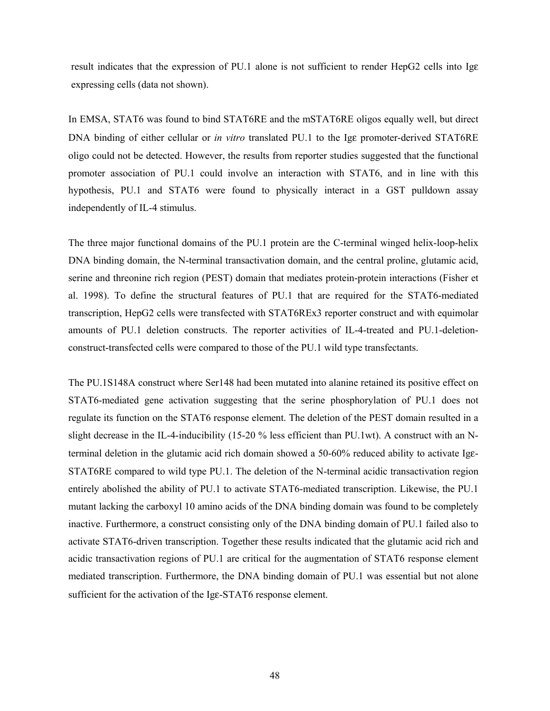result indicates that the expression of PU.1 alone is not sufficient to render HepG2 cells into Igε expressing cells (data not shown).

In EMSA, STAT6 was found to bind STAT6RE and the mSTAT6RE oligos equally well, but direct DNA binding of either cellular or *in vitro* translated PU.1 to the Igε promoter-derived STAT6RE oligo could not be detected. However, the results from reporter studies suggested that the functional promoter association of PU.1 could involve an interaction with STAT6, and in line with this hypothesis, PU.1 and STAT6 were found to physically interact in a GST pulldown assay independently of IL-4 stimulus.

The three major functional domains of the PU.1 protein are the C-terminal winged helix-loop-helix DNA binding domain, the N-terminal transactivation domain, and the central proline, glutamic acid, serine and threonine rich region (PEST) domain that mediates protein-protein interactions (Fisher et al. 1998). To define the structural features of PU.1 that are required for the STAT6-mediated transcription, HepG2 cells were transfected with STAT6REx3 reporter construct and with equimolar amounts of PU.1 deletion constructs. The reporter activities of IL-4-treated and PU.1-deletionconstruct-transfected cells were compared to those of the PU.1 wild type transfectants.

The PU.1S148A construct where Ser148 had been mutated into alanine retained its positive effect on STAT6-mediated gene activation suggesting that the serine phosphorylation of PU.1 does not regulate its function on the STAT6 response element. The deletion of the PEST domain resulted in a slight decrease in the IL-4-inducibility (15-20 % less efficient than PU.1wt). A construct with an Nterminal deletion in the glutamic acid rich domain showed a 50-60% reduced ability to activate Igε-STAT6RE compared to wild type PU.1. The deletion of the N-terminal acidic transactivation region entirely abolished the ability of PU.1 to activate STAT6-mediated transcription. Likewise, the PU.1 mutant lacking the carboxyl 10 amino acids of the DNA binding domain was found to be completely inactive. Furthermore, a construct consisting only of the DNA binding domain of PU.1 failed also to activate STAT6-driven transcription. Together these results indicated that the glutamic acid rich and acidic transactivation regions of PU.1 are critical for the augmentation of STAT6 response element mediated transcription. Furthermore, the DNA binding domain of PU.1 was essential but not alone sufficient for the activation of the Igε-STAT6 response element.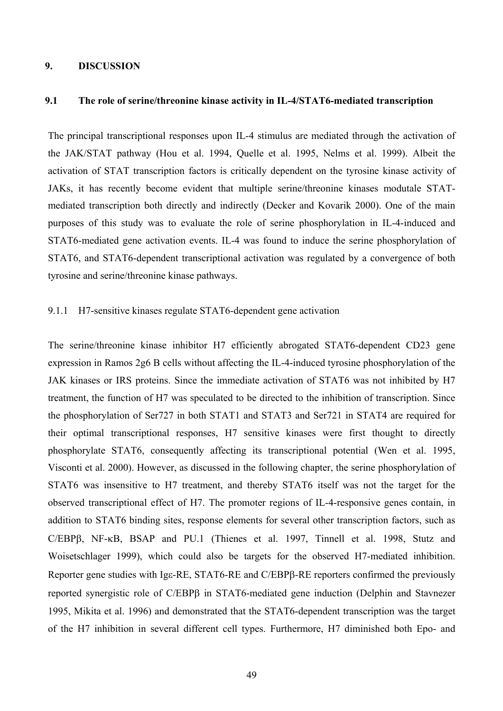#### **9. DISCUSSION**

#### **9.1 The role of serine/threonine kinase activity in IL-4/STAT6-mediated transcription**

The principal transcriptional responses upon IL-4 stimulus are mediated through the activation of the JAK/STAT pathway (Hou et al. 1994, Quelle et al. 1995, Nelms et al. 1999). Albeit the activation of STAT transcription factors is critically dependent on the tyrosine kinase activity of JAKs, it has recently become evident that multiple serine/threonine kinases modutale STATmediated transcription both directly and indirectly (Decker and Kovarik 2000). One of the main purposes of this study was to evaluate the role of serine phosphorylation in IL-4-induced and STAT6-mediated gene activation events. IL-4 was found to induce the serine phosphorylation of STAT6, and STAT6-dependent transcriptional activation was regulated by a convergence of both tyrosine and serine/threonine kinase pathways.

#### 9.1.1 H7-sensitive kinases regulate STAT6-dependent gene activation

The serine/threonine kinase inhibitor H7 efficiently abrogated STAT6-dependent CD23 gene expression in Ramos 2g6 B cells without affecting the IL-4-induced tyrosine phosphorylation of the JAK kinases or IRS proteins. Since the immediate activation of STAT6 was not inhibited by H7 treatment, the function of H7 was speculated to be directed to the inhibition of transcription. Since the phosphorylation of Ser727 in both STAT1 and STAT3 and Ser721 in STAT4 are required for their optimal transcriptional responses, H7 sensitive kinases were first thought to directly phosphorylate STAT6, consequently affecting its transcriptional potential (Wen et al. 1995, Visconti et al. 2000). However, as discussed in the following chapter, the serine phosphorylation of STAT6 was insensitive to H7 treatment, and thereby STAT6 itself was not the target for the observed transcriptional effect of H7. The promoter regions of IL-4-responsive genes contain, in addition to STAT6 binding sites, response elements for several other transcription factors, such as C/EBPβ, NF-κB, BSAP and PU.1 (Thienes et al. 1997, Tinnell et al. 1998, Stutz and Woisetschlager 1999), which could also be targets for the observed H7-mediated inhibition. Reporter gene studies with Igε-RE, STAT6-RE and C/EBPβ-RE reporters confirmed the previously reported synergistic role of C/EBPβ in STAT6-mediated gene induction (Delphin and Stavnezer 1995, Mikita et al. 1996) and demonstrated that the STAT6-dependent transcription was the target of the H7 inhibition in several different cell types. Furthermore, H7 diminished both Epo- and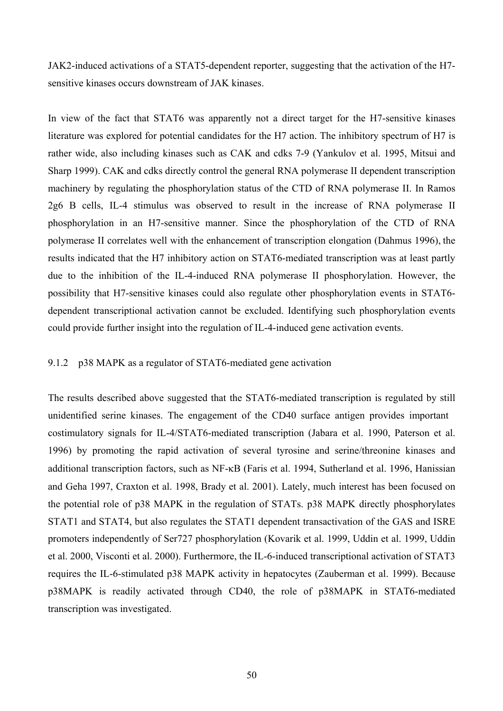JAK2-induced activations of a STAT5-dependent reporter, suggesting that the activation of the H7 sensitive kinases occurs downstream of JAK kinases.

In view of the fact that STAT6 was apparently not a direct target for the H7-sensitive kinases literature was explored for potential candidates for the H7 action. The inhibitory spectrum of H7 is rather wide, also including kinases such as CAK and cdks 7-9 (Yankulov et al. 1995, Mitsui and Sharp 1999). CAK and cdks directly control the general RNA polymerase II dependent transcription machinery by regulating the phosphorylation status of the CTD of RNA polymerase II. In Ramos 2g6 B cells, IL-4 stimulus was observed to result in the increase of RNA polymerase II phosphorylation in an H7-sensitive manner. Since the phosphorylation of the CTD of RNA polymerase II correlates well with the enhancement of transcription elongation (Dahmus 1996), the results indicated that the H7 inhibitory action on STAT6-mediated transcription was at least partly due to the inhibition of the IL-4-induced RNA polymerase II phosphorylation. However, the possibility that H7-sensitive kinases could also regulate other phosphorylation events in STAT6 dependent transcriptional activation cannot be excluded. Identifying such phosphorylation events could provide further insight into the regulation of IL-4-induced gene activation events.

#### 9.1.2 p38 MAPK as a regulator of STAT6-mediated gene activation

The results described above suggested that the STAT6-mediated transcription is regulated by still unidentified serine kinases. The engagement of the CD40 surface antigen provides important costimulatory signals for IL-4/STAT6-mediated transcription (Jabara et al. 1990, Paterson et al. 1996) by promoting the rapid activation of several tyrosine and serine/threonine kinases and additional transcription factors, such as NF-κB (Faris et al. 1994, Sutherland et al. 1996, Hanissian and Geha 1997, Craxton et al. 1998, Brady et al. 2001). Lately, much interest has been focused on the potential role of p38 MAPK in the regulation of STATs. p38 MAPK directly phosphorylates STAT1 and STAT4, but also regulates the STAT1 dependent transactivation of the GAS and ISRE promoters independently of Ser727 phosphorylation (Kovarik et al. 1999, Uddin et al. 1999, Uddin et al. 2000, Visconti et al. 2000). Furthermore, the IL-6-induced transcriptional activation of STAT3 requires the IL-6-stimulated p38 MAPK activity in hepatocytes (Zauberman et al. 1999). Because p38MAPK is readily activated through CD40, the role of p38MAPK in STAT6-mediated transcription was investigated.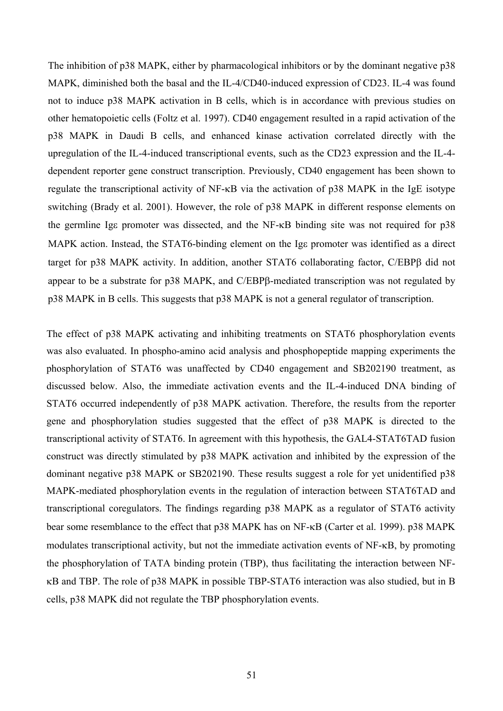The inhibition of p38 MAPK, either by pharmacological inhibitors or by the dominant negative p38 MAPK, diminished both the basal and the IL-4/CD40-induced expression of CD23. IL-4 was found not to induce p38 MAPK activation in B cells, which is in accordance with previous studies on other hematopoietic cells (Foltz et al. 1997). CD40 engagement resulted in a rapid activation of the p38 MAPK in Daudi B cells, and enhanced kinase activation correlated directly with the upregulation of the IL-4-induced transcriptional events, such as the CD23 expression and the IL-4 dependent reporter gene construct transcription. Previously, CD40 engagement has been shown to regulate the transcriptional activity of NF-κB via the activation of p38 MAPK in the IgE isotype switching (Brady et al. 2001). However, the role of p38 MAPK in different response elements on the germline Igε promoter was dissected, and the NF-κB binding site was not required for p38 MAPK action. Instead, the STAT6-binding element on the Ige promoter was identified as a direct target for p38 MAPK activity. In addition, another STAT6 collaborating factor, C/EBPβ did not appear to be a substrate for p38 MAPK, and C/EBPβ-mediated transcription was not regulated by p38 MAPK in B cells. This suggests that p38 MAPK is not a general regulator of transcription.

The effect of p38 MAPK activating and inhibiting treatments on STAT6 phosphorylation events was also evaluated. In phospho-amino acid analysis and phosphopeptide mapping experiments the phosphorylation of STAT6 was unaffected by CD40 engagement and SB202190 treatment, as discussed below. Also, the immediate activation events and the IL-4-induced DNA binding of STAT6 occurred independently of p38 MAPK activation. Therefore, the results from the reporter gene and phosphorylation studies suggested that the effect of p38 MAPK is directed to the transcriptional activity of STAT6. In agreement with this hypothesis, the GAL4-STAT6TAD fusion construct was directly stimulated by p38 MAPK activation and inhibited by the expression of the dominant negative p38 MAPK or SB202190. These results suggest a role for yet unidentified p38 MAPK-mediated phosphorylation events in the regulation of interaction between STAT6TAD and transcriptional coregulators. The findings regarding p38 MAPK as a regulator of STAT6 activity bear some resemblance to the effect that p38 MAPK has on NF-κB (Carter et al. 1999). p38 MAPK modulates transcriptional activity, but not the immediate activation events of NF-κB, by promoting the phosphorylation of TATA binding protein (TBP), thus facilitating the interaction between NFκB and TBP. The role of p38 MAPK in possible TBP-STAT6 interaction was also studied, but in B cells, p38 MAPK did not regulate the TBP phosphorylation events.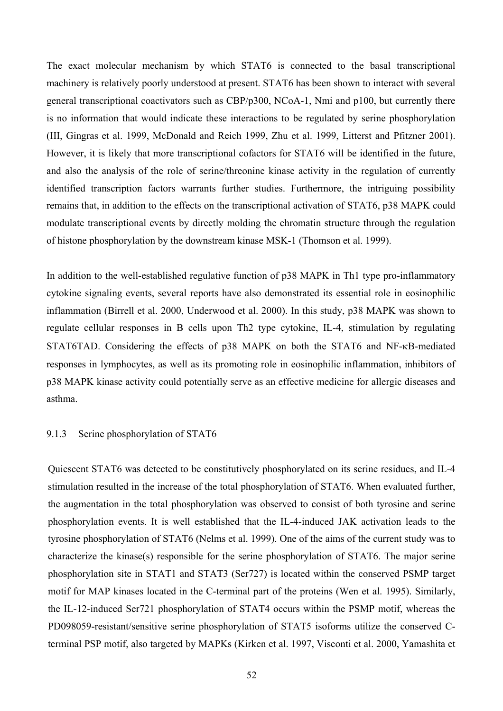The exact molecular mechanism by which STAT6 is connected to the basal transcriptional machinery is relatively poorly understood at present. STAT6 has been shown to interact with several general transcriptional coactivators such as CBP/p300, NCoA-1, Nmi and p100, but currently there is no information that would indicate these interactions to be regulated by serine phosphorylation (III, Gingras et al. 1999, McDonald and Reich 1999, Zhu et al. 1999, Litterst and Pfitzner 2001). However, it is likely that more transcriptional cofactors for STAT6 will be identified in the future, and also the analysis of the role of serine/threonine kinase activity in the regulation of currently identified transcription factors warrants further studies. Furthermore, the intriguing possibility remains that, in addition to the effects on the transcriptional activation of STAT6, p38 MAPK could modulate transcriptional events by directly molding the chromatin structure through the regulation of histone phosphorylation by the downstream kinase MSK-1 (Thomson et al. 1999).

In addition to the well-established regulative function of p38 MAPK in Th1 type pro-inflammatory cytokine signaling events, several reports have also demonstrated its essential role in eosinophilic inflammation (Birrell et al. 2000, Underwood et al. 2000). In this study, p38 MAPK was shown to regulate cellular responses in B cells upon Th2 type cytokine, IL-4, stimulation by regulating STAT6TAD. Considering the effects of p38 MAPK on both the STAT6 and NF-κB-mediated responses in lymphocytes, as well as its promoting role in eosinophilic inflammation, inhibitors of p38 MAPK kinase activity could potentially serve as an effective medicine for allergic diseases and asthma.

#### 9.1.3 Serine phosphorylation of STAT6

Quiescent STAT6 was detected to be constitutively phosphorylated on its serine residues, and IL-4 stimulation resulted in the increase of the total phosphorylation of STAT6. When evaluated further, the augmentation in the total phosphorylation was observed to consist of both tyrosine and serine phosphorylation events. It is well established that the IL-4-induced JAK activation leads to the tyrosine phosphorylation of STAT6 (Nelms et al. 1999). One of the aims of the current study was to characterize the kinase(s) responsible for the serine phosphorylation of STAT6. The major serine phosphorylation site in STAT1 and STAT3 (Ser727) is located within the conserved PSMP target motif for MAP kinases located in the C-terminal part of the proteins (Wen et al. 1995). Similarly, the IL-12-induced Ser721 phosphorylation of STAT4 occurs within the PSMP motif, whereas the PD098059-resistant/sensitive serine phosphorylation of STAT5 isoforms utilize the conserved Cterminal PSP motif, also targeted by MAPKs (Kirken et al. 1997, Visconti et al. 2000, Yamashita et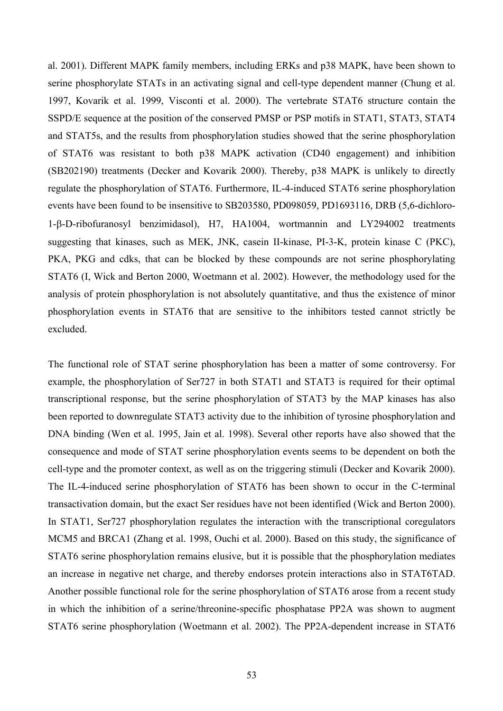al. 2001). Different MAPK family members, including ERKs and p38 MAPK, have been shown to serine phosphorylate STATs in an activating signal and cell-type dependent manner (Chung et al. 1997, Kovarik et al. 1999, Visconti et al. 2000). The vertebrate STAT6 structure contain the SSPD/E sequence at the position of the conserved PMSP or PSP motifs in STAT1, STAT3, STAT4 and STAT5s, and the results from phosphorylation studies showed that the serine phosphorylation of STAT6 was resistant to both p38 MAPK activation (CD40 engagement) and inhibition (SB202190) treatments (Decker and Kovarik 2000). Thereby, p38 MAPK is unlikely to directly regulate the phosphorylation of STAT6. Furthermore, IL-4-induced STAT6 serine phosphorylation events have been found to be insensitive to SB203580, PD098059, PD1693116, DRB (5,6-dichloro-1-β-D-ribofuranosyl benzimidasol), H7, HA1004, wortmannin and LY294002 treatments suggesting that kinases, such as MEK, JNK, casein II-kinase, PI-3-K, protein kinase C (PKC), PKA, PKG and cdks, that can be blocked by these compounds are not serine phosphorylating STAT6 (I, Wick and Berton 2000, Woetmann et al. 2002). However, the methodology used for the analysis of protein phosphorylation is not absolutely quantitative, and thus the existence of minor phosphorylation events in STAT6 that are sensitive to the inhibitors tested cannot strictly be excluded.

The functional role of STAT serine phosphorylation has been a matter of some controversy. For example, the phosphorylation of Ser727 in both STAT1 and STAT3 is required for their optimal transcriptional response, but the serine phosphorylation of STAT3 by the MAP kinases has also been reported to downregulate STAT3 activity due to the inhibition of tyrosine phosphorylation and DNA binding (Wen et al. 1995, Jain et al. 1998). Several other reports have also showed that the consequence and mode of STAT serine phosphorylation events seems to be dependent on both the cell-type and the promoter context, as well as on the triggering stimuli (Decker and Kovarik 2000). The IL-4-induced serine phosphorylation of STAT6 has been shown to occur in the C-terminal transactivation domain, but the exact Ser residues have not been identified (Wick and Berton 2000). In STAT1, Ser727 phosphorylation regulates the interaction with the transcriptional coregulators MCM5 and BRCA1 (Zhang et al. 1998, Ouchi et al. 2000). Based on this study, the significance of STAT6 serine phosphorylation remains elusive, but it is possible that the phosphorylation mediates an increase in negative net charge, and thereby endorses protein interactions also in STAT6TAD. Another possible functional role for the serine phosphorylation of STAT6 arose from a recent study in which the inhibition of a serine/threonine-specific phosphatase PP2A was shown to augment STAT6 serine phosphorylation (Woetmann et al. 2002). The PP2A-dependent increase in STAT6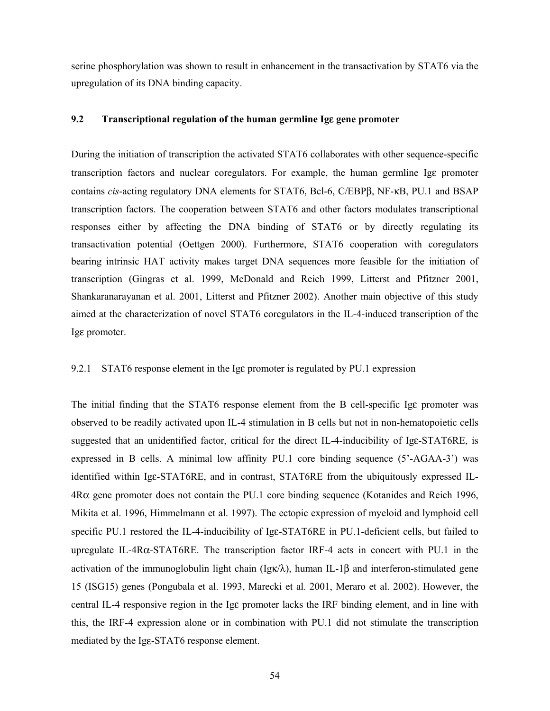serine phosphorylation was shown to result in enhancement in the transactivation by STAT6 via the upregulation of its DNA binding capacity.

#### **9.2 Transcriptional regulation of the human germline Ig**ε **gene promoter**

During the initiation of transcription the activated STAT6 collaborates with other sequence-specific transcription factors and nuclear coregulators. For example, the human germline Igε promoter contains *cis*-acting regulatory DNA elements for STAT6, Bcl-6, C/EBPβ, NF-κB, PU.1 and BSAP transcription factors. The cooperation between STAT6 and other factors modulates transcriptional responses either by affecting the DNA binding of STAT6 or by directly regulating its transactivation potential (Oettgen 2000). Furthermore, STAT6 cooperation with coregulators bearing intrinsic HAT activity makes target DNA sequences more feasible for the initiation of transcription (Gingras et al. 1999, McDonald and Reich 1999, Litterst and Pfitzner 2001, Shankaranarayanan et al. 2001, Litterst and Pfitzner 2002). Another main objective of this study aimed at the characterization of novel STAT6 coregulators in the IL-4-induced transcription of the Igε promoter.

#### 9.2.1 STAT6 response element in the Igε promoter is regulated by PU.1 expression

The initial finding that the STAT6 response element from the B cell-specific Igε promoter was observed to be readily activated upon IL-4 stimulation in B cells but not in non-hematopoietic cells suggested that an unidentified factor, critical for the direct IL-4-inducibility of Igε-STAT6RE, is expressed in B cells. A minimal low affinity PU.1 core binding sequence (5'-AGAA-3') was identified within Igε-STAT6RE, and in contrast, STAT6RE from the ubiquitously expressed IL-4Rα gene promoter does not contain the PU.1 core binding sequence (Kotanides and Reich 1996, Mikita et al. 1996, Himmelmann et al. 1997). The ectopic expression of myeloid and lymphoid cell specific PU.1 restored the IL-4-inducibility of Igε-STAT6RE in PU.1-deficient cells, but failed to upregulate IL-4Rα-STAT6RE. The transcription factor IRF-4 acts in concert with PU.1 in the activation of the immunoglobulin light chain (Igk $\lambda$ ), human IL-1β and interferon-stimulated gene 15 (ISG15) genes (Pongubala et al. 1993, Marecki et al. 2001, Meraro et al. 2002). However, the central IL-4 responsive region in the Igε promoter lacks the IRF binding element, and in line with this, the IRF-4 expression alone or in combination with PU.1 did not stimulate the transcription mediated by the Igε-STAT6 response element.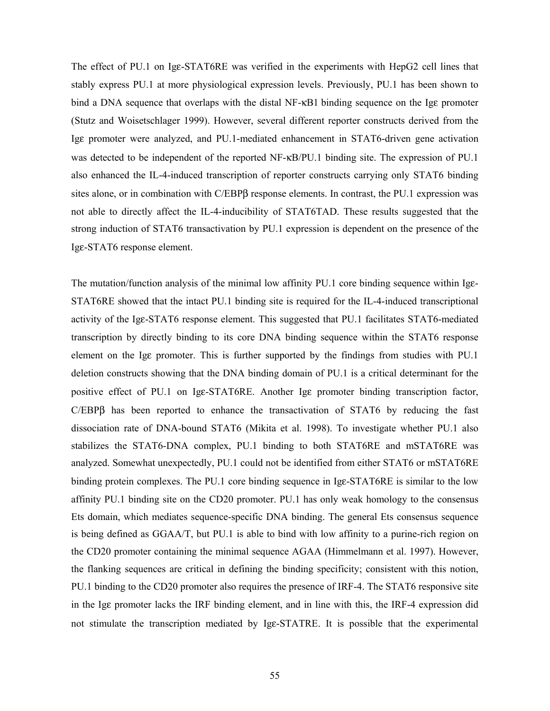The effect of PU.1 on Igε-STAT6RE was verified in the experiments with HepG2 cell lines that stably express PU.1 at more physiological expression levels. Previously, PU.1 has been shown to bind a DNA sequence that overlaps with the distal NF-κB1 binding sequence on the Igε promoter (Stutz and Woisetschlager 1999). However, several different reporter constructs derived from the Igε promoter were analyzed, and PU.1-mediated enhancement in STAT6-driven gene activation was detected to be independent of the reported NF-κB/PU.1 binding site. The expression of PU.1 also enhanced the IL-4-induced transcription of reporter constructs carrying only STAT6 binding sites alone, or in combination with C/EBPβ response elements. In contrast, the PU.1 expression was not able to directly affect the IL-4-inducibility of STAT6TAD. These results suggested that the strong induction of STAT6 transactivation by PU.1 expression is dependent on the presence of the Igε-STAT6 response element.

The mutation/function analysis of the minimal low affinity PU.1 core binding sequence within Igε-STAT6RE showed that the intact PU.1 binding site is required for the IL-4-induced transcriptional activity of the Igε-STAT6 response element. This suggested that PU.1 facilitates STAT6-mediated transcription by directly binding to its core DNA binding sequence within the STAT6 response element on the Igε promoter. This is further supported by the findings from studies with PU.1 deletion constructs showing that the DNA binding domain of PU.1 is a critical determinant for the positive effect of PU.1 on Igε-STAT6RE. Another Igε promoter binding transcription factor, C/EBPβ has been reported to enhance the transactivation of STAT6 by reducing the fast dissociation rate of DNA-bound STAT6 (Mikita et al. 1998). To investigate whether PU.1 also stabilizes the STAT6-DNA complex, PU.1 binding to both STAT6RE and mSTAT6RE was analyzed. Somewhat unexpectedly, PU.1 could not be identified from either STAT6 or mSTAT6RE binding protein complexes. The PU.1 core binding sequence in Igε-STAT6RE is similar to the low affinity PU.1 binding site on the CD20 promoter. PU.1 has only weak homology to the consensus Ets domain, which mediates sequence-specific DNA binding. The general Ets consensus sequence is being defined as GGAA/T, but PU.1 is able to bind with low affinity to a purine-rich region on the CD20 promoter containing the minimal sequence AGAA (Himmelmann et al. 1997). However, the flanking sequences are critical in defining the binding specificity; consistent with this notion, PU.1 binding to the CD20 promoter also requires the presence of IRF-4. The STAT6 responsive site in the Igε promoter lacks the IRF binding element, and in line with this, the IRF-4 expression did not stimulate the transcription mediated by Igε-STATRE. It is possible that the experimental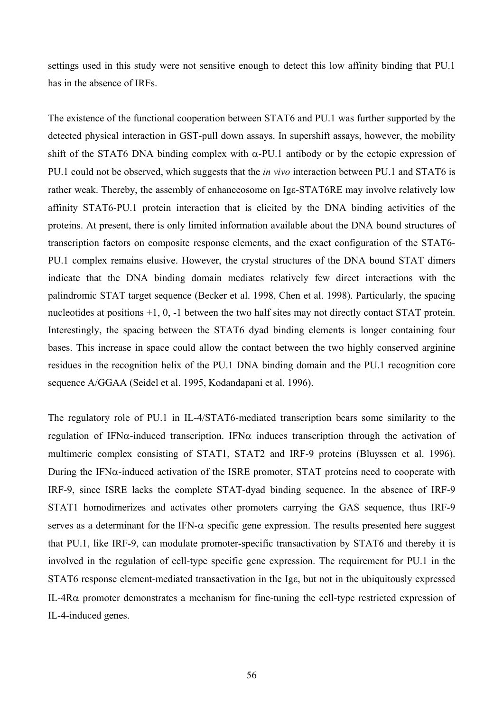settings used in this study were not sensitive enough to detect this low affinity binding that PU.1 has in the absence of IRFs.

The existence of the functional cooperation between STAT6 and PU.1 was further supported by the detected physical interaction in GST-pull down assays. In supershift assays, however, the mobility shift of the STAT6 DNA binding complex with  $\alpha$ -PU.1 antibody or by the ectopic expression of PU.1 could not be observed, which suggests that the *in vivo* interaction between PU.1 and STAT6 is rather weak. Thereby, the assembly of enhanceosome on Igε-STAT6RE may involve relatively low affinity STAT6-PU.1 protein interaction that is elicited by the DNA binding activities of the proteins. At present, there is only limited information available about the DNA bound structures of transcription factors on composite response elements, and the exact configuration of the STAT6- PU.1 complex remains elusive. However, the crystal structures of the DNA bound STAT dimers indicate that the DNA binding domain mediates relatively few direct interactions with the palindromic STAT target sequence (Becker et al. 1998, Chen et al. 1998). Particularly, the spacing nucleotides at positions +1, 0, -1 between the two half sites may not directly contact STAT protein. Interestingly, the spacing between the STAT6 dyad binding elements is longer containing four bases. This increase in space could allow the contact between the two highly conserved arginine residues in the recognition helix of the PU.1 DNA binding domain and the PU.1 recognition core sequence A/GGAA (Seidel et al. 1995, Kodandapani et al. 1996).

The regulatory role of PU.1 in IL-4/STAT6-mediated transcription bears some similarity to the regulation of IFN $\alpha$ -induced transcription. IFN $\alpha$  induces transcription through the activation of multimeric complex consisting of STAT1, STAT2 and IRF-9 proteins (Bluyssen et al. 1996). During the IFN $\alpha$ -induced activation of the ISRE promoter, STAT proteins need to cooperate with IRF-9, since ISRE lacks the complete STAT-dyad binding sequence. In the absence of IRF-9 STAT1 homodimerizes and activates other promoters carrying the GAS sequence, thus IRF-9 serves as a determinant for the IFN- $\alpha$  specific gene expression. The results presented here suggest that PU.1, like IRF-9, can modulate promoter-specific transactivation by STAT6 and thereby it is involved in the regulation of cell-type specific gene expression. The requirement for PU.1 in the STAT6 response element-mediated transactivation in the Igε, but not in the ubiquitously expressed IL-4R $\alpha$  promoter demonstrates a mechanism for fine-tuning the cell-type restricted expression of IL-4-induced genes.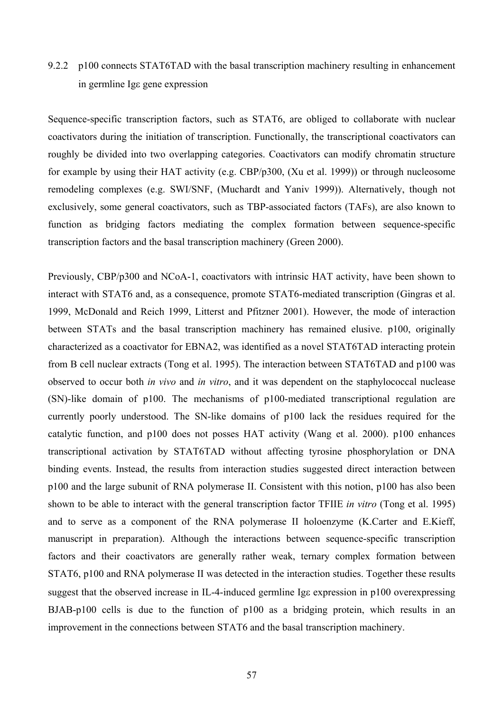# 9.2.2 p100 connects STAT6TAD with the basal transcription machinery resulting in enhancement in germline Igε gene expression

Sequence-specific transcription factors, such as STAT6, are obliged to collaborate with nuclear coactivators during the initiation of transcription. Functionally, the transcriptional coactivators can roughly be divided into two overlapping categories. Coactivators can modify chromatin structure for example by using their HAT activity (e.g. CBP/p300, (Xu et al. 1999)) or through nucleosome remodeling complexes (e.g. SWI/SNF, (Muchardt and Yaniv 1999)). Alternatively, though not exclusively, some general coactivators, such as TBP-associated factors (TAFs), are also known to function as bridging factors mediating the complex formation between sequence-specific transcription factors and the basal transcription machinery (Green 2000).

Previously, CBP/p300 and NCoA-1, coactivators with intrinsic HAT activity, have been shown to interact with STAT6 and, as a consequence, promote STAT6-mediated transcription (Gingras et al. 1999, McDonald and Reich 1999, Litterst and Pfitzner 2001). However, the mode of interaction between STATs and the basal transcription machinery has remained elusive. p100, originally characterized as a coactivator for EBNA2, was identified as a novel STAT6TAD interacting protein from B cell nuclear extracts (Tong et al. 1995). The interaction between STAT6TAD and p100 was observed to occur both *in vivo* and *in vitro*, and it was dependent on the staphylococcal nuclease (SN)-like domain of p100. The mechanisms of p100-mediated transcriptional regulation are currently poorly understood. The SN-like domains of p100 lack the residues required for the catalytic function, and p100 does not posses HAT activity (Wang et al. 2000). p100 enhances transcriptional activation by STAT6TAD without affecting tyrosine phosphorylation or DNA binding events. Instead, the results from interaction studies suggested direct interaction between p100 and the large subunit of RNA polymerase II. Consistent with this notion, p100 has also been shown to be able to interact with the general transcription factor TFIIE *in vitro* (Tong et al. 1995) and to serve as a component of the RNA polymerase II holoenzyme (K.Carter and E.Kieff, manuscript in preparation). Although the interactions between sequence-specific transcription factors and their coactivators are generally rather weak, ternary complex formation between STAT6, p100 and RNA polymerase II was detected in the interaction studies. Together these results suggest that the observed increase in IL-4-induced germline Igε expression in p100 overexpressing BJAB-p100 cells is due to the function of p100 as a bridging protein, which results in an improvement in the connections between STAT6 and the basal transcription machinery.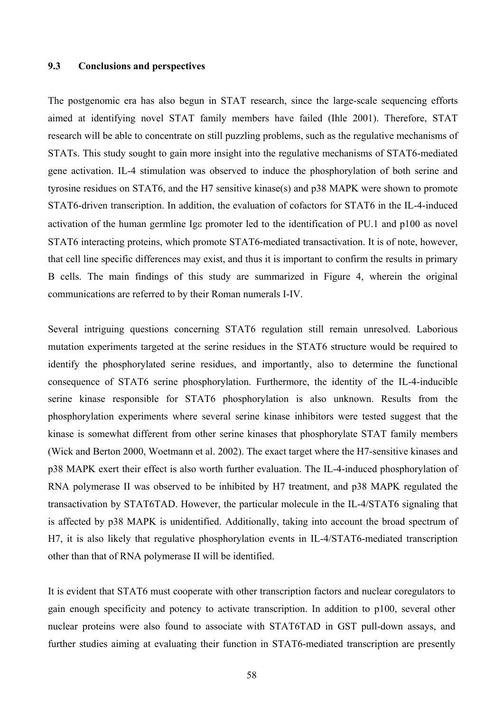#### **9.3 Conclusions and perspectives**

The postgenomic era has also begun in STAT research, since the large-scale sequencing efforts aimed at identifying novel STAT family members have failed (Ihle 2001). Therefore, STAT research will be able to concentrate on still puzzling problems, such as the regulative mechanisms of STATs. This study sought to gain more insight into the regulative mechanisms of STAT6-mediated gene activation. IL-4 stimulation was observed to induce the phosphorylation of both serine and tyrosine residues on STAT6, and the H7 sensitive kinase(s) and p38 MAPK were shown to promote STAT6-driven transcription. In addition, the evaluation of cofactors for STAT6 in the IL-4-induced activation of the human germline Igε promoter led to the identification of PU.1 and p100 as novel STAT6 interacting proteins, which promote STAT6-mediated transactivation. It is of note, however, that cell line specific differences may exist, and thus it is important to confirm the results in primary B cells. The main findings of this study are summarized in Figure 4, wherein the original communications are referred to by their Roman numerals I-IV.

Several intriguing questions concerning STAT6 regulation still remain unresolved. Laborious mutation experiments targeted at the serine residues in the STAT6 structure would be required to identify the phosphorylated serine residues, and importantly, also to determine the functional consequence of STAT6 serine phosphorylation. Furthermore, the identity of the IL-4-inducible serine kinase responsible for STAT6 phosphorylation is also unknown. Results from the phosphorylation experiments where several serine kinase inhibitors were tested suggest that the kinase is somewhat different from other serine kinases that phosphorylate STAT family members (Wick and Berton 2000, Woetmann et al. 2002). The exact target where the H7-sensitive kinases and p38 MAPK exert their effect is also worth further evaluation. The IL-4-induced phosphorylation of RNA polymerase II was observed to be inhibited by H7 treatment, and p38 MAPK regulated the transactivation by STAT6TAD. However, the particular molecule in the IL-4/STAT6 signaling that is affected by p38 MAPK is unidentified. Additionally, taking into account the broad spectrum of H7, it is also likely that regulative phosphorylation events in IL-4/STAT6-mediated transcription other than that of RNA polymerase II will be identified.

It is evident that STAT6 must cooperate with other transcription factors and nuclear coregulators to gain enough specificity and potency to activate transcription. In addition to p100, several other nuclear proteins were also found to associate with STAT6TAD in GST pull-down assays, and further studies aiming at evaluating their function in STAT6-mediated transcription are presently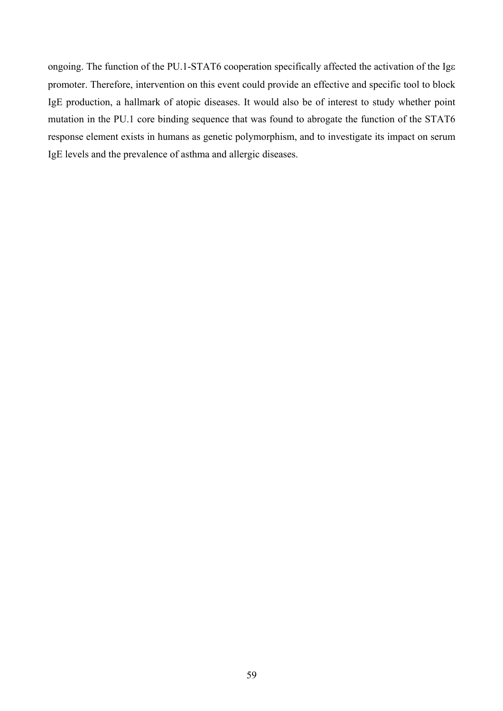ongoing. The function of the PU.1-STAT6 cooperation specifically affected the activation of the Igε promoter. Therefore, intervention on this event could provide an effective and specific tool to block IgE production, a hallmark of atopic diseases. It would also be of interest to study whether point mutation in the PU.1 core binding sequence that was found to abrogate the function of the STAT6 response element exists in humans as genetic polymorphism, and to investigate its impact on serum IgE levels and the prevalence of asthma and allergic diseases.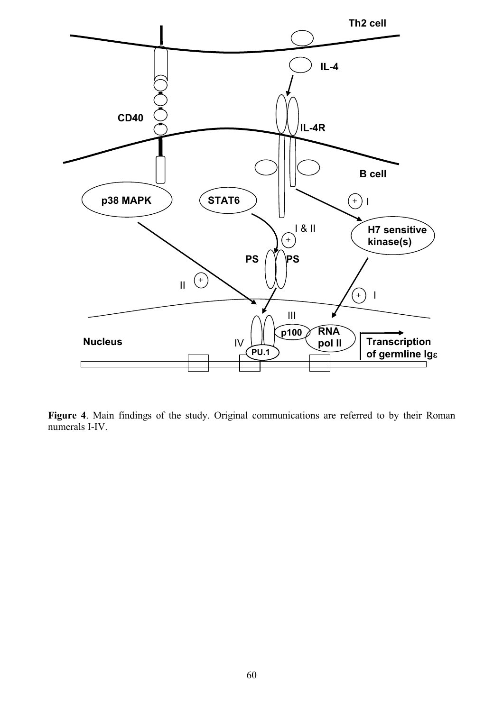

**Figure 4**. Main findings of the study. Original communications are referred to by their Roman numerals I-IV.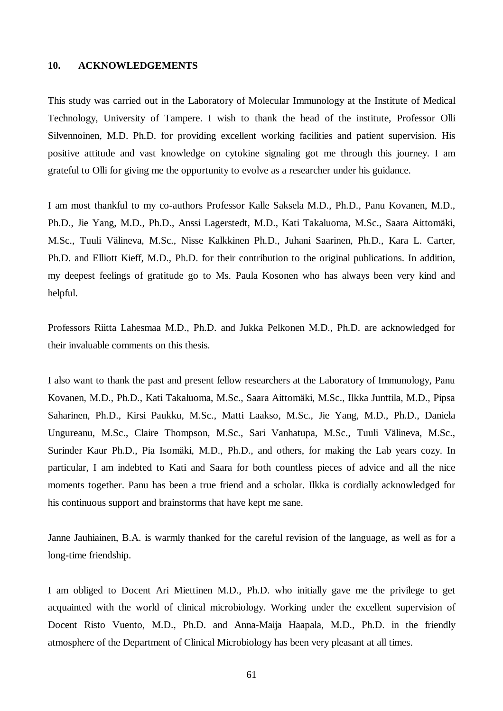### **10. ACKNOWLEDGEMENTS**

This study was carried out in the Laboratory of Molecular Immunology at the Institute of Medical Technology, University of Tampere. I wish to thank the head of the institute, Professor Olli Silvennoinen, M.D. Ph.D. for providing excellent working facilities and patient supervision. His positive attitude and vast knowledge on cytokine signaling got me through this journey. I am grateful to Olli for giving me the opportunity to evolve as a researcher under his guidance.

I am most thankful to my co-authors Professor Kalle Saksela M.D., Ph.D., Panu Kovanen, M.D., Ph.D., Jie Yang, M.D., Ph.D., Anssi Lagerstedt, M.D., Kati Takaluoma, M.Sc., Saara Aittomäki, M.Sc., Tuuli Välineva, M.Sc., Nisse Kalkkinen Ph.D., Juhani Saarinen, Ph.D., Kara L. Carter, Ph.D. and Elliott Kieff, M.D., Ph.D. for their contribution to the original publications. In addition, my deepest feelings of gratitude go to Ms. Paula Kosonen who has always been very kind and helpful.

Professors Riitta Lahesmaa M.D., Ph.D. and Jukka Pelkonen M.D., Ph.D. are acknowledged for their invaluable comments on this thesis.

I also want to thank the past and present fellow researchers at the Laboratory of Immunology, Panu Kovanen, M.D., Ph.D., Kati Takaluoma, M.Sc., Saara Aittomäki, M.Sc., Ilkka Junttila, M.D., Pipsa Saharinen, Ph.D., Kirsi Paukku, M.Sc., Matti Laakso, M.Sc., Jie Yang, M.D., Ph.D., Daniela Ungureanu, M.Sc., Claire Thompson, M.Sc., Sari Vanhatupa, M.Sc., Tuuli Välineva, M.Sc., Surinder Kaur Ph.D., Pia Isomäki, M.D., Ph.D., and others, for making the Lab years cozy. In particular, I am indebted to Kati and Saara for both countless pieces of advice and all the nice moments together. Panu has been a true friend and a scholar. Ilkka is cordially acknowledged for his continuous support and brainstorms that have kept me sane.

Janne Jauhiainen, B.A. is warmly thanked for the careful revision of the language, as well as for a long-time friendship.

I am obliged to Docent Ari Miettinen M.D., Ph.D. who initially gave me the privilege to get acquainted with the world of clinical microbiology. Working under the excellent supervision of Docent Risto Vuento, M.D., Ph.D. and Anna-Maija Haapala, M.D., Ph.D. in the friendly atmosphere of the Department of Clinical Microbiology has been very pleasant at all times.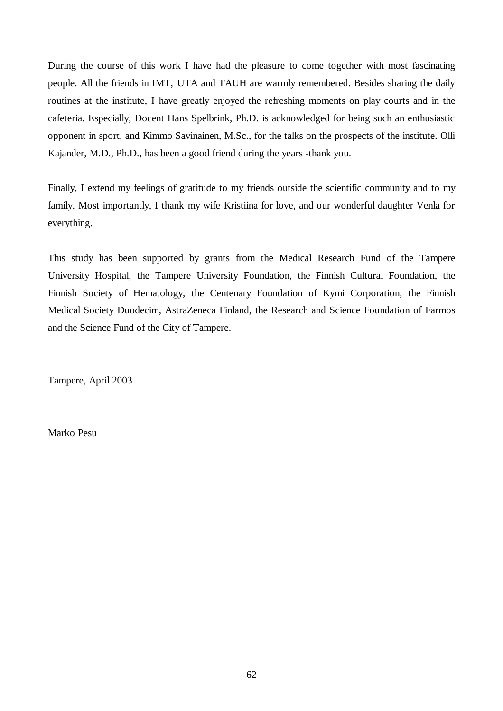During the course of this work I have had the pleasure to come together with most fascinating people. All the friends in IMT, UTA and TAUH are warmly remembered. Besides sharing the daily routines at the institute, I have greatly enjoyed the refreshing moments on play courts and in the cafeteria. Especially, Docent Hans Spelbrink, Ph.D. is acknowledged for being such an enthusiastic opponent in sport, and Kimmo Savinainen, M.Sc., for the talks on the prospects of the institute. Olli Kajander, M.D., Ph.D., has been a good friend during the years -thank you.

Finally, I extend my feelings of gratitude to my friends outside the scientific community and to my family. Most importantly, I thank my wife Kristiina for love, and our wonderful daughter Venla for everything.

This study has been supported by grants from the Medical Research Fund of the Tampere University Hospital, the Tampere University Foundation, the Finnish Cultural Foundation, the Finnish Society of Hematology, the Centenary Foundation of Kymi Corporation, the Finnish Medical Society Duodecim, AstraZeneca Finland, the Research and Science Foundation of Farmos and the Science Fund of the City of Tampere.

Tampere, April 2003

Marko Pesu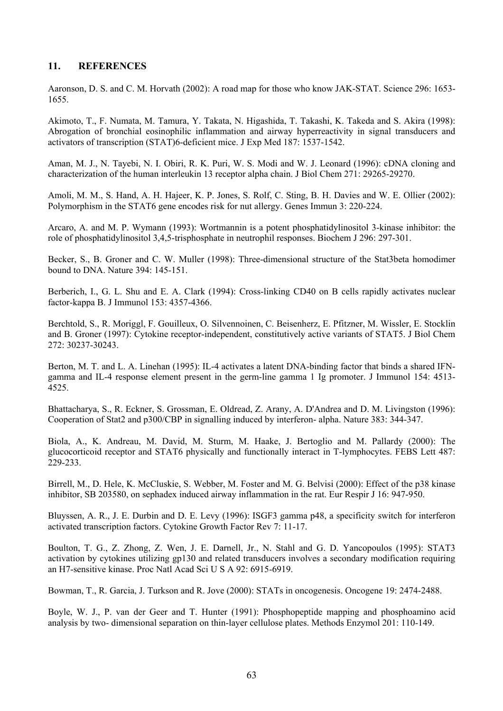## **11. REFERENCES**

Aaronson, D. S. and C. M. Horvath (2002): A road map for those who know JAK-STAT. Science 296: 1653- 1655.

Akimoto, T., F. Numata, M. Tamura, Y. Takata, N. Higashida, T. Takashi, K. Takeda and S. Akira (1998): Abrogation of bronchial eosinophilic inflammation and airway hyperreactivity in signal transducers and activators of transcription (STAT)6-deficient mice. J Exp Med 187: 1537-1542.

Aman, M. J., N. Tayebi, N. I. Obiri, R. K. Puri, W. S. Modi and W. J. Leonard (1996): cDNA cloning and characterization of the human interleukin 13 receptor alpha chain. J Biol Chem 271: 29265-29270.

Amoli, M. M., S. Hand, A. H. Hajeer, K. P. Jones, S. Rolf, C. Sting, B. H. Davies and W. E. Ollier (2002): Polymorphism in the STAT6 gene encodes risk for nut allergy. Genes Immun 3: 220-224.

Arcaro, A. and M. P. Wymann (1993): Wortmannin is a potent phosphatidylinositol 3-kinase inhibitor: the role of phosphatidylinositol 3,4,5-trisphosphate in neutrophil responses. Biochem J 296: 297-301.

Becker, S., B. Groner and C. W. Muller (1998): Three-dimensional structure of the Stat3beta homodimer bound to DNA. Nature 394: 145-151.

Berberich, I., G. L. Shu and E. A. Clark (1994): Cross-linking CD40 on B cells rapidly activates nuclear factor-kappa B. J Immunol 153: 4357-4366.

Berchtold, S., R. Moriggl, F. Gouilleux, O. Silvennoinen, C. Beisenherz, E. Pfitzner, M. Wissler, E. Stocklin and B. Groner (1997): Cytokine receptor-independent, constitutively active variants of STAT5. J Biol Chem 272: 30237-30243.

Berton, M. T. and L. A. Linehan (1995): IL-4 activates a latent DNA-binding factor that binds a shared IFNgamma and IL-4 response element present in the germ-line gamma 1 Ig promoter. J Immunol 154: 4513- 4525.

Bhattacharya, S., R. Eckner, S. Grossman, E. Oldread, Z. Arany, A. D'Andrea and D. M. Livingston (1996): Cooperation of Stat2 and p300/CBP in signalling induced by interferon- alpha. Nature 383: 344-347.

Biola, A., K. Andreau, M. David, M. Sturm, M. Haake, J. Bertoglio and M. Pallardy (2000): The glucocorticoid receptor and STAT6 physically and functionally interact in T-lymphocytes. FEBS Lett 487: 229-233.

Birrell, M., D. Hele, K. McCluskie, S. Webber, M. Foster and M. G. Belvisi (2000): Effect of the p38 kinase inhibitor, SB 203580, on sephadex induced airway inflammation in the rat. Eur Respir J 16: 947-950.

Bluyssen, A. R., J. E. Durbin and D. E. Levy (1996): ISGF3 gamma p48, a specificity switch for interferon activated transcription factors. Cytokine Growth Factor Rev 7: 11-17.

Boulton, T. G., Z. Zhong, Z. Wen, J. E. Darnell, Jr., N. Stahl and G. D. Yancopoulos (1995): STAT3 activation by cytokines utilizing gp130 and related transducers involves a secondary modification requiring an H7-sensitive kinase. Proc Natl Acad Sci U S A 92: 6915-6919.

Bowman, T., R. Garcia, J. Turkson and R. Jove (2000): STATs in oncogenesis. Oncogene 19: 2474-2488.

Boyle, W. J., P. van der Geer and T. Hunter (1991): Phosphopeptide mapping and phosphoamino acid analysis by two- dimensional separation on thin-layer cellulose plates. Methods Enzymol 201: 110-149.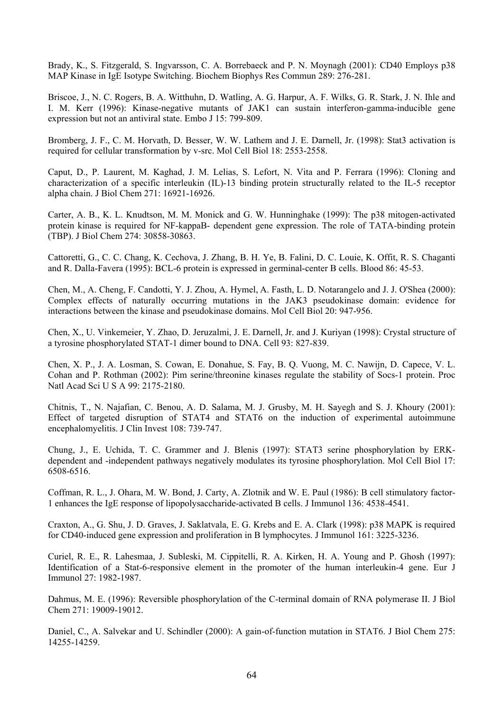Brady, K., S. Fitzgerald, S. Ingvarsson, C. A. Borrebaeck and P. N. Moynagh (2001): CD40 Employs p38 MAP Kinase in IgE Isotype Switching. Biochem Biophys Res Commun 289: 276-281.

Briscoe, J., N. C. Rogers, B. A. Witthuhn, D. Watling, A. G. Harpur, A. F. Wilks, G. R. Stark, J. N. Ihle and I. M. Kerr (1996): Kinase-negative mutants of JAK1 can sustain interferon-gamma-inducible gene expression but not an antiviral state. Embo J 15: 799-809.

Bromberg, J. F., C. M. Horvath, D. Besser, W. W. Lathem and J. E. Darnell, Jr. (1998): Stat3 activation is required for cellular transformation by v-src. Mol Cell Biol 18: 2553-2558.

Caput, D., P. Laurent, M. Kaghad, J. M. Lelias, S. Lefort, N. Vita and P. Ferrara (1996): Cloning and characterization of a specific interleukin (IL)-13 binding protein structurally related to the IL-5 receptor alpha chain. J Biol Chem 271: 16921-16926.

Carter, A. B., K. L. Knudtson, M. M. Monick and G. W. Hunninghake (1999): The p38 mitogen-activated protein kinase is required for NF-kappaB- dependent gene expression. The role of TATA-binding protein (TBP). J Biol Chem 274: 30858-30863.

Cattoretti, G., C. C. Chang, K. Cechova, J. Zhang, B. H. Ye, B. Falini, D. C. Louie, K. Offit, R. S. Chaganti and R. Dalla-Favera (1995): BCL-6 protein is expressed in germinal-center B cells. Blood 86: 45-53.

Chen, M., A. Cheng, F. Candotti, Y. J. Zhou, A. Hymel, A. Fasth, L. D. Notarangelo and J. J. O'Shea (2000): Complex effects of naturally occurring mutations in the JAK3 pseudokinase domain: evidence for interactions between the kinase and pseudokinase domains. Mol Cell Biol 20: 947-956.

Chen, X., U. Vinkemeier, Y. Zhao, D. Jeruzalmi, J. E. Darnell, Jr. and J. Kuriyan (1998): Crystal structure of a tyrosine phosphorylated STAT-1 dimer bound to DNA. Cell 93: 827-839.

Chen, X. P., J. A. Losman, S. Cowan, E. Donahue, S. Fay, B. Q. Vuong, M. C. Nawijn, D. Capece, V. L. Cohan and P. Rothman (2002): Pim serine/threonine kinases regulate the stability of Socs-1 protein. Proc Natl Acad Sci U S A 99: 2175-2180.

Chitnis, T., N. Najafian, C. Benou, A. D. Salama, M. J. Grusby, M. H. Sayegh and S. J. Khoury (2001): Effect of targeted disruption of STAT4 and STAT6 on the induction of experimental autoimmune encephalomyelitis. J Clin Invest 108: 739-747.

Chung, J., E. Uchida, T. C. Grammer and J. Blenis (1997): STAT3 serine phosphorylation by ERKdependent and -independent pathways negatively modulates its tyrosine phosphorylation. Mol Cell Biol 17: 6508-6516.

Coffman, R. L., J. Ohara, M. W. Bond, J. Carty, A. Zlotnik and W. E. Paul (1986): B cell stimulatory factor-1 enhances the IgE response of lipopolysaccharide-activated B cells. J Immunol 136: 4538-4541.

Craxton, A., G. Shu, J. D. Graves, J. Saklatvala, E. G. Krebs and E. A. Clark (1998): p38 MAPK is required for CD40-induced gene expression and proliferation in B lymphocytes. J Immunol 161: 3225-3236.

Curiel, R. E., R. Lahesmaa, J. Subleski, M. Cippitelli, R. A. Kirken, H. A. Young and P. Ghosh (1997): Identification of a Stat-6-responsive element in the promoter of the human interleukin-4 gene. Eur J Immunol 27: 1982-1987.

Dahmus, M. E. (1996): Reversible phosphorylation of the C-terminal domain of RNA polymerase II. J Biol Chem 271: 19009-19012.

Daniel, C., A. Salvekar and U. Schindler (2000): A gain-of-function mutation in STAT6. J Biol Chem 275: 14255-14259.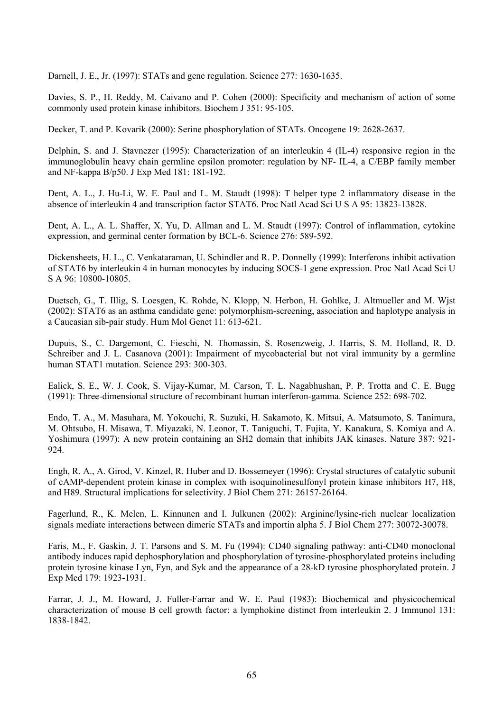Darnell, J. E., Jr. (1997): STATs and gene regulation. Science 277: 1630-1635.

Davies, S. P., H. Reddy, M. Caivano and P. Cohen (2000): Specificity and mechanism of action of some commonly used protein kinase inhibitors. Biochem J 351: 95-105.

Decker, T. and P. Kovarik (2000): Serine phosphorylation of STATs. Oncogene 19: 2628-2637.

Delphin, S. and J. Stavnezer (1995): Characterization of an interleukin 4 (IL-4) responsive region in the immunoglobulin heavy chain germline epsilon promoter: regulation by NF- IL-4, a C/EBP family member and NF-kappa B/p50. J Exp Med 181: 181-192.

Dent, A. L., J. Hu-Li, W. E. Paul and L. M. Staudt (1998): T helper type 2 inflammatory disease in the absence of interleukin 4 and transcription factor STAT6. Proc Natl Acad Sci U S A 95: 13823-13828.

Dent, A. L., A. L. Shaffer, X. Yu, D. Allman and L. M. Staudt (1997): Control of inflammation, cytokine expression, and germinal center formation by BCL-6. Science 276: 589-592.

Dickensheets, H. L., C. Venkataraman, U. Schindler and R. P. Donnelly (1999): Interferons inhibit activation of STAT6 by interleukin 4 in human monocytes by inducing SOCS-1 gene expression. Proc Natl Acad Sci U S A 96: 10800-10805.

Duetsch, G., T. Illig, S. Loesgen, K. Rohde, N. Klopp, N. Herbon, H. Gohlke, J. Altmueller and M. Wjst (2002): STAT6 as an asthma candidate gene: polymorphism-screening, association and haplotype analysis in a Caucasian sib-pair study. Hum Mol Genet 11: 613-621.

Dupuis, S., C. Dargemont, C. Fieschi, N. Thomassin, S. Rosenzweig, J. Harris, S. M. Holland, R. D. Schreiber and J. L. Casanova (2001): Impairment of mycobacterial but not viral immunity by a germline human STAT1 mutation. Science 293: 300-303.

Ealick, S. E., W. J. Cook, S. Vijay-Kumar, M. Carson, T. L. Nagabhushan, P. P. Trotta and C. E. Bugg (1991): Three-dimensional structure of recombinant human interferon-gamma. Science 252: 698-702.

Endo, T. A., M. Masuhara, M. Yokouchi, R. Suzuki, H. Sakamoto, K. Mitsui, A. Matsumoto, S. Tanimura, M. Ohtsubo, H. Misawa, T. Miyazaki, N. Leonor, T. Taniguchi, T. Fujita, Y. Kanakura, S. Komiya and A. Yoshimura (1997): A new protein containing an SH2 domain that inhibits JAK kinases. Nature 387: 921- 924.

Engh, R. A., A. Girod, V. Kinzel, R. Huber and D. Bossemeyer (1996): Crystal structures of catalytic subunit of cAMP-dependent protein kinase in complex with isoquinolinesulfonyl protein kinase inhibitors H7, H8, and H89. Structural implications for selectivity. J Biol Chem 271: 26157-26164.

Fagerlund, R., K. Melen, L. Kinnunen and I. Julkunen (2002): Arginine/lysine-rich nuclear localization signals mediate interactions between dimeric STATs and importin alpha 5. J Biol Chem 277: 30072-30078.

Faris, M., F. Gaskin, J. T. Parsons and S. M. Fu (1994): CD40 signaling pathway: anti-CD40 monoclonal antibody induces rapid dephosphorylation and phosphorylation of tyrosine-phosphorylated proteins including protein tyrosine kinase Lyn, Fyn, and Syk and the appearance of a 28-kD tyrosine phosphorylated protein. J Exp Med 179: 1923-1931.

Farrar, J. J., M. Howard, J. Fuller-Farrar and W. E. Paul (1983): Biochemical and physicochemical characterization of mouse B cell growth factor: a lymphokine distinct from interleukin 2. J Immunol 131: 1838-1842.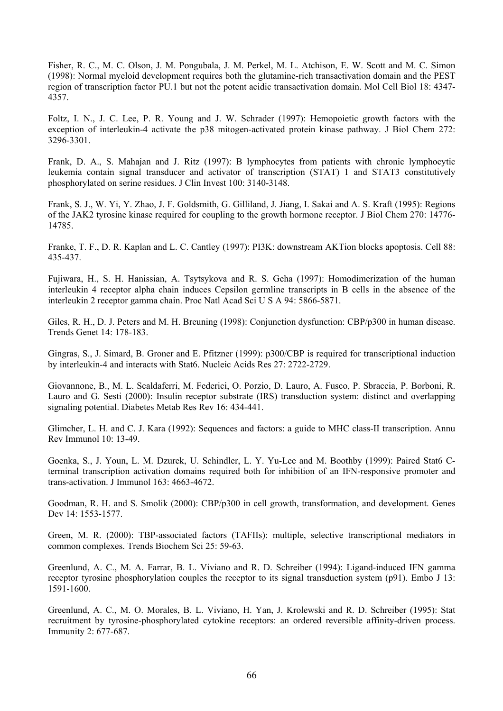Fisher, R. C., M. C. Olson, J. M. Pongubala, J. M. Perkel, M. L. Atchison, E. W. Scott and M. C. Simon (1998): Normal myeloid development requires both the glutamine-rich transactivation domain and the PEST region of transcription factor PU.1 but not the potent acidic transactivation domain. Mol Cell Biol 18: 4347- 4357.

Foltz, I. N., J. C. Lee, P. R. Young and J. W. Schrader (1997): Hemopoietic growth factors with the exception of interleukin-4 activate the p38 mitogen-activated protein kinase pathway. J Biol Chem 272: 3296-3301.

Frank, D. A., S. Mahajan and J. Ritz (1997): B lymphocytes from patients with chronic lymphocytic leukemia contain signal transducer and activator of transcription (STAT) 1 and STAT3 constitutively phosphorylated on serine residues. J Clin Invest 100: 3140-3148.

Frank, S. J., W. Yi, Y. Zhao, J. F. Goldsmith, G. Gilliland, J. Jiang, I. Sakai and A. S. Kraft (1995): Regions of the JAK2 tyrosine kinase required for coupling to the growth hormone receptor. J Biol Chem 270: 14776- 14785.

Franke, T. F., D. R. Kaplan and L. C. Cantley (1997): PI3K: downstream AKTion blocks apoptosis. Cell 88: 435-437.

Fujiwara, H., S. H. Hanissian, A. Tsytsykova and R. S. Geha (1997): Homodimerization of the human interleukin 4 receptor alpha chain induces Cepsilon germline transcripts in B cells in the absence of the interleukin 2 receptor gamma chain. Proc Natl Acad Sci U S A 94: 5866-5871.

Giles, R. H., D. J. Peters and M. H. Breuning (1998): Conjunction dysfunction: CBP/p300 in human disease. Trends Genet 14: 178-183.

Gingras, S., J. Simard, B. Groner and E. Pfitzner (1999): p300/CBP is required for transcriptional induction by interleukin-4 and interacts with Stat6. Nucleic Acids Res 27: 2722-2729.

Giovannone, B., M. L. Scaldaferri, M. Federici, O. Porzio, D. Lauro, A. Fusco, P. Sbraccia, P. Borboni, R. Lauro and G. Sesti (2000): Insulin receptor substrate (IRS) transduction system: distinct and overlapping signaling potential. Diabetes Metab Res Rev 16: 434-441.

Glimcher, L. H. and C. J. Kara (1992): Sequences and factors: a guide to MHC class-II transcription. Annu Rev Immunol 10: 13-49.

Goenka, S., J. Youn, L. M. Dzurek, U. Schindler, L. Y. Yu-Lee and M. Boothby (1999): Paired Stat6 Cterminal transcription activation domains required both for inhibition of an IFN-responsive promoter and trans-activation. J Immunol 163: 4663-4672.

Goodman, R. H. and S. Smolik (2000): CBP/p300 in cell growth, transformation, and development. Genes Dev 14: 1553-1577.

Green, M. R. (2000): TBP-associated factors (TAFIIs): multiple, selective transcriptional mediators in common complexes. Trends Biochem Sci 25: 59-63.

Greenlund, A. C., M. A. Farrar, B. L. Viviano and R. D. Schreiber (1994): Ligand-induced IFN gamma receptor tyrosine phosphorylation couples the receptor to its signal transduction system (p91). Embo J 13: 1591-1600.

Greenlund, A. C., M. O. Morales, B. L. Viviano, H. Yan, J. Krolewski and R. D. Schreiber (1995): Stat recruitment by tyrosine-phosphorylated cytokine receptors: an ordered reversible affinity-driven process. Immunity 2: 677-687.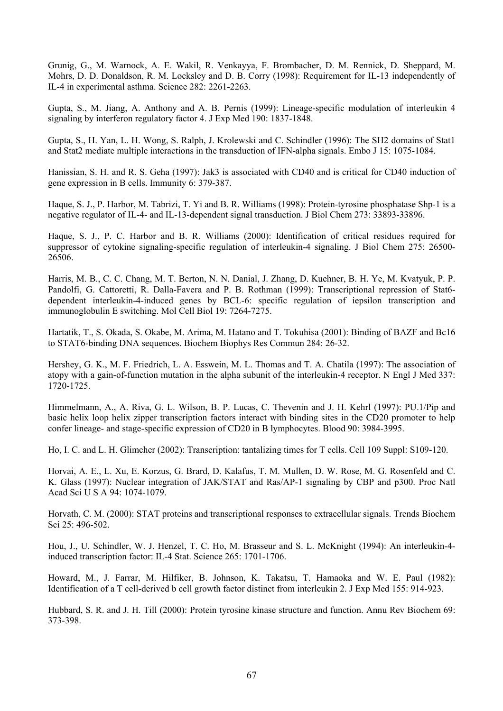Grunig, G., M. Warnock, A. E. Wakil, R. Venkayya, F. Brombacher, D. M. Rennick, D. Sheppard, M. Mohrs, D. D. Donaldson, R. M. Locksley and D. B. Corry (1998): Requirement for IL-13 independently of IL-4 in experimental asthma. Science 282: 2261-2263.

Gupta, S., M. Jiang, A. Anthony and A. B. Pernis (1999): Lineage-specific modulation of interleukin 4 signaling by interferon regulatory factor 4. J Exp Med 190: 1837-1848.

Gupta, S., H. Yan, L. H. Wong, S. Ralph, J. Krolewski and C. Schindler (1996): The SH2 domains of Stat1 and Stat2 mediate multiple interactions in the transduction of IFN-alpha signals. Embo J 15: 1075-1084.

Hanissian, S. H. and R. S. Geha (1997): Jak3 is associated with CD40 and is critical for CD40 induction of gene expression in B cells. Immunity 6: 379-387.

Haque, S. J., P. Harbor, M. Tabrizi, T. Yi and B. R. Williams (1998): Protein-tyrosine phosphatase Shp-1 is a negative regulator of IL-4- and IL-13-dependent signal transduction. J Biol Chem 273: 33893-33896.

Haque, S. J., P. C. Harbor and B. R. Williams (2000): Identification of critical residues required for suppressor of cytokine signaling-specific regulation of interleukin-4 signaling. J Biol Chem 275: 26500- 26506.

Harris, M. B., C. C. Chang, M. T. Berton, N. N. Danial, J. Zhang, D. Kuehner, B. H. Ye, M. Kvatyuk, P. P. Pandolfi, G. Cattoretti, R. Dalla-Favera and P. B. Rothman (1999): Transcriptional repression of Stat6 dependent interleukin-4-induced genes by BCL-6: specific regulation of iepsilon transcription and immunoglobulin E switching. Mol Cell Biol 19: 7264-7275.

Hartatik, T., S. Okada, S. Okabe, M. Arima, M. Hatano and T. Tokuhisa (2001): Binding of BAZF and Bc16 to STAT6-binding DNA sequences. Biochem Biophys Res Commun 284: 26-32.

Hershey, G. K., M. F. Friedrich, L. A. Esswein, M. L. Thomas and T. A. Chatila (1997): The association of atopy with a gain-of-function mutation in the alpha subunit of the interleukin-4 receptor. N Engl J Med 337: 1720-1725.

Himmelmann, A., A. Riva, G. L. Wilson, B. P. Lucas, C. Thevenin and J. H. Kehrl (1997): PU.1/Pip and basic helix loop helix zipper transcription factors interact with binding sites in the CD20 promoter to help confer lineage- and stage-specific expression of CD20 in B lymphocytes. Blood 90: 3984-3995.

Ho, I. C. and L. H. Glimcher (2002): Transcription: tantalizing times for T cells. Cell 109 Suppl: S109-120.

Horvai, A. E., L. Xu, E. Korzus, G. Brard, D. Kalafus, T. M. Mullen, D. W. Rose, M. G. Rosenfeld and C. K. Glass (1997): Nuclear integration of JAK/STAT and Ras/AP-1 signaling by CBP and p300. Proc Natl Acad Sci U S A 94: 1074-1079.

Horvath, C. M. (2000): STAT proteins and transcriptional responses to extracellular signals. Trends Biochem Sci 25: 496-502.

Hou, J., U. Schindler, W. J. Henzel, T. C. Ho, M. Brasseur and S. L. McKnight (1994): An interleukin-4 induced transcription factor: IL-4 Stat. Science 265: 1701-1706.

Howard, M., J. Farrar, M. Hilfiker, B. Johnson, K. Takatsu, T. Hamaoka and W. E. Paul (1982): Identification of a T cell-derived b cell growth factor distinct from interleukin 2. J Exp Med 155: 914-923.

Hubbard, S. R. and J. H. Till (2000): Protein tyrosine kinase structure and function. Annu Rev Biochem 69: 373-398.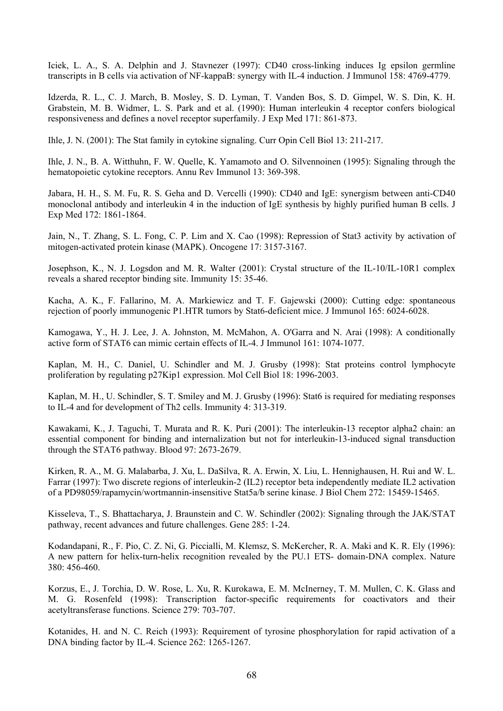Iciek, L. A., S. A. Delphin and J. Stavnezer (1997): CD40 cross-linking induces Ig epsilon germline transcripts in B cells via activation of NF-kappaB: synergy with IL-4 induction. J Immunol 158: 4769-4779.

Idzerda, R. L., C. J. March, B. Mosley, S. D. Lyman, T. Vanden Bos, S. D. Gimpel, W. S. Din, K. H. Grabstein, M. B. Widmer, L. S. Park and et al. (1990): Human interleukin 4 receptor confers biological responsiveness and defines a novel receptor superfamily. J Exp Med 171: 861-873.

Ihle, J. N. (2001): The Stat family in cytokine signaling. Curr Opin Cell Biol 13: 211-217.

Ihle, J. N., B. A. Witthuhn, F. W. Quelle, K. Yamamoto and O. Silvennoinen (1995): Signaling through the hematopoietic cytokine receptors. Annu Rev Immunol 13: 369-398.

Jabara, H. H., S. M. Fu, R. S. Geha and D. Vercelli (1990): CD40 and IgE: synergism between anti-CD40 monoclonal antibody and interleukin 4 in the induction of IgE synthesis by highly purified human B cells. J Exp Med 172: 1861-1864.

Jain, N., T. Zhang, S. L. Fong, C. P. Lim and X. Cao (1998): Repression of Stat3 activity by activation of mitogen-activated protein kinase (MAPK). Oncogene 17: 3157-3167.

Josephson, K., N. J. Logsdon and M. R. Walter (2001): Crystal structure of the IL-10/IL-10R1 complex reveals a shared receptor binding site. Immunity 15: 35-46.

Kacha, A. K., F. Fallarino, M. A. Markiewicz and T. F. Gajewski (2000): Cutting edge: spontaneous rejection of poorly immunogenic P1.HTR tumors by Stat6-deficient mice. J Immunol 165: 6024-6028.

Kamogawa, Y., H. J. Lee, J. A. Johnston, M. McMahon, A. O'Garra and N. Arai (1998): A conditionally active form of STAT6 can mimic certain effects of IL-4. J Immunol 161: 1074-1077.

Kaplan, M. H., C. Daniel, U. Schindler and M. J. Grusby (1998): Stat proteins control lymphocyte proliferation by regulating p27Kip1 expression. Mol Cell Biol 18: 1996-2003.

Kaplan, M. H., U. Schindler, S. T. Smiley and M. J. Grusby (1996): Stat6 is required for mediating responses to IL-4 and for development of Th2 cells. Immunity 4: 313-319.

Kawakami, K., J. Taguchi, T. Murata and R. K. Puri (2001): The interleukin-13 receptor alpha2 chain: an essential component for binding and internalization but not for interleukin-13-induced signal transduction through the STAT6 pathway. Blood 97: 2673-2679.

Kirken, R. A., M. G. Malabarba, J. Xu, L. DaSilva, R. A. Erwin, X. Liu, L. Hennighausen, H. Rui and W. L. Farrar (1997): Two discrete regions of interleukin-2 (IL2) receptor beta independently mediate IL2 activation of a PD98059/rapamycin/wortmannin-insensitive Stat5a/b serine kinase. J Biol Chem 272: 15459-15465.

Kisseleva, T., S. Bhattacharya, J. Braunstein and C. W. Schindler (2002): Signaling through the JAK/STAT pathway, recent advances and future challenges. Gene 285: 1-24.

Kodandapani, R., F. Pio, C. Z. Ni, G. Piccialli, M. Klemsz, S. McKercher, R. A. Maki and K. R. Ely (1996): A new pattern for helix-turn-helix recognition revealed by the PU.1 ETS- domain-DNA complex. Nature 380: 456-460.

Korzus, E., J. Torchia, D. W. Rose, L. Xu, R. Kurokawa, E. M. McInerney, T. M. Mullen, C. K. Glass and M. G. Rosenfeld (1998): Transcription factor-specific requirements for coactivators and their acetyltransferase functions. Science 279: 703-707.

Kotanides, H. and N. C. Reich (1993): Requirement of tyrosine phosphorylation for rapid activation of a DNA binding factor by IL-4. Science 262: 1265-1267.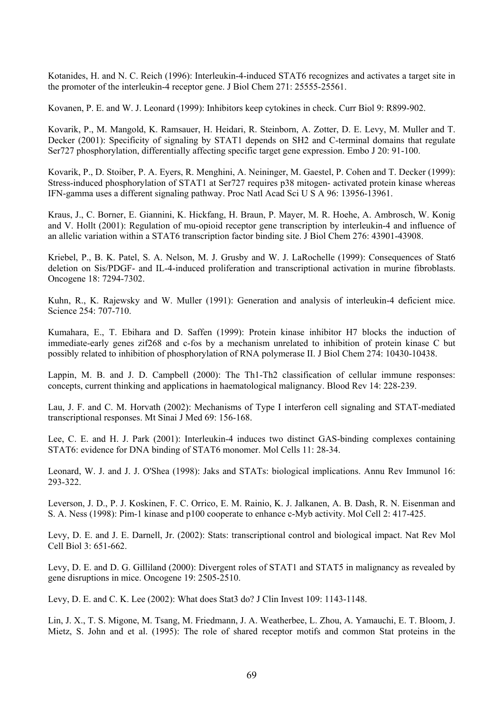Kotanides, H. and N. C. Reich (1996): Interleukin-4-induced STAT6 recognizes and activates a target site in the promoter of the interleukin-4 receptor gene. J Biol Chem 271: 25555-25561.

Kovanen, P. E. and W. J. Leonard (1999): Inhibitors keep cytokines in check. Curr Biol 9: R899-902.

Kovarik, P., M. Mangold, K. Ramsauer, H. Heidari, R. Steinborn, A. Zotter, D. E. Levy, M. Muller and T. Decker (2001): Specificity of signaling by STAT1 depends on SH2 and C-terminal domains that regulate Ser727 phosphorylation, differentially affecting specific target gene expression. Embo J 20: 91-100.

Kovarik, P., D. Stoiber, P. A. Eyers, R. Menghini, A. Neininger, M. Gaestel, P. Cohen and T. Decker (1999): Stress-induced phosphorylation of STAT1 at Ser727 requires p38 mitogen- activated protein kinase whereas IFN-gamma uses a different signaling pathway. Proc Natl Acad Sci U S A 96: 13956-13961.

Kraus, J., C. Borner, E. Giannini, K. Hickfang, H. Braun, P. Mayer, M. R. Hoehe, A. Ambrosch, W. Konig and V. Hollt (2001): Regulation of mu-opioid receptor gene transcription by interleukin-4 and influence of an allelic variation within a STAT6 transcription factor binding site. J Biol Chem 276: 43901-43908.

Kriebel, P., B. K. Patel, S. A. Nelson, M. J. Grusby and W. J. LaRochelle (1999): Consequences of Stat6 deletion on Sis/PDGF- and IL-4-induced proliferation and transcriptional activation in murine fibroblasts. Oncogene 18: 7294-7302.

Kuhn, R., K. Rajewsky and W. Muller (1991): Generation and analysis of interleukin-4 deficient mice. Science 254: 707-710.

Kumahara, E., T. Ebihara and D. Saffen (1999): Protein kinase inhibitor H7 blocks the induction of immediate-early genes zif268 and c-fos by a mechanism unrelated to inhibition of protein kinase C but possibly related to inhibition of phosphorylation of RNA polymerase II. J Biol Chem 274: 10430-10438.

Lappin, M. B. and J. D. Campbell (2000): The Th1-Th2 classification of cellular immune responses: concepts, current thinking and applications in haematological malignancy. Blood Rev 14: 228-239.

Lau, J. F. and C. M. Horvath (2002): Mechanisms of Type I interferon cell signaling and STAT-mediated transcriptional responses. Mt Sinai J Med 69: 156-168.

Lee, C. E. and H. J. Park (2001): Interleukin-4 induces two distinct GAS-binding complexes containing STAT6: evidence for DNA binding of STAT6 monomer. Mol Cells 11: 28-34.

Leonard, W. J. and J. J. O'Shea (1998): Jaks and STATs: biological implications. Annu Rev Immunol 16: 293-322.

Leverson, J. D., P. J. Koskinen, F. C. Orrico, E. M. Rainio, K. J. Jalkanen, A. B. Dash, R. N. Eisenman and S. A. Ness (1998): Pim-1 kinase and p100 cooperate to enhance c-Myb activity. Mol Cell 2: 417-425.

Levy, D. E. and J. E. Darnell, Jr. (2002): Stats: transcriptional control and biological impact. Nat Rev Mol Cell Biol 3: 651-662.

Levy, D. E. and D. G. Gilliland (2000): Divergent roles of STAT1 and STAT5 in malignancy as revealed by gene disruptions in mice. Oncogene 19: 2505-2510.

Levy, D. E. and C. K. Lee (2002): What does Stat3 do? J Clin Invest 109: 1143-1148.

Lin, J. X., T. S. Migone, M. Tsang, M. Friedmann, J. A. Weatherbee, L. Zhou, A. Yamauchi, E. T. Bloom, J. Mietz, S. John and et al. (1995): The role of shared receptor motifs and common Stat proteins in the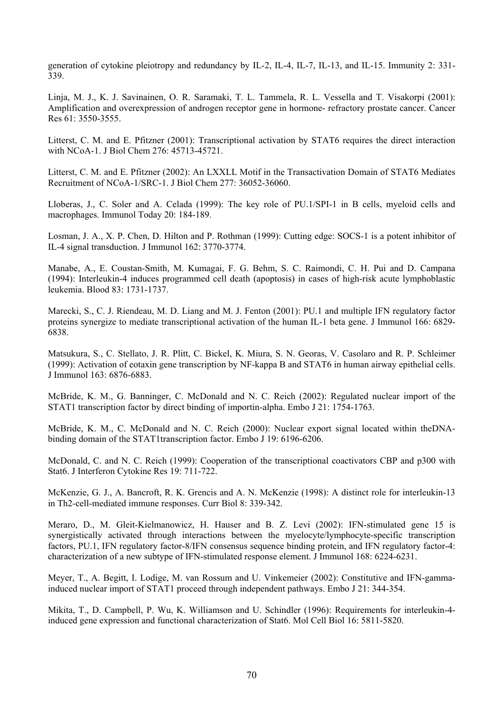generation of cytokine pleiotropy and redundancy by IL-2, IL-4, IL-7, IL-13, and IL-15. Immunity 2: 331- 339.

Linja, M. J., K. J. Savinainen, O. R. Saramaki, T. L. Tammela, R. L. Vessella and T. Visakorpi (2001): Amplification and overexpression of androgen receptor gene in hormone- refractory prostate cancer. Cancer Res 61: 3550-3555.

Litterst, C. M. and E. Pfitzner (2001): Transcriptional activation by STAT6 requires the direct interaction with NCoA-1. J Biol Chem 276: 45713-45721.

Litterst, C. M. and E. Pfitzner (2002): An LXXLL Motif in the Transactivation Domain of STAT6 Mediates Recruitment of NCoA-1/SRC-1. J Biol Chem 277: 36052-36060.

Lloberas, J., C. Soler and A. Celada (1999): The key role of PU.1/SPI-1 in B cells, myeloid cells and macrophages. Immunol Today 20: 184-189.

Losman, J. A., X. P. Chen, D. Hilton and P. Rothman (1999): Cutting edge: SOCS-1 is a potent inhibitor of IL-4 signal transduction. J Immunol 162: 3770-3774.

Manabe, A., E. Coustan-Smith, M. Kumagai, F. G. Behm, S. C. Raimondi, C. H. Pui and D. Campana (1994): Interleukin-4 induces programmed cell death (apoptosis) in cases of high-risk acute lymphoblastic leukemia. Blood 83: 1731-1737.

Marecki, S., C. J. Riendeau, M. D. Liang and M. J. Fenton (2001): PU.1 and multiple IFN regulatory factor proteins synergize to mediate transcriptional activation of the human IL-1 beta gene. J Immunol 166: 6829- 6838.

Matsukura, S., C. Stellato, J. R. Plitt, C. Bickel, K. Miura, S. N. Georas, V. Casolaro and R. P. Schleimer (1999): Activation of eotaxin gene transcription by NF-kappa B and STAT6 in human airway epithelial cells. J Immunol 163: 6876-6883.

McBride, K. M., G. Banninger, C. McDonald and N. C. Reich (2002): Regulated nuclear import of the STAT1 transcription factor by direct binding of importin-alpha. Embo J 21: 1754-1763.

McBride, K. M., C. McDonald and N. C. Reich (2000): Nuclear export signal located within theDNAbinding domain of the STAT1transcription factor. Embo J 19: 6196-6206.

McDonald, C. and N. C. Reich (1999): Cooperation of the transcriptional coactivators CBP and p300 with Stat6. J Interferon Cytokine Res 19: 711-722.

McKenzie, G. J., A. Bancroft, R. K. Grencis and A. N. McKenzie (1998): A distinct role for interleukin-13 in Th2-cell-mediated immune responses. Curr Biol 8: 339-342.

Meraro, D., M. Gleit-Kielmanowicz, H. Hauser and B. Z. Levi (2002): IFN-stimulated gene 15 is synergistically activated through interactions between the myelocyte/lymphocyte-specific transcription factors, PU.1, IFN regulatory factor-8/IFN consensus sequence binding protein, and IFN regulatory factor-4: characterization of a new subtype of IFN-stimulated response element. J Immunol 168: 6224-6231.

Meyer, T., A. Begitt, I. Lodige, M. van Rossum and U. Vinkemeier (2002): Constitutive and IFN-gammainduced nuclear import of STAT1 proceed through independent pathways. Embo J 21: 344-354.

Mikita, T., D. Campbell, P. Wu, K. Williamson and U. Schindler (1996): Requirements for interleukin-4 induced gene expression and functional characterization of Stat6. Mol Cell Biol 16: 5811-5820.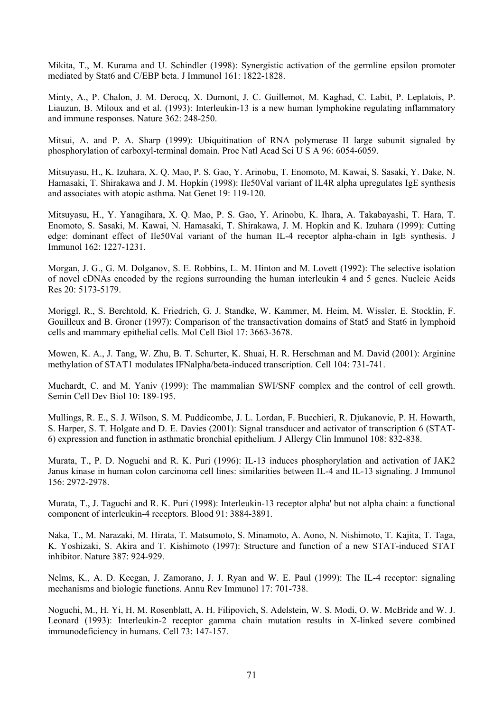Mikita, T., M. Kurama and U. Schindler (1998): Synergistic activation of the germline epsilon promoter mediated by Stat6 and C/EBP beta. J Immunol 161: 1822-1828.

Minty, A., P. Chalon, J. M. Derocq, X. Dumont, J. C. Guillemot, M. Kaghad, C. Labit, P. Leplatois, P. Liauzun, B. Miloux and et al. (1993): Interleukin-13 is a new human lymphokine regulating inflammatory and immune responses. Nature 362: 248-250.

Mitsui, A. and P. A. Sharp (1999): Ubiquitination of RNA polymerase II large subunit signaled by phosphorylation of carboxyl-terminal domain. Proc Natl Acad Sci U S A 96: 6054-6059.

Mitsuyasu, H., K. Izuhara, X. Q. Mao, P. S. Gao, Y. Arinobu, T. Enomoto, M. Kawai, S. Sasaki, Y. Dake, N. Hamasaki, T. Shirakawa and J. M. Hopkin (1998): Ile50Val variant of IL4R alpha upregulates IgE synthesis and associates with atopic asthma. Nat Genet 19: 119-120.

Mitsuyasu, H., Y. Yanagihara, X. Q. Mao, P. S. Gao, Y. Arinobu, K. Ihara, A. Takabayashi, T. Hara, T. Enomoto, S. Sasaki, M. Kawai, N. Hamasaki, T. Shirakawa, J. M. Hopkin and K. Izuhara (1999): Cutting edge: dominant effect of Ile50Val variant of the human IL-4 receptor alpha-chain in IgE synthesis. J Immunol 162: 1227-1231.

Morgan, J. G., G. M. Dolganov, S. E. Robbins, L. M. Hinton and M. Lovett (1992): The selective isolation of novel cDNAs encoded by the regions surrounding the human interleukin 4 and 5 genes. Nucleic Acids Res 20: 5173-5179.

Moriggl, R., S. Berchtold, K. Friedrich, G. J. Standke, W. Kammer, M. Heim, M. Wissler, E. Stocklin, F. Gouilleux and B. Groner (1997): Comparison of the transactivation domains of Stat5 and Stat6 in lymphoid cells and mammary epithelial cells. Mol Cell Biol 17: 3663-3678.

Mowen, K. A., J. Tang, W. Zhu, B. T. Schurter, K. Shuai, H. R. Herschman and M. David (2001): Arginine methylation of STAT1 modulates IFNalpha/beta-induced transcription. Cell 104: 731-741.

Muchardt, C. and M. Yaniv (1999): The mammalian SWI/SNF complex and the control of cell growth. Semin Cell Dev Biol 10: 189-195.

Mullings, R. E., S. J. Wilson, S. M. Puddicombe, J. L. Lordan, F. Bucchieri, R. Djukanovic, P. H. Howarth, S. Harper, S. T. Holgate and D. E. Davies (2001): Signal transducer and activator of transcription 6 (STAT-6) expression and function in asthmatic bronchial epithelium. J Allergy Clin Immunol 108: 832-838.

Murata, T., P. D. Noguchi and R. K. Puri (1996): IL-13 induces phosphorylation and activation of JAK2 Janus kinase in human colon carcinoma cell lines: similarities between IL-4 and IL-13 signaling. J Immunol 156: 2972-2978.

Murata, T., J. Taguchi and R. K. Puri (1998): Interleukin-13 receptor alpha' but not alpha chain: a functional component of interleukin-4 receptors. Blood 91: 3884-3891.

Naka, T., M. Narazaki, M. Hirata, T. Matsumoto, S. Minamoto, A. Aono, N. Nishimoto, T. Kajita, T. Taga, K. Yoshizaki, S. Akira and T. Kishimoto (1997): Structure and function of a new STAT-induced STAT inhibitor. Nature 387: 924-929.

Nelms, K., A. D. Keegan, J. Zamorano, J. J. Ryan and W. E. Paul (1999): The IL-4 receptor: signaling mechanisms and biologic functions. Annu Rev Immunol 17: 701-738.

Noguchi, M., H. Yi, H. M. Rosenblatt, A. H. Filipovich, S. Adelstein, W. S. Modi, O. W. McBride and W. J. Leonard (1993): Interleukin-2 receptor gamma chain mutation results in X-linked severe combined immunodeficiency in humans. Cell 73: 147-157.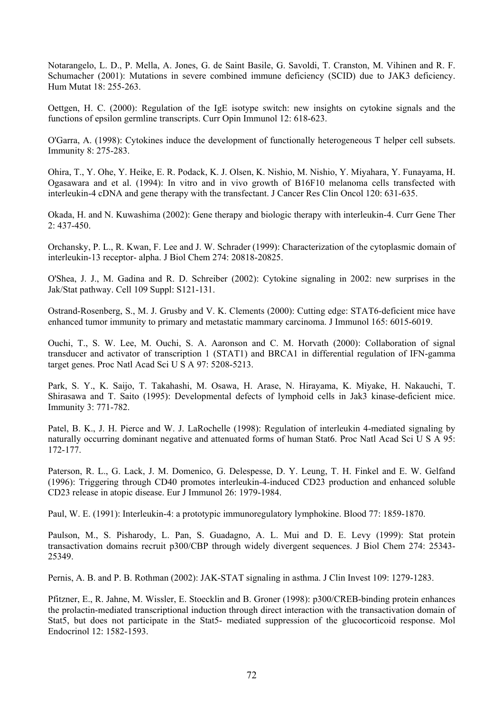Notarangelo, L. D., P. Mella, A. Jones, G. de Saint Basile, G. Savoldi, T. Cranston, M. Vihinen and R. F. Schumacher (2001): Mutations in severe combined immune deficiency (SCID) due to JAK3 deficiency. Hum Mutat 18: 255-263.

Oettgen, H. C. (2000): Regulation of the IgE isotype switch: new insights on cytokine signals and the functions of epsilon germline transcripts. Curr Opin Immunol 12: 618-623.

O'Garra, A. (1998): Cytokines induce the development of functionally heterogeneous T helper cell subsets. Immunity 8: 275-283.

Ohira, T., Y. Ohe, Y. Heike, E. R. Podack, K. J. Olsen, K. Nishio, M. Nishio, Y. Miyahara, Y. Funayama, H. Ogasawara and et al. (1994): In vitro and in vivo growth of B16F10 melanoma cells transfected with interleukin-4 cDNA and gene therapy with the transfectant. J Cancer Res Clin Oncol 120: 631-635.

Okada, H. and N. Kuwashima (2002): Gene therapy and biologic therapy with interleukin-4. Curr Gene Ther 2: 437-450.

Orchansky, P. L., R. Kwan, F. Lee and J. W. Schrader (1999): Characterization of the cytoplasmic domain of interleukin-13 receptor- alpha. J Biol Chem 274: 20818-20825.

O'Shea, J. J., M. Gadina and R. D. Schreiber (2002): Cytokine signaling in 2002: new surprises in the Jak/Stat pathway. Cell 109 Suppl: S121-131.

Ostrand-Rosenberg, S., M. J. Grusby and V. K. Clements (2000): Cutting edge: STAT6-deficient mice have enhanced tumor immunity to primary and metastatic mammary carcinoma. J Immunol 165: 6015-6019.

Ouchi, T., S. W. Lee, M. Ouchi, S. A. Aaronson and C. M. Horvath (2000): Collaboration of signal transducer and activator of transcription 1 (STAT1) and BRCA1 in differential regulation of IFN-gamma target genes. Proc Natl Acad Sci U S A 97: 5208-5213.

Park, S. Y., K. Saijo, T. Takahashi, M. Osawa, H. Arase, N. Hirayama, K. Miyake, H. Nakauchi, T. Shirasawa and T. Saito (1995): Developmental defects of lymphoid cells in Jak3 kinase-deficient mice. Immunity 3: 771-782.

Patel, B. K., J. H. Pierce and W. J. LaRochelle (1998): Regulation of interleukin 4-mediated signaling by naturally occurring dominant negative and attenuated forms of human Stat6. Proc Natl Acad Sci U S A 95: 172-177.

Paterson, R. L., G. Lack, J. M. Domenico, G. Delespesse, D. Y. Leung, T. H. Finkel and E. W. Gelfand (1996): Triggering through CD40 promotes interleukin-4-induced CD23 production and enhanced soluble CD23 release in atopic disease. Eur J Immunol 26: 1979-1984.

Paul, W. E. (1991): Interleukin-4: a prototypic immunoregulatory lymphokine. Blood 77: 1859-1870.

Paulson, M., S. Pisharody, L. Pan, S. Guadagno, A. L. Mui and D. E. Levy (1999): Stat protein transactivation domains recruit p300/CBP through widely divergent sequences. J Biol Chem 274: 25343- 25349.

Pernis, A. B. and P. B. Rothman (2002): JAK-STAT signaling in asthma. J Clin Invest 109: 1279-1283.

Pfitzner, E., R. Jahne, M. Wissler, E. Stoecklin and B. Groner (1998): p300/CREB-binding protein enhances the prolactin-mediated transcriptional induction through direct interaction with the transactivation domain of Stat5, but does not participate in the Stat5- mediated suppression of the glucocorticoid response. Mol Endocrinol 12: 1582-1593.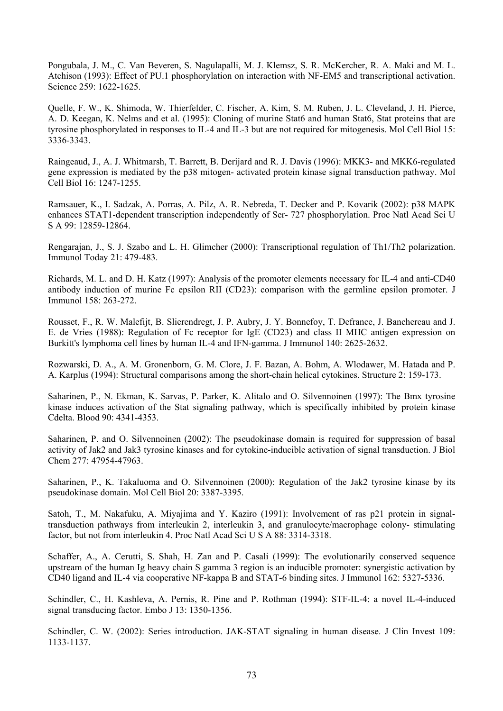Pongubala, J. M., C. Van Beveren, S. Nagulapalli, M. J. Klemsz, S. R. McKercher, R. A. Maki and M. L. Atchison (1993): Effect of PU.1 phosphorylation on interaction with NF-EM5 and transcriptional activation. Science 259: 1622-1625.

Quelle, F. W., K. Shimoda, W. Thierfelder, C. Fischer, A. Kim, S. M. Ruben, J. L. Cleveland, J. H. Pierce, A. D. Keegan, K. Nelms and et al. (1995): Cloning of murine Stat6 and human Stat6, Stat proteins that are tyrosine phosphorylated in responses to IL-4 and IL-3 but are not required for mitogenesis. Mol Cell Biol 15: 3336-3343.

Raingeaud, J., A. J. Whitmarsh, T. Barrett, B. Derijard and R. J. Davis (1996): MKK3- and MKK6-regulated gene expression is mediated by the p38 mitogen- activated protein kinase signal transduction pathway. Mol Cell Biol 16: 1247-1255.

Ramsauer, K., I. Sadzak, A. Porras, A. Pilz, A. R. Nebreda, T. Decker and P. Kovarik (2002): p38 MAPK enhances STAT1-dependent transcription independently of Ser- 727 phosphorylation. Proc Natl Acad Sci U S A 99: 12859-12864.

Rengarajan, J., S. J. Szabo and L. H. Glimcher (2000): Transcriptional regulation of Th1/Th2 polarization. Immunol Today 21: 479-483.

Richards, M. L. and D. H. Katz (1997): Analysis of the promoter elements necessary for IL-4 and anti-CD40 antibody induction of murine Fc epsilon RII (CD23): comparison with the germline epsilon promoter. J Immunol 158: 263-272.

Rousset, F., R. W. Malefijt, B. Slierendregt, J. P. Aubry, J. Y. Bonnefoy, T. Defrance, J. Banchereau and J. E. de Vries (1988): Regulation of Fc receptor for IgE (CD23) and class II MHC antigen expression on Burkitt's lymphoma cell lines by human IL-4 and IFN-gamma. J Immunol 140: 2625-2632.

Rozwarski, D. A., A. M. Gronenborn, G. M. Clore, J. F. Bazan, A. Bohm, A. Wlodawer, M. Hatada and P. A. Karplus (1994): Structural comparisons among the short-chain helical cytokines. Structure 2: 159-173.

Saharinen, P., N. Ekman, K. Sarvas, P. Parker, K. Alitalo and O. Silvennoinen (1997): The Bmx tyrosine kinase induces activation of the Stat signaling pathway, which is specifically inhibited by protein kinase Cdelta. Blood 90: 4341-4353.

Saharinen, P. and O. Silvennoinen (2002): The pseudokinase domain is required for suppression of basal activity of Jak2 and Jak3 tyrosine kinases and for cytokine-inducible activation of signal transduction. J Biol Chem 277: 47954-47963.

Saharinen, P., K. Takaluoma and O. Silvennoinen (2000): Regulation of the Jak2 tyrosine kinase by its pseudokinase domain. Mol Cell Biol 20: 3387-3395.

Satoh, T., M. Nakafuku, A. Miyajima and Y. Kaziro (1991): Involvement of ras p21 protein in signaltransduction pathways from interleukin 2, interleukin 3, and granulocyte/macrophage colony- stimulating factor, but not from interleukin 4. Proc Natl Acad Sci U S A 88: 3314-3318.

Schaffer, A., A. Cerutti, S. Shah, H. Zan and P. Casali (1999): The evolutionarily conserved sequence upstream of the human Ig heavy chain S gamma 3 region is an inducible promoter: synergistic activation by CD40 ligand and IL-4 via cooperative NF-kappa B and STAT-6 binding sites. J Immunol 162: 5327-5336.

Schindler, C., H. Kashleva, A. Pernis, R. Pine and P. Rothman (1994): STF-IL-4: a novel IL-4-induced signal transducing factor. Embo J 13: 1350-1356.

Schindler, C. W. (2002): Series introduction. JAK-STAT signaling in human disease. J Clin Invest 109: 1133-1137.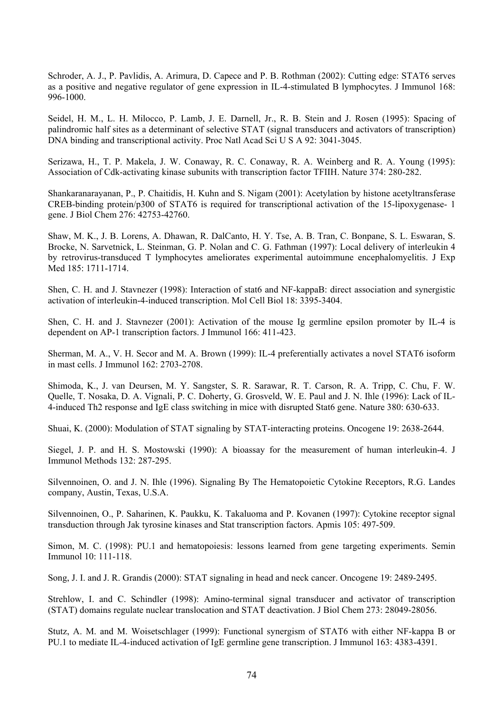Schroder, A. J., P. Pavlidis, A. Arimura, D. Capece and P. B. Rothman (2002): Cutting edge: STAT6 serves as a positive and negative regulator of gene expression in IL-4-stimulated B lymphocytes. J Immunol 168: 996-1000.

Seidel, H. M., L. H. Milocco, P. Lamb, J. E. Darnell, Jr., R. B. Stein and J. Rosen (1995): Spacing of palindromic half sites as a determinant of selective STAT (signal transducers and activators of transcription) DNA binding and transcriptional activity. Proc Natl Acad Sci U S A 92: 3041-3045.

Serizawa, H., T. P. Makela, J. W. Conaway, R. C. Conaway, R. A. Weinberg and R. A. Young (1995): Association of Cdk-activating kinase subunits with transcription factor TFIIH. Nature 374: 280-282.

Shankaranarayanan, P., P. Chaitidis, H. Kuhn and S. Nigam (2001): Acetylation by histone acetyltransferase CREB-binding protein/p300 of STAT6 is required for transcriptional activation of the 15-lipoxygenase- 1 gene. J Biol Chem 276: 42753-42760.

Shaw, M. K., J. B. Lorens, A. Dhawan, R. DalCanto, H. Y. Tse, A. B. Tran, C. Bonpane, S. L. Eswaran, S. Brocke, N. Sarvetnick, L. Steinman, G. P. Nolan and C. G. Fathman (1997): Local delivery of interleukin 4 by retrovirus-transduced T lymphocytes ameliorates experimental autoimmune encephalomyelitis. J Exp Med 185: 1711-1714.

Shen, C. H. and J. Stavnezer (1998): Interaction of stat6 and NF-kappaB: direct association and synergistic activation of interleukin-4-induced transcription. Mol Cell Biol 18: 3395-3404.

Shen, C. H. and J. Stavnezer (2001): Activation of the mouse Ig germline epsilon promoter by IL-4 is dependent on AP-1 transcription factors. J Immunol 166: 411-423.

Sherman, M. A., V. H. Secor and M. A. Brown (1999): IL-4 preferentially activates a novel STAT6 isoform in mast cells. J Immunol 162: 2703-2708.

Shimoda, K., J. van Deursen, M. Y. Sangster, S. R. Sarawar, R. T. Carson, R. A. Tripp, C. Chu, F. W. Quelle, T. Nosaka, D. A. Vignali, P. C. Doherty, G. Grosveld, W. E. Paul and J. N. Ihle (1996): Lack of IL-4-induced Th2 response and IgE class switching in mice with disrupted Stat6 gene. Nature 380: 630-633.

Shuai, K. (2000): Modulation of STAT signaling by STAT-interacting proteins. Oncogene 19: 2638-2644.

Siegel, J. P. and H. S. Mostowski (1990): A bioassay for the measurement of human interleukin-4. J Immunol Methods 132: 287-295.

Silvennoinen, O. and J. N. Ihle (1996). Signaling By The Hematopoietic Cytokine Receptors, R.G. Landes company, Austin, Texas, U.S.A.

Silvennoinen, O., P. Saharinen, K. Paukku, K. Takaluoma and P. Kovanen (1997): Cytokine receptor signal transduction through Jak tyrosine kinases and Stat transcription factors. Apmis 105: 497-509.

Simon, M. C. (1998): PU.1 and hematopoiesis: lessons learned from gene targeting experiments. Semin Immunol 10: 111-118.

Song, J. I. and J. R. Grandis (2000): STAT signaling in head and neck cancer. Oncogene 19: 2489-2495.

Strehlow, I. and C. Schindler (1998): Amino-terminal signal transducer and activator of transcription (STAT) domains regulate nuclear translocation and STAT deactivation. J Biol Chem 273: 28049-28056.

Stutz, A. M. and M. Woisetschlager (1999): Functional synergism of STAT6 with either NF-kappa B or PU.1 to mediate IL-4-induced activation of IgE germline gene transcription. J Immunol 163: 4383-4391.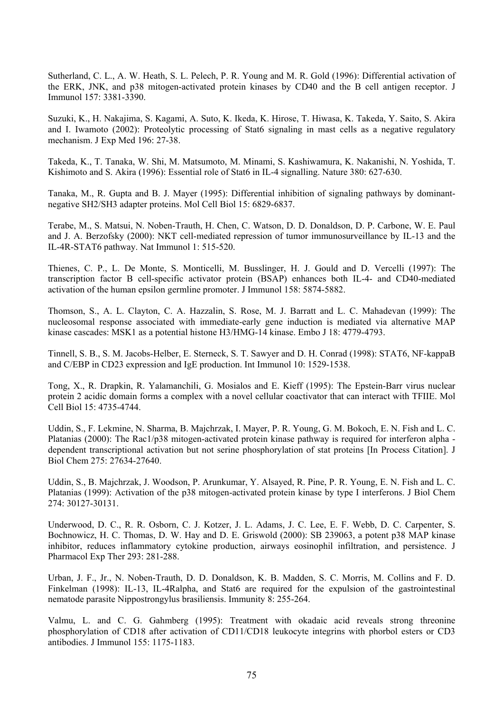Sutherland, C. L., A. W. Heath, S. L. Pelech, P. R. Young and M. R. Gold (1996): Differential activation of the ERK, JNK, and p38 mitogen-activated protein kinases by CD40 and the B cell antigen receptor. J Immunol 157: 3381-3390.

Suzuki, K., H. Nakajima, S. Kagami, A. Suto, K. Ikeda, K. Hirose, T. Hiwasa, K. Takeda, Y. Saito, S. Akira and I. Iwamoto (2002): Proteolytic processing of Stat6 signaling in mast cells as a negative regulatory mechanism. J Exp Med 196: 27-38.

Takeda, K., T. Tanaka, W. Shi, M. Matsumoto, M. Minami, S. Kashiwamura, K. Nakanishi, N. Yoshida, T. Kishimoto and S. Akira (1996): Essential role of Stat6 in IL-4 signalling. Nature 380: 627-630.

Tanaka, M., R. Gupta and B. J. Mayer (1995): Differential inhibition of signaling pathways by dominantnegative SH2/SH3 adapter proteins. Mol Cell Biol 15: 6829-6837.

Terabe, M., S. Matsui, N. Noben-Trauth, H. Chen, C. Watson, D. D. Donaldson, D. P. Carbone, W. E. Paul and J. A. Berzofsky (2000): NKT cell-mediated repression of tumor immunosurveillance by IL-13 and the IL-4R-STAT6 pathway. Nat Immunol 1: 515-520.

Thienes, C. P., L. De Monte, S. Monticelli, M. Busslinger, H. J. Gould and D. Vercelli (1997): The transcription factor B cell-specific activator protein (BSAP) enhances both IL-4- and CD40-mediated activation of the human epsilon germline promoter. J Immunol 158: 5874-5882.

Thomson, S., A. L. Clayton, C. A. Hazzalin, S. Rose, M. J. Barratt and L. C. Mahadevan (1999): The nucleosomal response associated with immediate-early gene induction is mediated via alternative MAP kinase cascades: MSK1 as a potential histone H3/HMG-14 kinase. Embo J 18: 4779-4793.

Tinnell, S. B., S. M. Jacobs-Helber, E. Sterneck, S. T. Sawyer and D. H. Conrad (1998): STAT6, NF-kappaB and C/EBP in CD23 expression and IgE production. Int Immunol 10: 1529-1538.

Tong, X., R. Drapkin, R. Yalamanchili, G. Mosialos and E. Kieff (1995): The Epstein-Barr virus nuclear protein 2 acidic domain forms a complex with a novel cellular coactivator that can interact with TFIIE. Mol Cell Biol 15: 4735-4744.

Uddin, S., F. Lekmine, N. Sharma, B. Majchrzak, I. Mayer, P. R. Young, G. M. Bokoch, E. N. Fish and L. C. Platanias (2000): The Rac1/p38 mitogen-activated protein kinase pathway is required for interferon alpha dependent transcriptional activation but not serine phosphorylation of stat proteins [In Process Citation]. J Biol Chem 275: 27634-27640.

Uddin, S., B. Majchrzak, J. Woodson, P. Arunkumar, Y. Alsayed, R. Pine, P. R. Young, E. N. Fish and L. C. Platanias (1999): Activation of the p38 mitogen-activated protein kinase by type I interferons. J Biol Chem 274: 30127-30131.

Underwood, D. C., R. R. Osborn, C. J. Kotzer, J. L. Adams, J. C. Lee, E. F. Webb, D. C. Carpenter, S. Bochnowicz, H. C. Thomas, D. W. Hay and D. E. Griswold (2000): SB 239063, a potent p38 MAP kinase inhibitor, reduces inflammatory cytokine production, airways eosinophil infiltration, and persistence. J Pharmacol Exp Ther 293: 281-288.

Urban, J. F., Jr., N. Noben-Trauth, D. D. Donaldson, K. B. Madden, S. C. Morris, M. Collins and F. D. Finkelman (1998): IL-13, IL-4Ralpha, and Stat6 are required for the expulsion of the gastrointestinal nematode parasite Nippostrongylus brasiliensis. Immunity 8: 255-264.

Valmu, L. and C. G. Gahmberg (1995): Treatment with okadaic acid reveals strong threonine phosphorylation of CD18 after activation of CD11/CD18 leukocyte integrins with phorbol esters or CD3 antibodies. J Immunol 155: 1175-1183.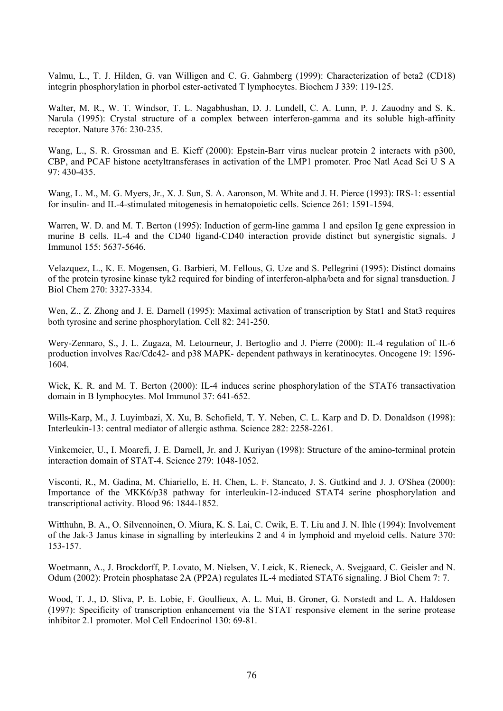Valmu, L., T. J. Hilden, G. van Willigen and C. G. Gahmberg (1999): Characterization of beta2 (CD18) integrin phosphorylation in phorbol ester-activated T lymphocytes. Biochem J 339: 119-125.

Walter, M. R., W. T. Windsor, T. L. Nagabhushan, D. J. Lundell, C. A. Lunn, P. J. Zauodny and S. K. Narula (1995): Crystal structure of a complex between interferon-gamma and its soluble high-affinity receptor. Nature 376: 230-235.

Wang, L., S. R. Grossman and E. Kieff (2000): Epstein-Barr virus nuclear protein 2 interacts with p300, CBP, and PCAF histone acetyltransferases in activation of the LMP1 promoter. Proc Natl Acad Sci U S A 97: 430-435.

Wang, L. M., M. G. Myers, Jr., X. J. Sun, S. A. Aaronson, M. White and J. H. Pierce (1993): IRS-1: essential for insulin- and IL-4-stimulated mitogenesis in hematopoietic cells. Science 261: 1591-1594.

Warren, W. D. and M. T. Berton (1995): Induction of germ-line gamma 1 and epsilon Ig gene expression in murine B cells. IL-4 and the CD40 ligand-CD40 interaction provide distinct but synergistic signals. J Immunol 155: 5637-5646.

Velazquez, L., K. E. Mogensen, G. Barbieri, M. Fellous, G. Uze and S. Pellegrini (1995): Distinct domains of the protein tyrosine kinase tyk2 required for binding of interferon-alpha/beta and for signal transduction. J Biol Chem 270: 3327-3334.

Wen, Z., Z. Zhong and J. E. Darnell (1995): Maximal activation of transcription by Stat1 and Stat3 requires both tyrosine and serine phosphorylation. Cell 82: 241-250.

Wery-Zennaro, S., J. L. Zugaza, M. Letourneur, J. Bertoglio and J. Pierre (2000): IL-4 regulation of IL-6 production involves Rac/Cdc42- and p38 MAPK- dependent pathways in keratinocytes. Oncogene 19: 1596- 1604.

Wick, K. R. and M. T. Berton (2000): IL-4 induces serine phosphorylation of the STAT6 transactivation domain in B lymphocytes. Mol Immunol 37: 641-652.

Wills-Karp, M., J. Luyimbazi, X. Xu, B. Schofield, T. Y. Neben, C. L. Karp and D. D. Donaldson (1998): Interleukin-13: central mediator of allergic asthma. Science 282: 2258-2261.

Vinkemeier, U., I. Moarefi, J. E. Darnell, Jr. and J. Kuriyan (1998): Structure of the amino-terminal protein interaction domain of STAT-4. Science 279: 1048-1052.

Visconti, R., M. Gadina, M. Chiariello, E. H. Chen, L. F. Stancato, J. S. Gutkind and J. J. O'Shea (2000): Importance of the MKK6/p38 pathway for interleukin-12-induced STAT4 serine phosphorylation and transcriptional activity. Blood 96: 1844-1852.

Witthuhn, B. A., O. Silvennoinen, O. Miura, K. S. Lai, C. Cwik, E. T. Liu and J. N. Ihle (1994): Involvement of the Jak-3 Janus kinase in signalling by interleukins 2 and 4 in lymphoid and myeloid cells. Nature 370: 153-157.

Woetmann, A., J. Brockdorff, P. Lovato, M. Nielsen, V. Leick, K. Rieneck, A. Svejgaard, C. Geisler and N. Odum (2002): Protein phosphatase 2A (PP2A) regulates IL-4 mediated STAT6 signaling. J Biol Chem 7: 7.

Wood, T. J., D. Sliva, P. E. Lobie, F. Goullieux, A. L. Mui, B. Groner, G. Norstedt and L. A. Haldosen (1997): Specificity of transcription enhancement via the STAT responsive element in the serine protease inhibitor 2.1 promoter. Mol Cell Endocrinol 130: 69-81.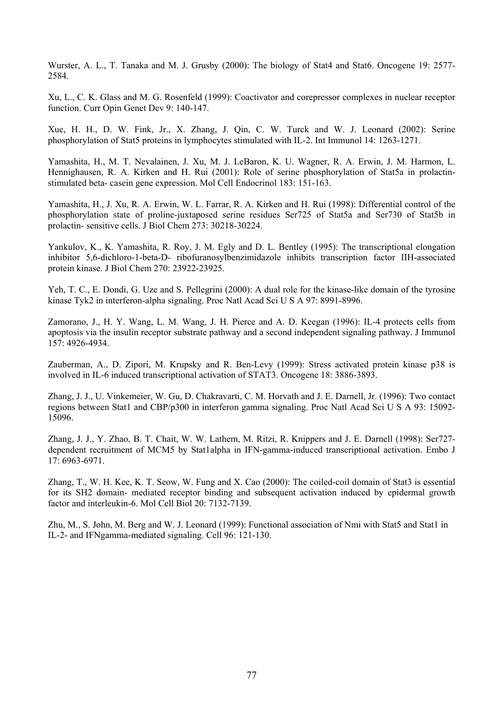Wurster, A. L., T. Tanaka and M. J. Grusby (2000): The biology of Stat4 and Stat6. Oncogene 19: 2577- 2584.

Xu, L., C. K. Glass and M. G. Rosenfeld (1999): Coactivator and corepressor complexes in nuclear receptor function. Curr Opin Genet Dev 9: 140-147.

Xue, H. H., D. W. Fink, Jr., X. Zhang, J. Qin, C. W. Turck and W. J. Leonard (2002): Serine phosphorylation of Stat5 proteins in lymphocytes stimulated with IL-2. Int Immunol 14: 1263-1271.

Yamashita, H., M. T. Nevalainen, J. Xu, M. J. LeBaron, K. U. Wagner, R. A. Erwin, J. M. Harmon, L. Hennighausen, R. A. Kirken and H. Rui (2001): Role of serine phosphorylation of Stat5a in prolactinstimulated beta- casein gene expression. Mol Cell Endocrinol 183: 151-163.

Yamashita, H., J. Xu, R. A. Erwin, W. L. Farrar, R. A. Kirken and H. Rui (1998): Differential control of the phosphorylation state of proline-juxtaposed serine residues Ser725 of Stat5a and Ser730 of Stat5b in prolactin- sensitive cells. J Biol Chem 273: 30218-30224.

Yankulov, K., K. Yamashita, R. Roy, J. M. Egly and D. L. Bentley (1995): The transcriptional elongation inhibitor 5,6-dichloro-1-beta-D- ribofuranosylbenzimidazole inhibits transcription factor IIH-associated protein kinase. J Biol Chem 270: 23922-23925.

Yeh, T. C., E. Dondi, G. Uze and S. Pellegrini (2000): A dual role for the kinase-like domain of the tyrosine kinase Tyk2 in interferon-alpha signaling. Proc Natl Acad Sci U S A 97: 8991-8996.

Zamorano, J., H. Y. Wang, L. M. Wang, J. H. Pierce and A. D. Keegan (1996): IL-4 protects cells from apoptosis via the insulin receptor substrate pathway and a second independent signaling pathway. J Immunol 157: 4926-4934.

Zauberman, A., D. Zipori, M. Krupsky and R. Ben-Levy (1999): Stress activated protein kinase p38 is involved in IL-6 induced transcriptional activation of STAT3. Oncogene 18: 3886-3893.

Zhang, J. J., U. Vinkemeier, W. Gu, D. Chakravarti, C. M. Horvath and J. E. Darnell, Jr. (1996): Two contact regions between Stat1 and CBP/p300 in interferon gamma signaling. Proc Natl Acad Sci U S A 93: 15092- 15096.

Zhang, J. J., Y. Zhao, B. T. Chait, W. W. Lathem, M. Ritzi, R. Knippers and J. E. Darnell (1998): Ser727 dependent recruitment of MCM5 by Stat1alpha in IFN-gamma-induced transcriptional activation. Embo J 17: 6963-6971.

Zhang, T., W. H. Kee, K. T. Seow, W. Fung and X. Cao (2000): The coiled-coil domain of Stat3 is essential for its SH2 domain- mediated receptor binding and subsequent activation induced by epidermal growth factor and interleukin-6. Mol Cell Biol 20: 7132-7139.

Zhu, M., S. John, M. Berg and W. J. Leonard (1999): Functional association of Nmi with Stat5 and Stat1 in IL-2- and IFNgamma-mediated signaling. Cell 96: 121-130.